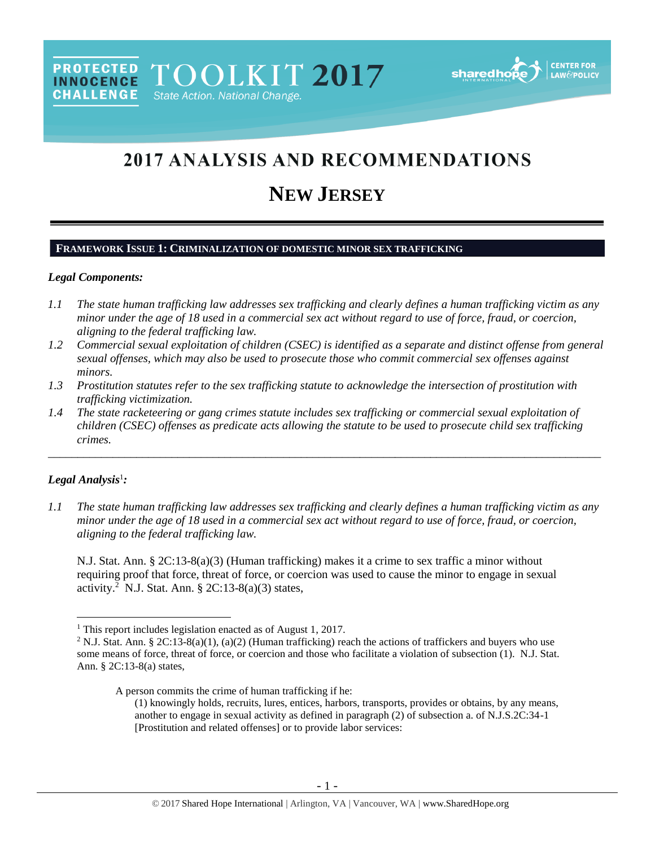# 2017 ANALYSIS AND RECOMMENDATIONS

# **NEW JERSEY**

### **FRAMEWORK ISSUE 1: CRIMINALIZATION OF DOMESTIC MINOR SEX TRAFFICKING**

PROTECTED TOOLKIT 2017

State Action. National Change.

#### *Legal Components:*

**INNOCENCE CHALLENGE** 

- *1.1 The state human trafficking law addresses sex trafficking and clearly defines a human trafficking victim as any minor under the age of 18 used in a commercial sex act without regard to use of force, fraud, or coercion, aligning to the federal trafficking law.*
- *1.2 Commercial sexual exploitation of children (CSEC) is identified as a separate and distinct offense from general sexual offenses, which may also be used to prosecute those who commit commercial sex offenses against minors.*
- *1.3 Prostitution statutes refer to the sex trafficking statute to acknowledge the intersection of prostitution with trafficking victimization.*
- *1.4 The state racketeering or gang crimes statute includes sex trafficking or commercial sexual exploitation of children (CSEC) offenses as predicate acts allowing the statute to be used to prosecute child sex trafficking crimes.*

\_\_\_\_\_\_\_\_\_\_\_\_\_\_\_\_\_\_\_\_\_\_\_\_\_\_\_\_\_\_\_\_\_\_\_\_\_\_\_\_\_\_\_\_\_\_\_\_\_\_\_\_\_\_\_\_\_\_\_\_\_\_\_\_\_\_\_\_\_\_\_\_\_\_\_\_\_\_\_\_\_\_\_\_\_\_\_\_\_\_\_\_\_\_

#### *Legal Analysis*<sup>1</sup> *:*

 $\overline{a}$ 

*1.1 The state human trafficking law addresses sex trafficking and clearly defines a human trafficking victim as any minor under the age of 18 used in a commercial sex act without regard to use of force, fraud, or coercion, aligning to the federal trafficking law.*

N.J. Stat. Ann. § 2C:13-8(a)(3) (Human trafficking) makes it a crime to sex traffic a minor without requiring proof that force, threat of force, or coercion was used to cause the minor to engage in sexual activity.<sup>2</sup> N.J. Stat. Ann.  $\S 2C:13-8(a)(3)$  states,

<sup>&</sup>lt;sup>1</sup> This report includes legislation enacted as of August 1, 2017.

<sup>&</sup>lt;sup>2</sup> N.J. Stat. Ann. § 2C:13-8(a)(1), (a)(2) (Human trafficking) reach the actions of traffickers and buyers who use some means of force, threat of force, or coercion and those who facilitate a violation of subsection (1). N.J. Stat. Ann. § 2C:13-8(a) states,

A person commits the crime of human trafficking if he:

<sup>(1)</sup> knowingly holds, recruits, lures, entices, harbors, transports, provides or obtains, by any means, another to engage in sexual activity as defined in paragraph (2) of subsection a. of N.J.S.2C:34-1 [Prostitution and related offenses] or to provide labor services: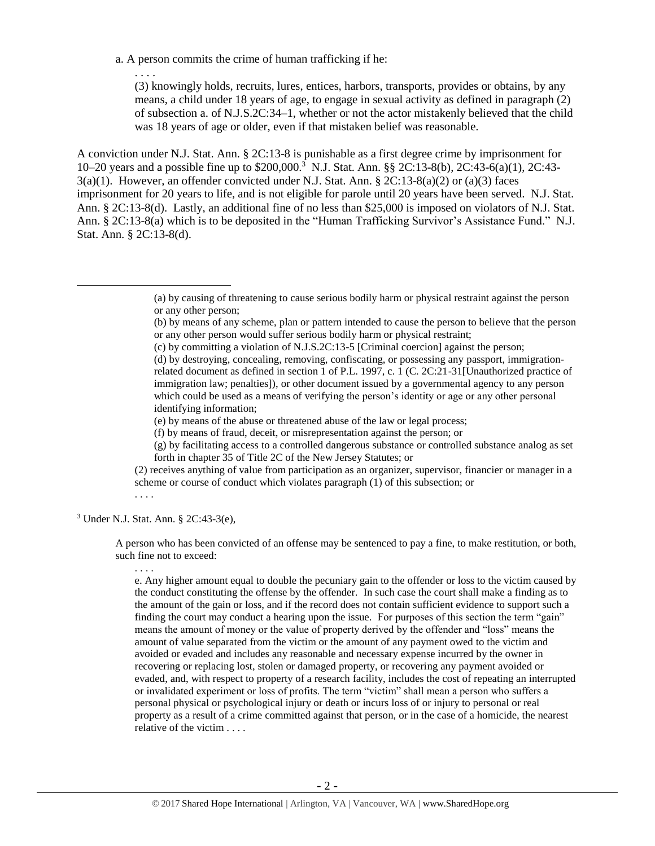a. A person commits the crime of human trafficking if he:

(3) knowingly holds, recruits, lures, entices, harbors, transports, provides or obtains, by any means, a child under 18 years of age, to engage in sexual activity as defined in paragraph (2) of subsection a. of N.J.S.2C:34–1, whether or not the actor mistakenly believed that the child was 18 years of age or older, even if that mistaken belief was reasonable.

A conviction under N.J. Stat. Ann. § 2C:13-8 is punishable as a first degree crime by imprisonment for 10–20 years and a possible fine up to \$200,000.<sup>3</sup> N.J. Stat. Ann. §§ 2C:13-8(b), 2C:43-6(a)(1), 2C:43-  $3(a)(1)$ . However, an offender convicted under N.J. Stat. Ann. § 2C:13-8(a)(2) or (a)(3) faces imprisonment for 20 years to life, and is not eligible for parole until 20 years have been served. N.J. Stat. Ann. § 2C:13-8(d). Lastly, an additional fine of no less than \$25,000 is imposed on violators of N.J. Stat. Ann. § 2C:13-8(a) which is to be deposited in the "Human Trafficking Survivor's Assistance Fund." N.J. Stat. Ann. § 2C:13-8(d).

(g) by facilitating access to a controlled dangerous substance or controlled substance analog as set forth in chapter 35 of Title 2C of the New Jersey Statutes; or

(2) receives anything of value from participation as an organizer, supervisor, financier or manager in a scheme or course of conduct which violates paragraph (1) of this subsection; or

. . . .

 $\overline{a}$ 

. . . .

#### <sup>3</sup> Under N.J. Stat. Ann. § 2C:43-3(e),

A person who has been convicted of an offense may be sentenced to pay a fine, to make restitution, or both, such fine not to exceed:

. . . .

e. Any higher amount equal to double the pecuniary gain to the offender or loss to the victim caused by the conduct constituting the offense by the offender. In such case the court shall make a finding as to the amount of the gain or loss, and if the record does not contain sufficient evidence to support such a finding the court may conduct a hearing upon the issue. For purposes of this section the term "gain" means the amount of money or the value of property derived by the offender and "loss" means the amount of value separated from the victim or the amount of any payment owed to the victim and avoided or evaded and includes any reasonable and necessary expense incurred by the owner in recovering or replacing lost, stolen or damaged property, or recovering any payment avoided or evaded, and, with respect to property of a research facility, includes the cost of repeating an interrupted or invalidated experiment or loss of profits. The term "victim" shall mean a person who suffers a personal physical or psychological injury or death or incurs loss of or injury to personal or real property as a result of a crime committed against that person, or in the case of a homicide, the nearest relative of the victim . . . .

<sup>(</sup>a) by causing of threatening to cause serious bodily harm or physical restraint against the person or any other person;

<sup>(</sup>b) by means of any scheme, plan or pattern intended to cause the person to believe that the person or any other person would suffer serious bodily harm or physical restraint;

<sup>(</sup>c) by committing a violation of N.J.S.2C:13-5 [Criminal coercion] against the person;

<sup>(</sup>d) by destroying, concealing, removing, confiscating, or possessing any passport, immigrationrelated document as defined in section 1 of P.L. 1997, c. 1 (C. 2C:21-31[Unauthorized practice of immigration law; penalties]), or other document issued by a governmental agency to any person which could be used as a means of verifying the person's identity or age or any other personal identifying information;

<sup>(</sup>e) by means of the abuse or threatened abuse of the law or legal process;

<sup>(</sup>f) by means of fraud, deceit, or misrepresentation against the person; or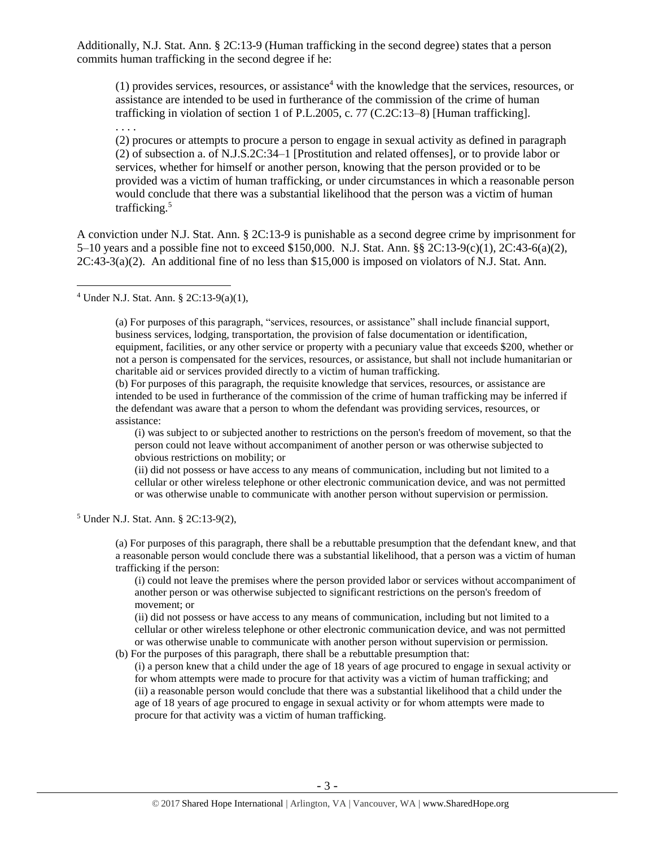Additionally, N.J. Stat. Ann. § 2C:13-9 (Human trafficking in the second degree) states that a person commits human trafficking in the second degree if he:

<span id="page-2-1"></span>(1) provides services, resources, or assistance<sup>4</sup> with the knowledge that the services, resources, or assistance are intended to be used in furtherance of the commission of the crime of human trafficking in violation of section 1 of P.L.2005, c. 77 (C.2C:13–8) [Human trafficking].

. . . .

 $\overline{a}$ 

<span id="page-2-0"></span>(2) procures or attempts to procure a person to engage in sexual activity as defined in paragraph (2) of subsection a. of N.J.S.2C:34–1 [Prostitution and related offenses], or to provide labor or services, whether for himself or another person, knowing that the person provided or to be provided was a victim of human trafficking, or under circumstances in which a reasonable person would conclude that there was a substantial likelihood that the person was a victim of human trafficking.<sup>5</sup>

A conviction under N.J. Stat. Ann. § 2C:13-9 is punishable as a second degree crime by imprisonment for 5–10 years and a possible fine not to exceed \$150,000. N.J. Stat. Ann. §§ 2C:13-9(c)(1), 2C:43-6(a)(2), 2C:43-3(a)(2). An additional fine of no less than \$15,000 is imposed on violators of N.J. Stat. Ann.

(a) For purposes of this paragraph, "services, resources, or assistance" shall include financial support, business services, lodging, transportation, the provision of false documentation or identification, equipment, facilities, or any other service or property with a pecuniary value that exceeds \$200, whether or not a person is compensated for the services, resources, or assistance, but shall not include humanitarian or charitable aid or services provided directly to a victim of human trafficking.

(b) For purposes of this paragraph, the requisite knowledge that services, resources, or assistance are intended to be used in furtherance of the commission of the crime of human trafficking may be inferred if the defendant was aware that a person to whom the defendant was providing services, resources, or assistance:

(i) was subject to or subjected another to restrictions on the person's freedom of movement, so that the person could not leave without accompaniment of another person or was otherwise subjected to obvious restrictions on mobility; or

(ii) did not possess or have access to any means of communication, including but not limited to a cellular or other wireless telephone or other electronic communication device, and was not permitted or was otherwise unable to communicate with another person without supervision or permission.

<sup>5</sup> Under N.J. Stat. Ann. § 2C:13-9(2),

(a) For purposes of this paragraph, there shall be a rebuttable presumption that the defendant knew, and that a reasonable person would conclude there was a substantial likelihood, that a person was a victim of human trafficking if the person:

(i) could not leave the premises where the person provided labor or services without accompaniment of another person or was otherwise subjected to significant restrictions on the person's freedom of movement; or

(ii) did not possess or have access to any means of communication, including but not limited to a cellular or other wireless telephone or other electronic communication device, and was not permitted or was otherwise unable to communicate with another person without supervision or permission.

(b) For the purposes of this paragraph, there shall be a rebuttable presumption that:

(i) a person knew that a child under the age of 18 years of age procured to engage in sexual activity or for whom attempts were made to procure for that activity was a victim of human trafficking; and (ii) a reasonable person would conclude that there was a substantial likelihood that a child under the age of 18 years of age procured to engage in sexual activity or for whom attempts were made to procure for that activity was a victim of human trafficking.

<sup>4</sup> Under N.J. Stat. Ann. § 2C:13-9(a)(1),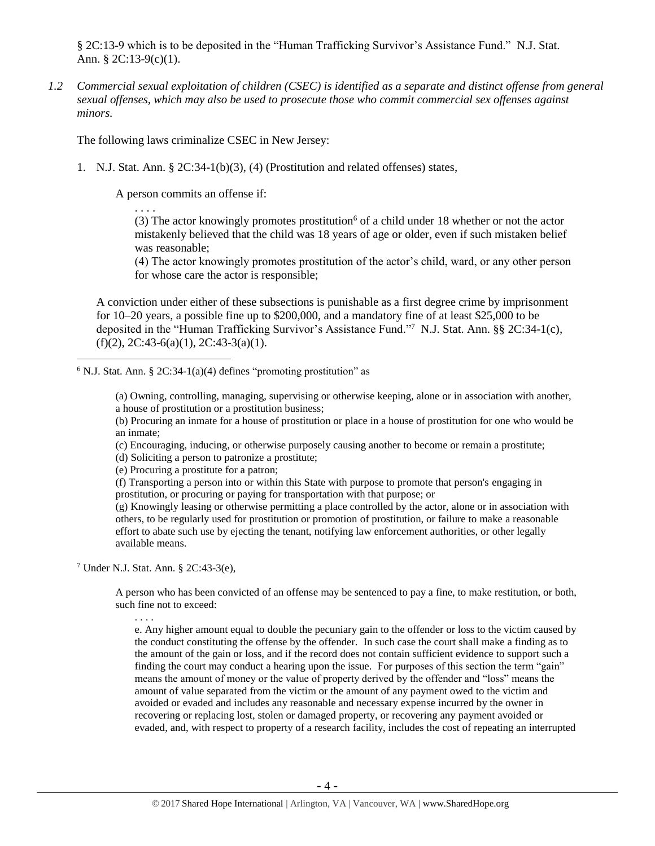§ 2C:13-9 which is to be deposited in the "Human Trafficking Survivor's Assistance Fund." N.J. Stat. Ann. § 2C:13-9(c)(1).

*1.2 Commercial sexual exploitation of children (CSEC) is identified as a separate and distinct offense from general sexual offenses, which may also be used to prosecute those who commit commercial sex offenses against minors.*

The following laws criminalize CSEC in New Jersey:

1. N.J. Stat. Ann. § 2C:34-1(b)(3), (4) (Prostitution and related offenses) states,

A person commits an offense if:

. . . .

 $\overline{a}$ 

(3) The actor knowingly promotes prostitution<sup>6</sup> of a child under 18 whether or not the actor mistakenly believed that the child was 18 years of age or older, even if such mistaken belief was reasonable;

(4) The actor knowingly promotes prostitution of the actor's child, ward, or any other person for whose care the actor is responsible;

A conviction under either of these subsections is punishable as a first degree crime by imprisonment for 10–20 years, a possible fine up to \$200,000, and a mandatory fine of at least \$25,000 to be deposited in the "Human Trafficking Survivor's Assistance Fund." <sup>7</sup> N.J. Stat. Ann. §§ 2C:34-1(c),  $(f)(2)$ , 2C:43-6(a)(1), 2C:43-3(a)(1).

 $6$  N.J. Stat. Ann. § 2C:34-1(a)(4) defines "promoting prostitution" as

(a) Owning, controlling, managing, supervising or otherwise keeping, alone or in association with another, a house of prostitution or a prostitution business;

(b) Procuring an inmate for a house of prostitution or place in a house of prostitution for one who would be an inmate;

(c) Encouraging, inducing, or otherwise purposely causing another to become or remain a prostitute;

(d) Soliciting a person to patronize a prostitute;

(e) Procuring a prostitute for a patron;

(f) Transporting a person into or within this State with purpose to promote that person's engaging in prostitution, or procuring or paying for transportation with that purpose; or

 $(g)$  Knowingly leasing or otherwise permitting a place controlled by the actor, alone or in association with others, to be regularly used for prostitution or promotion of prostitution, or failure to make a reasonable effort to abate such use by ejecting the tenant, notifying law enforcement authorities, or other legally available means.

 $7$  Under N.J. Stat. Ann. § 2C:43-3(e),

A person who has been convicted of an offense may be sentenced to pay a fine, to make restitution, or both, such fine not to exceed:

. . . .

e. Any higher amount equal to double the pecuniary gain to the offender or loss to the victim caused by the conduct constituting the offense by the offender. In such case the court shall make a finding as to the amount of the gain or loss, and if the record does not contain sufficient evidence to support such a finding the court may conduct a hearing upon the issue. For purposes of this section the term "gain" means the amount of money or the value of property derived by the offender and "loss" means the amount of value separated from the victim or the amount of any payment owed to the victim and avoided or evaded and includes any reasonable and necessary expense incurred by the owner in recovering or replacing lost, stolen or damaged property, or recovering any payment avoided or evaded, and, with respect to property of a research facility, includes the cost of repeating an interrupted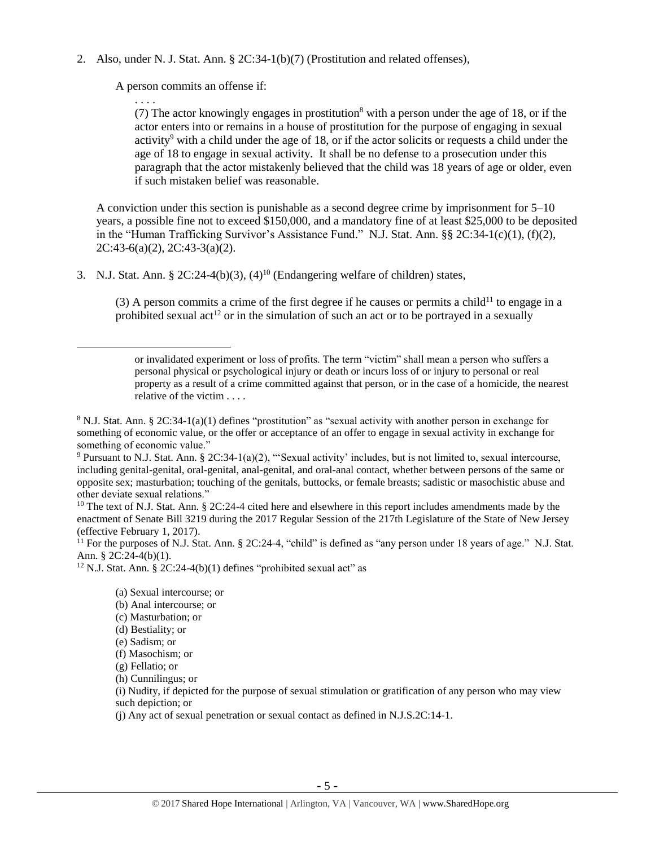2. Also, under N. J. Stat. Ann. § 2C:34-1(b)(7) (Prostitution and related offenses),

A person commits an offense if:

. . . .

 $\overline{a}$ 

<span id="page-4-0"></span>(7) The actor knowingly engages in prostitution<sup>8</sup> with a person under the age of 18, or if the actor enters into or remains in a house of prostitution for the purpose of engaging in sexual activity<sup>9</sup> with a child under the age of 18, or if the actor solicits or requests a child under the age of 18 to engage in sexual activity. It shall be no defense to a prosecution under this paragraph that the actor mistakenly believed that the child was 18 years of age or older, even if such mistaken belief was reasonable.

A conviction under this section is punishable as a second degree crime by imprisonment for 5–10 years, a possible fine not to exceed \$150,000, and a mandatory fine of at least \$25,000 to be deposited in the "Human Trafficking Survivor's Assistance Fund." N.J. Stat. Ann. §§ 2C:34-1(c)(1), (f)(2), 2C:43-6(a)(2), 2C:43-3(a)(2).

3. N.J. Stat. Ann. § 2C:24-4(b)(3),  $(4)^{10}$  (Endangering welfare of children) states,

<span id="page-4-1"></span>(3) A person commits a crime of the first degree if he causes or permits a child<sup>11</sup> to engage in a prohibited sexual act<sup>12</sup> or in the simulation of such an act or to be portrayed in a sexually

<sup>11</sup> For the purposes of N.J. Stat. Ann. § 2C:24-4, "child" is defined as "any person under 18 years of age." N.J. Stat. Ann. §  $2C:24-4(b)(1)$ .

<sup>12</sup> N.J. Stat. Ann. § 2C:24-4(b)(1) defines "prohibited sexual act" as

- (b) Anal intercourse; or
- (c) Masturbation; or
- (d) Bestiality; or
- (e) Sadism; or

(h) Cunnilingus; or

(i) Nudity, if depicted for the purpose of sexual stimulation or gratification of any person who may view such depiction; or

(j) Any act of sexual penetration or sexual contact as defined in N.J.S.2C:14-1.

<span id="page-4-3"></span><span id="page-4-2"></span>or invalidated experiment or loss of profits. The term "victim" shall mean a person who suffers a personal physical or psychological injury or death or incurs loss of or injury to personal or real property as a result of a crime committed against that person, or in the case of a homicide, the nearest relative of the victim . . . .

<sup>8</sup> N.J. Stat. Ann. § 2C:34-1(a)(1) defines "prostitution" as "sexual activity with another person in exchange for something of economic value, or the offer or acceptance of an offer to engage in sexual activity in exchange for something of economic value."

<sup>9</sup> Pursuant to N.J. Stat. Ann. § 2C:34-1(a)(2), "'Sexual activity' includes, but is not limited to, sexual intercourse, including genital-genital, oral-genital, anal-genital, and oral-anal contact, whether between persons of the same or opposite sex; masturbation; touching of the genitals, buttocks, or female breasts; sadistic or masochistic abuse and other deviate sexual relations."

<sup>&</sup>lt;sup>10</sup> The text of N.J. Stat. Ann. § 2C:24-4 cited here and elsewhere in this report includes amendments made by the enactment of Senate Bill 3219 during the 2017 Regular Session of the 217th Legislature of the State of New Jersey (effective February 1, 2017).

<sup>(</sup>a) Sexual intercourse; or

<sup>(</sup>f) Masochism; or

<sup>(</sup>g) Fellatio; or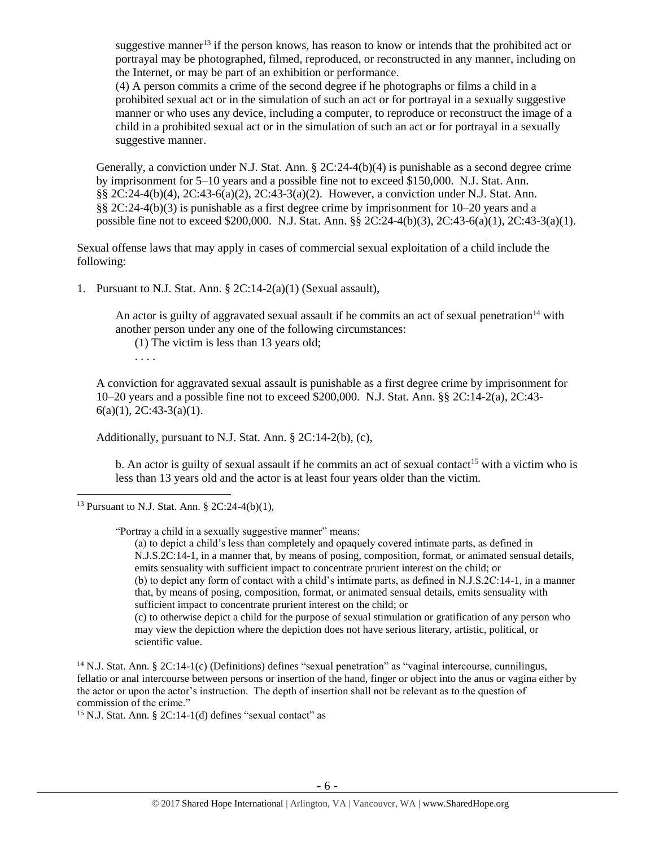<span id="page-5-0"></span>suggestive manner<sup>13</sup> if the person knows, has reason to know or intends that the prohibited act or portrayal may be photographed, filmed, reproduced, or reconstructed in any manner, including on the Internet, or may be part of an exhibition or performance.

(4) A person commits a crime of the second degree if he photographs or films a child in a prohibited sexual act or in the simulation of such an act or for portrayal in a sexually suggestive manner or who uses any device, including a computer, to reproduce or reconstruct the image of a child in a prohibited sexual act or in the simulation of such an act or for portrayal in a sexually suggestive manner.

Generally, a conviction under N.J. Stat. Ann. § 2C:24-4(b)(4) is punishable as a second degree crime by imprisonment for 5–10 years and a possible fine not to exceed \$150,000. N.J. Stat. Ann. §§ 2C:24-4(b)(4), 2C:43-6(a)(2), 2C:43-3(a)(2). However, a conviction under N.J. Stat. Ann. §§ 2C:24-4(b)(3) is punishable as a first degree crime by imprisonment for  $10-20$  years and a possible fine not to exceed \$200,000. N.J. Stat. Ann. §§ 2C:24-4(b)(3), 2C:43-6(a)(1), 2C:43-3(a)(1).

Sexual offense laws that may apply in cases of commercial sexual exploitation of a child include the following:

1. Pursuant to N.J. Stat. Ann. § 2C:14-2(a)(1) (Sexual assault),

An actor is guilty of aggravated sexual assault if he commits an act of sexual penetration<sup>14</sup> with another person under any one of the following circumstances:

(1) The victim is less than 13 years old;

<span id="page-5-1"></span>. . . .

 $\overline{a}$ 

A conviction for aggravated sexual assault is punishable as a first degree crime by imprisonment for 10–20 years and a possible fine not to exceed \$200,000. N.J. Stat. Ann. §§ 2C:14-2(a), 2C:43-  $6(a)(1), 2C:43-3(a)(1).$ 

Additionally, pursuant to N.J. Stat. Ann. § 2C:14-2(b), (c),

b. An actor is guilty of sexual assault if he commits an act of sexual contact<sup>15</sup> with a victim who is less than 13 years old and the actor is at least four years older than the victim.

"Portray a child in a sexually suggestive manner" means:

<span id="page-5-2"></span>(a) to depict a child's less than completely and opaquely covered intimate parts, as defined in N.J.S.2C:14-1, in a manner that, by means of posing, composition, format, or animated sensual details, emits sensuality with sufficient impact to concentrate prurient interest on the child; or (b) to depict any form of contact with a child's intimate parts, as defined in N.J.S.2C:14-1, in a manner that, by means of posing, composition, format, or animated sensual details, emits sensuality with sufficient impact to concentrate prurient interest on the child; or

(c) to otherwise depict a child for the purpose of sexual stimulation or gratification of any person who may view the depiction where the depiction does not have serious literary, artistic, political, or scientific value.

<sup>14</sup> N.J. Stat. Ann. § 2C:14-1(c) (Definitions) defines "sexual penetration" as "vaginal intercourse, cunnilingus, fellatio or anal intercourse between persons or insertion of the hand, finger or object into the anus or vagina either by the actor or upon the actor's instruction. The depth of insertion shall not be relevant as to the question of commission of the crime."

<sup>15</sup> N.J. Stat. Ann. § 2C:14-1(d) defines "sexual contact" as

<sup>13</sup> Pursuant to N.J. Stat. Ann. § 2C:24-4(b)(1),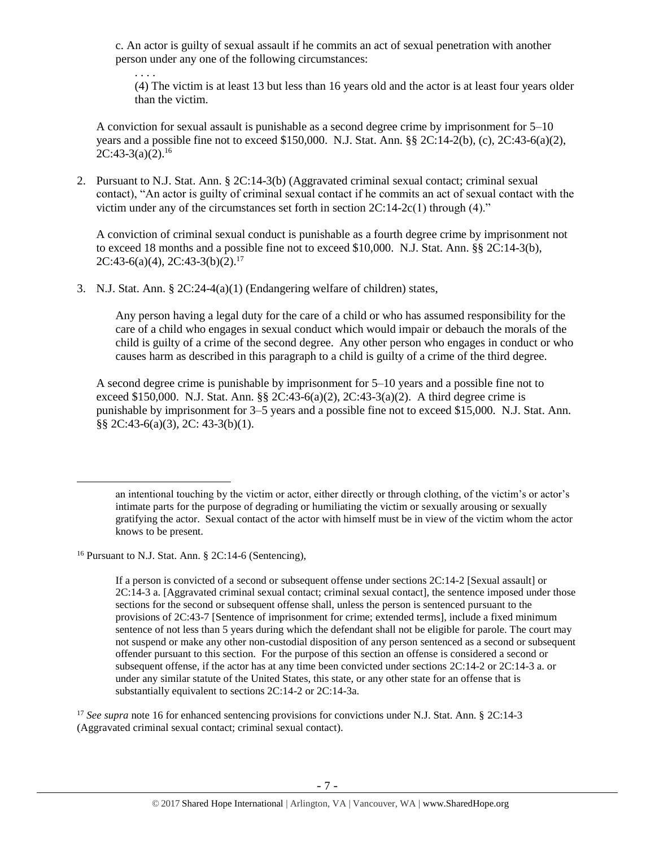c. An actor is guilty of sexual assault if he commits an act of sexual penetration with another person under any one of the following circumstances:

. . . .

(4) The victim is at least 13 but less than 16 years old and the actor is at least four years older than the victim.

<span id="page-6-0"></span>A conviction for sexual assault is punishable as a second degree crime by imprisonment for 5–10 years and a possible fine not to exceed \$150,000. N.J. Stat. Ann. §§ 2C:14-2(b), (c), 2C:43-6(a)(2),  $2C:43-3(a)(2).^{16}$ 

2. Pursuant to N.J. Stat. Ann. § 2C:14-3(b) (Aggravated criminal sexual contact; criminal sexual contact), "An actor is guilty of criminal sexual contact if he commits an act of sexual contact with the victim under any of the circumstances set forth in section 2C:14-2c(1) through (4)."

A conviction of criminal sexual conduct is punishable as a fourth degree crime by imprisonment not to exceed 18 months and a possible fine not to exceed \$10,000. N.J. Stat. Ann. §§ 2C:14-3(b),  $2C:43-6(a)(4), 2C:43-3(b)(2).17$ 

3. N.J. Stat. Ann. § 2C:24-4(a)(1) (Endangering welfare of children) states,

Any person having a legal duty for the care of a child or who has assumed responsibility for the care of a child who engages in sexual conduct which would impair or debauch the morals of the child is guilty of a crime of the second degree. Any other person who engages in conduct or who causes harm as described in this paragraph to a child is guilty of a crime of the third degree.

A second degree crime is punishable by imprisonment for 5–10 years and a possible fine not to exceed \$150,000. N.J. Stat. Ann. §§ 2C:43-6(a)(2), 2C:43-3(a)(2). A third degree crime is punishable by imprisonment for 3–5 years and a possible fine not to exceed \$15,000. N.J. Stat. Ann. §§ 2C:43-6(a)(3), 2C: 43-3(b)(1).

<sup>16</sup> Pursuant to N.J. Stat. Ann. § 2C:14-6 (Sentencing),

 $\overline{a}$ 

If a person is convicted of a second or subsequent offense under sections 2C:14-2 [Sexual assault] or 2C:14-3 a. [Aggravated criminal sexual contact; criminal sexual contact], the sentence imposed under those sections for the second or subsequent offense shall, unless the person is sentenced pursuant to the provisions of 2C:43-7 [Sentence of imprisonment for crime; extended terms], include a fixed minimum sentence of not less than 5 years during which the defendant shall not be eligible for parole. The court may not suspend or make any other non-custodial disposition of any person sentenced as a second or subsequent offender pursuant to this section. For the purpose of this section an offense is considered a second or subsequent offense, if the actor has at any time been convicted under sections 2C:14-2 or 2C:14-3 a. or under any similar statute of the United States, this state, or any other state for an offense that is substantially equivalent to sections 2C:14-2 or 2C:14-3a.

<sup>17</sup> *See supra* note [16](#page-6-0) for enhanced sentencing provisions for convictions under N.J. Stat. Ann. § 2C:14-3 (Aggravated criminal sexual contact; criminal sexual contact).

an intentional touching by the victim or actor, either directly or through clothing, of the victim's or actor's intimate parts for the purpose of degrading or humiliating the victim or sexually arousing or sexually gratifying the actor. Sexual contact of the actor with himself must be in view of the victim whom the actor knows to be present.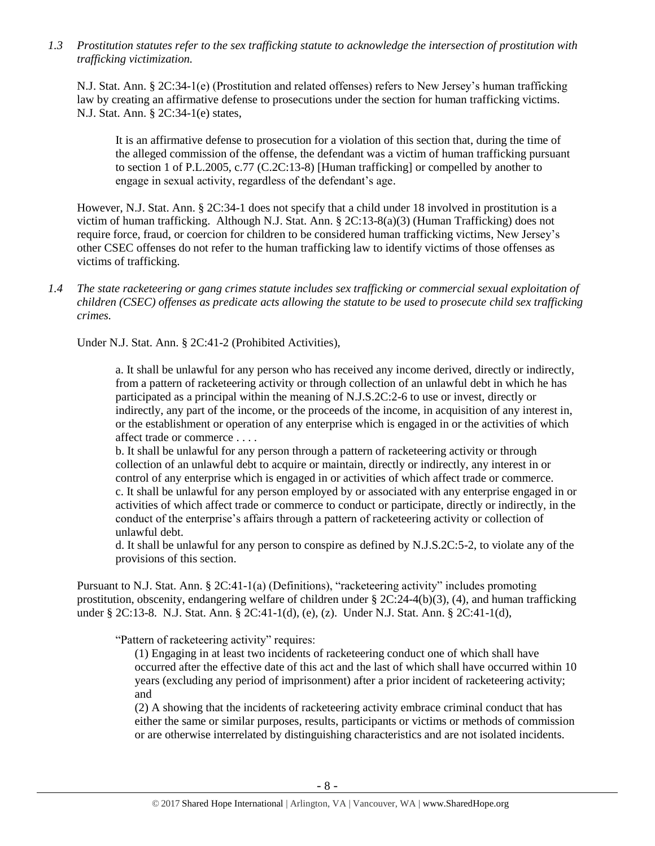*1.3 Prostitution statutes refer to the sex trafficking statute to acknowledge the intersection of prostitution with trafficking victimization.* 

N.J. Stat. Ann. § 2C:34-1(e) (Prostitution and related offenses) refers to New Jersey's human trafficking law by creating an affirmative defense to prosecutions under the section for human trafficking victims. N.J. Stat. Ann. § 2C:34-1(e) states,

It is an affirmative defense to prosecution for a violation of this section that, during the time of the alleged commission of the offense, the defendant was a victim of human trafficking pursuant to section 1 of P.L.2005, c.77 (C.2C:13-8) [Human trafficking] or compelled by another to engage in sexual activity, regardless of the defendant's age.

However, N.J. Stat. Ann. § 2C:34-1 does not specify that a child under 18 involved in prostitution is a victim of human trafficking. Although N.J. Stat. Ann. § 2C:13-8(a)(3) (Human Trafficking) does not require force, fraud, or coercion for children to be considered human trafficking victims, New Jersey's other CSEC offenses do not refer to the human trafficking law to identify victims of those offenses as victims of trafficking.

*1.4 The state racketeering or gang crimes statute includes sex trafficking or commercial sexual exploitation of children (CSEC) offenses as predicate acts allowing the statute to be used to prosecute child sex trafficking crimes.* 

Under N.J. Stat. Ann. § 2C:41-2 (Prohibited Activities),

a. It shall be unlawful for any person who has received any income derived, directly or indirectly, from a pattern of racketeering activity or through collection of an unlawful debt in which he has participated as a principal within the meaning of N.J.S.2C:2-6 to use or invest, directly or indirectly, any part of the income, or the proceeds of the income, in acquisition of any interest in, or the establishment or operation of any enterprise which is engaged in or the activities of which affect trade or commerce . . . .

b. It shall be unlawful for any person through a pattern of racketeering activity or through collection of an unlawful debt to acquire or maintain, directly or indirectly, any interest in or control of any enterprise which is engaged in or activities of which affect trade or commerce. c. It shall be unlawful for any person employed by or associated with any enterprise engaged in or activities of which affect trade or commerce to conduct or participate, directly or indirectly, in the conduct of the enterprise's affairs through a pattern of racketeering activity or collection of unlawful debt.

d. It shall be unlawful for any person to conspire as defined by N.J.S.2C:5-2, to violate any of the provisions of this section.

Pursuant to N.J. Stat. Ann.  $\S 2C:41-1(a)$  (Definitions), "racketeering activity" includes promoting prostitution, obscenity, endangering welfare of children under § 2C:24-4(b)(3), (4), and human trafficking under § 2C:13-8. N.J. Stat. Ann. § 2C:41-1(d), (e), (z). Under N.J. Stat. Ann. § 2C:41-1(d),

"Pattern of racketeering activity" requires:

(1) Engaging in at least two incidents of racketeering conduct one of which shall have occurred after the effective date of this act and the last of which shall have occurred within 10 years (excluding any period of imprisonment) after a prior incident of racketeering activity; and

(2) A showing that the incidents of racketeering activity embrace criminal conduct that has either the same or similar purposes, results, participants or victims or methods of commission or are otherwise interrelated by distinguishing characteristics and are not isolated incidents.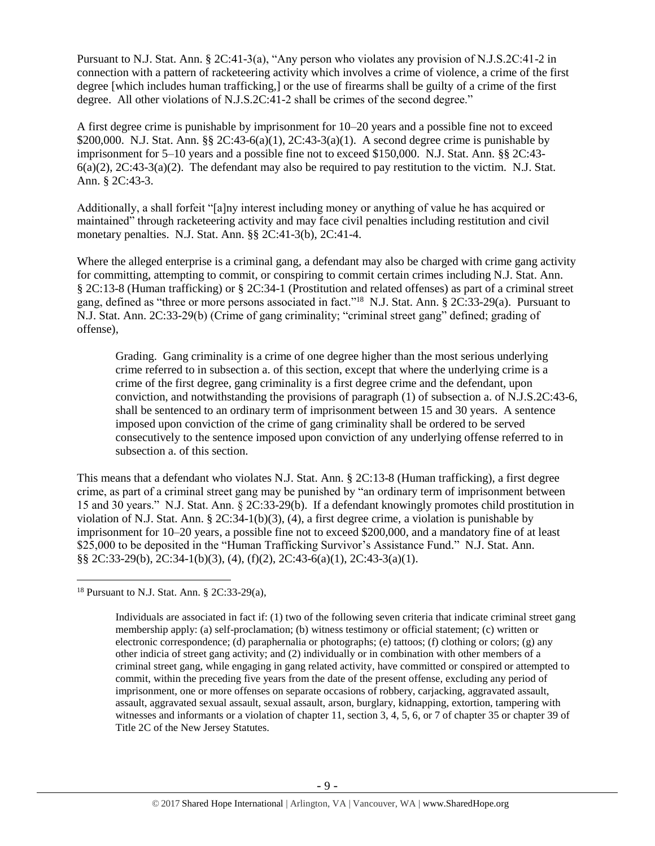Pursuant to N.J. Stat. Ann. § 2C:41-3(a), "Any person who violates any provision of N.J.S.2C:41-2 in connection with a pattern of racketeering activity which involves a crime of violence, a crime of the first degree [which includes human trafficking,] or the use of firearms shall be guilty of a crime of the first degree. All other violations of N.J.S.2C:41-2 shall be crimes of the second degree."

A first degree crime is punishable by imprisonment for 10–20 years and a possible fine not to exceed \$200,000. N.J. Stat. Ann. §§ 2C:43-6(a)(1), 2C:43-3(a)(1). A second degree crime is punishable by imprisonment for 5–10 years and a possible fine not to exceed \$150,000. N.J. Stat. Ann. §§ 2C:43-  $6(a)(2)$ ,  $2C:43-3(a)(2)$ . The defendant may also be required to pay restitution to the victim. N.J. Stat. Ann. § 2C:43-3.

Additionally, a shall forfeit "[a]ny interest including money or anything of value he has acquired or maintained" through racketeering activity and may face civil penalties including restitution and civil monetary penalties. N.J. Stat. Ann. §§ 2C:41-3(b), 2C:41-4.

Where the alleged enterprise is a criminal gang, a defendant may also be charged with crime gang activity for committing, attempting to commit, or conspiring to commit certain crimes including N.J. Stat. Ann. § 2C:13-8 (Human trafficking) or § 2C:34-1 (Prostitution and related offenses) as part of a criminal street gang, defined as "three or more persons associated in fact."<sup>18</sup> N.J. Stat. Ann. § 2C:33-29(a). Pursuant to N.J. Stat. Ann. 2C:33-29(b) (Crime of gang criminality; "criminal street gang" defined; grading of offense),

Grading. Gang criminality is a crime of one degree higher than the most serious underlying crime referred to in subsection a. of this section, except that where the underlying crime is a crime of the first degree, gang criminality is a first degree crime and the defendant, upon conviction, and notwithstanding the provisions of paragraph (1) of subsection a. of N.J.S.2C:43-6, shall be sentenced to an ordinary term of imprisonment between 15 and 30 years. A sentence imposed upon conviction of the crime of gang criminality shall be ordered to be served consecutively to the sentence imposed upon conviction of any underlying offense referred to in subsection a. of this section.

This means that a defendant who violates N.J. Stat. Ann. § 2C:13-8 (Human trafficking), a first degree crime, as part of a criminal street gang may be punished by "an ordinary term of imprisonment between 15 and 30 years." N.J. Stat. Ann. § 2C:33-29(b). If a defendant knowingly promotes child prostitution in violation of N.J. Stat. Ann. § 2C:34-1(b)(3), (4), a first degree crime, a violation is punishable by imprisonment for 10–20 years, a possible fine not to exceed \$200,000, and a mandatory fine of at least \$25,000 to be deposited in the "Human Trafficking Survivor's Assistance Fund." N.J. Stat. Ann. §§ 2C:33-29(b), 2C:34-1(b)(3), (4), (f)(2), 2C:43-6(a)(1), 2C:43-3(a)(1).

<sup>18</sup> Pursuant to N.J. Stat. Ann. § 2C:33-29(a),

Individuals are associated in fact if: (1) two of the following seven criteria that indicate criminal street gang membership apply: (a) self-proclamation; (b) witness testimony or official statement; (c) written or electronic correspondence; (d) paraphernalia or photographs; (e) tattoos; (f) clothing or colors; (g) any other indicia of street gang activity; and (2) individually or in combination with other members of a criminal street gang, while engaging in gang related activity, have committed or conspired or attempted to commit, within the preceding five years from the date of the present offense, excluding any period of imprisonment, one or more offenses on separate occasions of robbery, carjacking, aggravated assault, assault, aggravated sexual assault, sexual assault, arson, burglary, kidnapping, extortion, tampering with witnesses and informants or a violation of chapter 11, section 3, 4, 5, 6, or 7 of chapter 35 or chapter 39 of Title 2C of the New Jersey Statutes.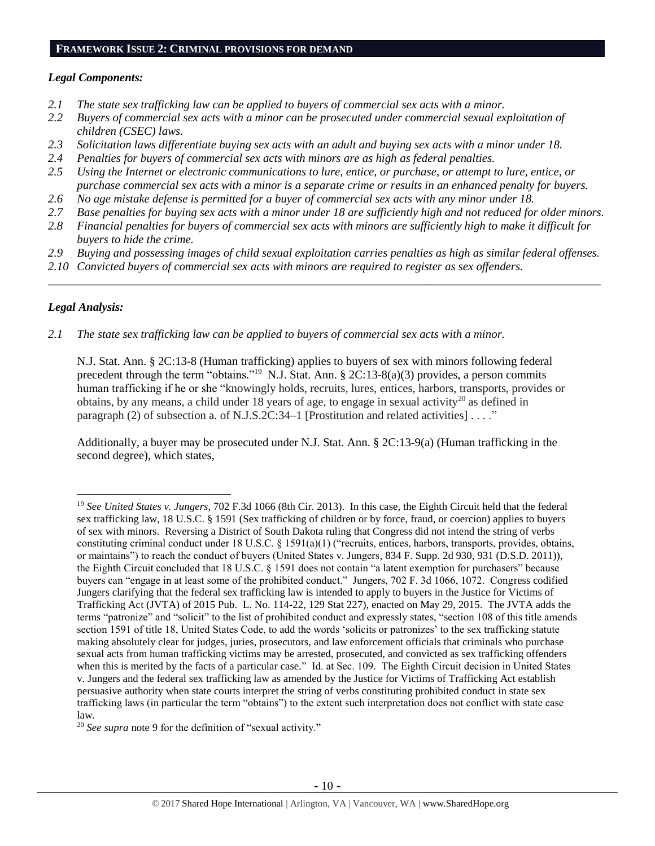#### **FRAMEWORK ISSUE 2: CRIMINAL PROVISIONS FOR DEMAND**

#### *Legal Components:*

- *2.1 The state sex trafficking law can be applied to buyers of commercial sex acts with a minor.*
- *2.2 Buyers of commercial sex acts with a minor can be prosecuted under commercial sexual exploitation of children (CSEC) laws.*
- *2.3 Solicitation laws differentiate buying sex acts with an adult and buying sex acts with a minor under 18.*
- *2.4 Penalties for buyers of commercial sex acts with minors are as high as federal penalties.*
- *2.5 Using the Internet or electronic communications to lure, entice, or purchase, or attempt to lure, entice, or purchase commercial sex acts with a minor is a separate crime or results in an enhanced penalty for buyers.*
- *2.6 No age mistake defense is permitted for a buyer of commercial sex acts with any minor under 18.*
- *2.7 Base penalties for buying sex acts with a minor under 18 are sufficiently high and not reduced for older minors.*
- *2.8 Financial penalties for buyers of commercial sex acts with minors are sufficiently high to make it difficult for buyers to hide the crime.*
- *2.9 Buying and possessing images of child sexual exploitation carries penalties as high as similar federal offenses.*

\_\_\_\_\_\_\_\_\_\_\_\_\_\_\_\_\_\_\_\_\_\_\_\_\_\_\_\_\_\_\_\_\_\_\_\_\_\_\_\_\_\_\_\_\_\_\_\_\_\_\_\_\_\_\_\_\_\_\_\_\_\_\_\_\_\_\_\_\_\_\_\_\_\_\_\_\_\_\_\_\_\_\_\_\_\_\_\_\_\_\_\_\_\_

*2.10 Convicted buyers of commercial sex acts with minors are required to register as sex offenders.* 

## *Legal Analysis:*

 $\overline{a}$ 

*2.1 The state sex trafficking law can be applied to buyers of commercial sex acts with a minor.*

N.J. Stat. Ann. § 2C:13-8 (Human trafficking) applies to buyers of sex with minors following federal precedent through the term "obtains."<sup>19</sup> N.J. Stat. Ann. § 2C:13-8(a)(3) provides, a person commits human trafficking if he or she "knowingly holds, recruits, lures, entices, harbors, transports, provides or obtains, by any means, a child under 18 years of age, to engage in sexual activity<sup>20</sup> as defined in paragraph (2) of subsection a. of N.J.S.2C:34–1 [Prostitution and related activities] . . . ."

Additionally, a buyer may be prosecuted under N.J. Stat. Ann. § 2C:13-9(a) (Human trafficking in the second degree), which states,

<sup>19</sup> *See United States v. Jungers*, 702 F.3d 1066 (8th Cir. 2013). In this case, the Eighth Circuit held that the federal sex trafficking law, 18 U.S.C. § 1591 (Sex trafficking of children or by force, fraud, or coercion) applies to buyers of sex with minors. Reversing a District of South Dakota ruling that Congress did not intend the string of verbs constituting criminal conduct under 18 U.S.C. § 1591(a)(1) ("recruits, entices, harbors, transports, provides, obtains, or maintains") to reach the conduct of buyers (United States v. Jungers, 834 F. Supp. 2d 930, 931 (D.S.D. 2011)), the Eighth Circuit concluded that 18 U.S.C. § 1591 does not contain "a latent exemption for purchasers" because buyers can "engage in at least some of the prohibited conduct." Jungers, 702 F. 3d 1066, 1072. Congress codified Jungers clarifying that the federal sex trafficking law is intended to apply to buyers in the Justice for Victims of Trafficking Act (JVTA) of 2015 Pub. L. No. 114-22, 129 Stat 227), enacted on May 29, 2015. The JVTA adds the terms "patronize" and "solicit" to the list of prohibited conduct and expressly states, "section 108 of this title amends section 1591 of title 18, United States Code, to add the words 'solicits or patronizes' to the sex trafficking statute making absolutely clear for judges, juries, prosecutors, and law enforcement officials that criminals who purchase sexual acts from human trafficking victims may be arrested, prosecuted, and convicted as sex trafficking offenders when this is merited by the facts of a particular case." Id. at Sec. 109. The Eighth Circuit decision in United States v. Jungers and the federal sex trafficking law as amended by the Justice for Victims of Trafficking Act establish persuasive authority when state courts interpret the string of verbs constituting prohibited conduct in state sex trafficking laws (in particular the term "obtains") to the extent such interpretation does not conflict with state case law.

<sup>&</sup>lt;sup>20</sup> See supra note [9](#page-4-0) for the definition of "sexual activity."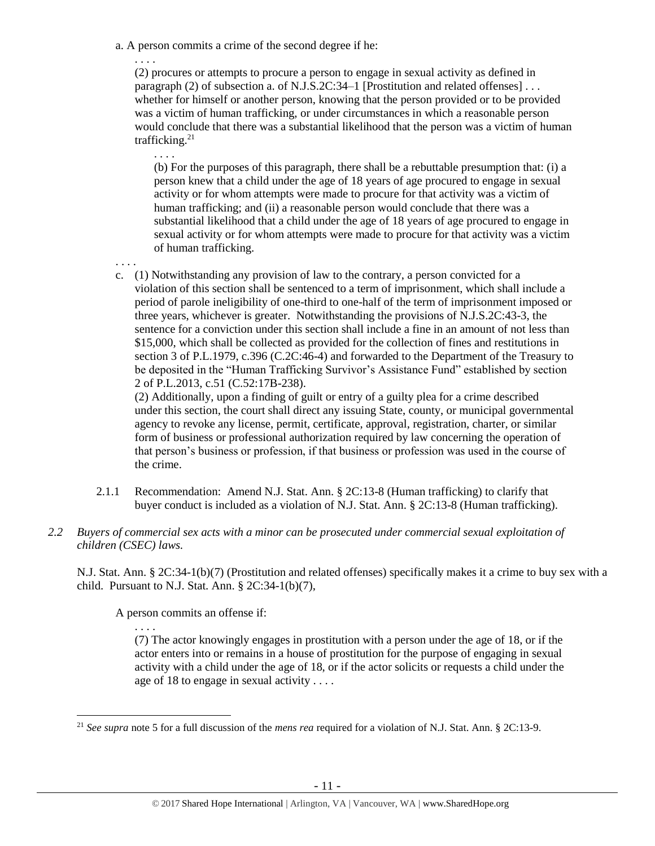a. A person commits a crime of the second degree if he:

. . . .

. . . . (2) procures or attempts to procure a person to engage in sexual activity as defined in paragraph (2) of subsection a. of N.J.S.2C:34–1 [Prostitution and related offenses] . . . whether for himself or another person, knowing that the person provided or to be provided was a victim of human trafficking, or under circumstances in which a reasonable person would conclude that there was a substantial likelihood that the person was a victim of human trafficking.<sup>21</sup>

(b) For the purposes of this paragraph, there shall be a rebuttable presumption that: (i) a person knew that a child under the age of 18 years of age procured to engage in sexual activity or for whom attempts were made to procure for that activity was a victim of human trafficking; and (ii) a reasonable person would conclude that there was a substantial likelihood that a child under the age of 18 years of age procured to engage in sexual activity or for whom attempts were made to procure for that activity was a victim of human trafficking.

. . . . c. (1) Notwithstanding any provision of law to the contrary, a person convicted for a violation of this section shall be sentenced to a term of imprisonment, which shall include a period of parole ineligibility of one-third to one-half of the term of imprisonment imposed or three years, whichever is greater. Notwithstanding the provisions of N.J.S.2C:43-3, the sentence for a conviction under this section shall include a fine in an amount of not less than \$15,000, which shall be collected as provided for the collection of fines and restitutions in section 3 of P.L.1979, c.396 (C.2C:46-4) and forwarded to the Department of the Treasury to be deposited in the "Human Trafficking Survivor's Assistance Fund" established by section 2 of P.L.2013, c.51 (C.52:17B-238).

(2) Additionally, upon a finding of guilt or entry of a guilty plea for a crime described under this section, the court shall direct any issuing State, county, or municipal governmental agency to revoke any license, permit, certificate, approval, registration, charter, or similar form of business or professional authorization required by law concerning the operation of that person's business or profession, if that business or profession was used in the course of the crime.

- 2.1.1 Recommendation: Amend N.J. Stat. Ann. § 2C:13-8 (Human trafficking) to clarify that buyer conduct is included as a violation of N.J. Stat. Ann. § 2C:13-8 (Human trafficking).
- *2.2 Buyers of commercial sex acts with a minor can be prosecuted under commercial sexual exploitation of children (CSEC) laws.*

N.J. Stat. Ann. § 2C:34-1(b)(7) (Prostitution and related offenses) specifically makes it a crime to buy sex with a child. Pursuant to N.J. Stat. Ann.  $\S 2C:34-1(b)(7)$ ,

A person commits an offense if:

 $\overline{a}$ 

. . . . (7) The actor knowingly engages in prostitution with a person under the age of 18, or if the actor enters into or remains in a house of prostitution for the purpose of engaging in sexual activity with a child under the age of 18, or if the actor solicits or requests a child under the age of 18 to engage in sexual activity . . . .

<sup>21</sup> *See supra* note [5](#page-2-0) for a full discussion of the *mens rea* required for a violation of N.J. Stat. Ann. § 2C:13-9.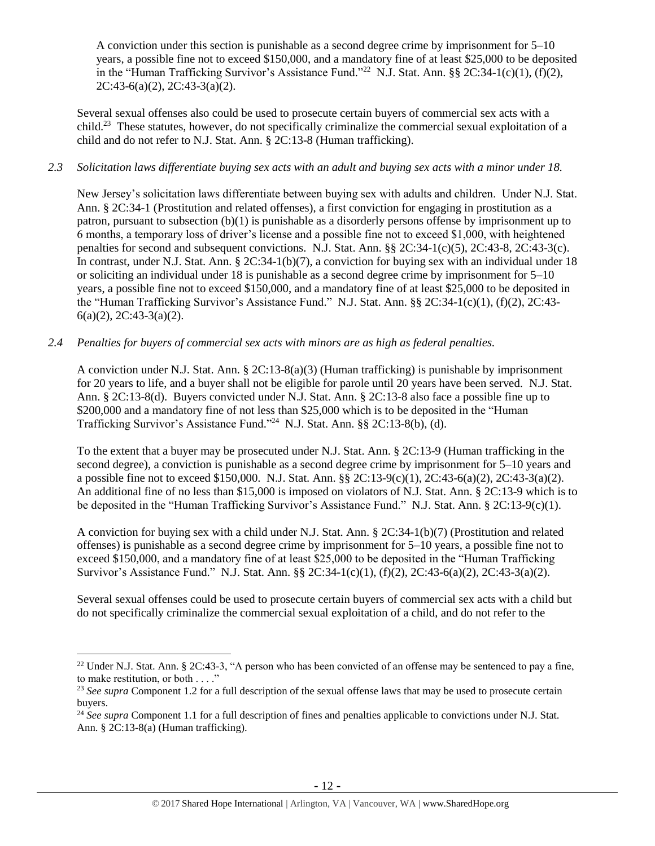A conviction under this section is punishable as a second degree crime by imprisonment for 5–10 years, a possible fine not to exceed \$150,000, and a mandatory fine of at least \$25,000 to be deposited in the "Human Trafficking Survivor's Assistance Fund." <sup>22</sup> N.J. Stat. Ann. §§ 2C:34-1(c)(1), (f)(2), 2C:43-6(a)(2), 2C:43-3(a)(2).

Several sexual offenses also could be used to prosecute certain buyers of commercial sex acts with a child.<sup>23</sup> These statutes, however, do not specifically criminalize the commercial sexual exploitation of a child and do not refer to N.J. Stat. Ann. § 2C:13-8 (Human trafficking).

# *2.3 Solicitation laws differentiate buying sex acts with an adult and buying sex acts with a minor under 18.*

New Jersey's solicitation laws differentiate between buying sex with adults and children. Under N.J. Stat. Ann. § 2C:34-1 (Prostitution and related offenses), a first conviction for engaging in prostitution as a patron, pursuant to subsection (b)(1) is punishable as a disorderly persons offense by imprisonment up to 6 months, a temporary loss of driver's license and a possible fine not to exceed \$1,000, with heightened penalties for second and subsequent convictions. N.J. Stat. Ann. §§ 2C:34-1(c)(5), 2C:43-8, 2C:43-3(c). In contrast, under N.J. Stat. Ann. § 2C:34-1(b)(7), a conviction for buying sex with an individual under 18 or soliciting an individual under 18 is punishable as a second degree crime by imprisonment for 5–10 years, a possible fine not to exceed \$150,000, and a mandatory fine of at least \$25,000 to be deposited in the "Human Trafficking Survivor's Assistance Fund." N.J. Stat. Ann. §§ 2C:34-1(c)(1), (f)(2), 2C:43-  $6(a)(2)$ ,  $2C:43-3(a)(2)$ .

# *2.4 Penalties for buyers of commercial sex acts with minors are as high as federal penalties.*

A conviction under N.J. Stat. Ann. § 2C:13-8(a)(3) (Human trafficking) is punishable by imprisonment for 20 years to life, and a buyer shall not be eligible for parole until 20 years have been served. N.J. Stat. Ann. § 2C:13-8(d). Buyers convicted under N.J. Stat. Ann. § 2C:13-8 also face a possible fine up to \$200,000 and a mandatory fine of not less than \$25,000 which is to be deposited in the "Human" Trafficking Survivor's Assistance Fund." <sup>24</sup> N.J. Stat. Ann. §§ 2C:13-8(b), (d).

To the extent that a buyer may be prosecuted under N.J. Stat. Ann. § 2C:13-9 (Human trafficking in the second degree), a conviction is punishable as a second degree crime by imprisonment for 5–10 years and a possible fine not to exceed \$150,000. N.J. Stat. Ann. §§ 2C:13-9(c)(1), 2C:43-6(a)(2), 2C:43-3(a)(2). An additional fine of no less than \$15,000 is imposed on violators of N.J. Stat. Ann. § 2C:13-9 which is to be deposited in the "Human Trafficking Survivor's Assistance Fund." N.J. Stat. Ann. § 2C:13-9(c)(1).

A conviction for buying sex with a child under N.J. Stat. Ann. § 2C:34-1(b)(7) (Prostitution and related offenses) is punishable as a second degree crime by imprisonment for 5–10 years, a possible fine not to exceed \$150,000, and a mandatory fine of at least \$25,000 to be deposited in the "Human Trafficking" Survivor's Assistance Fund." N.J. Stat. Ann. §§ 2C:34-1(c)(1), (f)(2), 2C:43-6(a)(2), 2C:43-3(a)(2).

Several sexual offenses could be used to prosecute certain buyers of commercial sex acts with a child but do not specifically criminalize the commercial sexual exploitation of a child, and do not refer to the

<sup>&</sup>lt;sup>22</sup> Under N.J. Stat. Ann. § 2C:43-3, "A person who has been convicted of an offense may be sentenced to pay a fine, to make restitution, or both . . . ."

<sup>&</sup>lt;sup>23</sup> See supra Component 1.2 for a full description of the sexual offense laws that may be used to prosecute certain buyers.

<sup>&</sup>lt;sup>24</sup> See supra Component 1.1 for a full description of fines and penalties applicable to convictions under N.J. Stat. Ann. § 2C:13-8(a) (Human trafficking).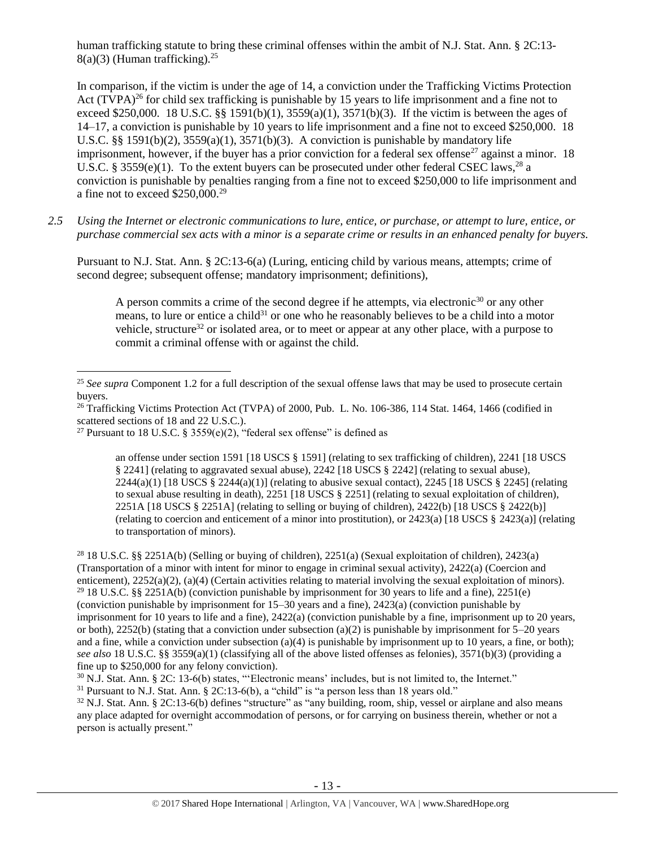human trafficking statute to bring these criminal offenses within the ambit of N.J. Stat. Ann. § 2C:13-  $8(a)(3)$  (Human trafficking).<sup>25</sup>

<span id="page-12-0"></span>In comparison, if the victim is under the age of 14, a conviction under the Trafficking Victims Protection Act  $(TVPA)^{26}$  for child sex trafficking is punishable by 15 years to life imprisonment and a fine not to exceed \$250,000. 18 U.S.C. §§ 1591(b)(1), 3559(a)(1), 3571(b)(3). If the victim is between the ages of 14–17, a conviction is punishable by 10 years to life imprisonment and a fine not to exceed \$250,000. 18 U.S.C. §§ 1591(b)(2),  $3559(a)(1)$ ,  $3571(b)(3)$ . A conviction is punishable by mandatory life imprisonment, however, if the buyer has a prior conviction for a federal sex offense<sup>27</sup> against a minor. 18 U.S.C. § 3559(e)(1). To the extent buyers can be prosecuted under other federal CSEC laws,<sup>28</sup> a conviction is punishable by penalties ranging from a fine not to exceed \$250,000 to life imprisonment and a fine not to exceed \$250,000.<sup>29</sup>

*2.5 Using the Internet or electronic communications to lure, entice, or purchase, or attempt to lure, entice, or purchase commercial sex acts with a minor is a separate crime or results in an enhanced penalty for buyers.*

Pursuant to N.J. Stat. Ann. § 2C:13-6(a) (Luring, enticing child by various means, attempts; crime of second degree; subsequent offense; mandatory imprisonment; definitions),

<span id="page-12-2"></span><span id="page-12-1"></span>A person commits a crime of the second degree if he attempts, via electronic<sup>30</sup> or any other means, to lure or entice a child<sup>31</sup> or one who he reasonably believes to be a child into a motor vehicle, structure<sup>32</sup> or isolated area, or to meet or appear at any other place, with a purpose to commit a criminal offense with or against the child.

 $\overline{a}$ 

an offense under section 1591 [18 USCS § 1591] (relating to sex trafficking of children), 2241 [18 USCS § 2241] (relating to aggravated sexual abuse), 2242 [18 USCS § 2242] (relating to sexual abuse),  $2244(a)(1)$  [18 USCS §  $2244(a)(1)$ ] (relating to abusive sexual contact),  $2245$  [18 USCS § 2245] (relating to sexual abuse resulting in death), 2251 [18 USCS § 2251] (relating to sexual exploitation of children), 2251A [18 USCS § 2251A] (relating to selling or buying of children), 2422(b) [18 USCS § 2422(b)] (relating to coercion and enticement of a minor into prostitution), or 2423(a) [18 USCS § 2423(a)] (relating to transportation of minors).

<sup>28</sup> 18 U.S.C. §§ 2251A(b) (Selling or buying of children), 2251(a) (Sexual exploitation of children), 2423(a) (Transportation of a minor with intent for minor to engage in criminal sexual activity), 2422(a) (Coercion and enticement), 2252(a)(2), (a)(4) (Certain activities relating to material involving the sexual exploitation of minors). <sup>29</sup> 18 U.S.C. §§ 2251A(b) (conviction punishable by imprisonment for 30 years to life and a fine), 2251(e) (conviction punishable by imprisonment for 15–30 years and a fine), 2423(a) (conviction punishable by imprisonment for 10 years to life and a fine), 2422(a) (conviction punishable by a fine, imprisonment up to 20 years, or both), 2252(b) (stating that a conviction under subsection (a)(2) is punishable by imprisonment for  $5-20$  years and a fine, while a conviction under subsection (a)(4) is punishable by imprisonment up to 10 years, a fine, or both); *see also* 18 U.S.C. §§ 3559(a)(1) (classifying all of the above listed offenses as felonies), 3571(b)(3) (providing a fine up to \$250,000 for any felony conviction).

 $32$  N.J. Stat. Ann. § 2C:13-6(b) defines "structure" as "any building, room, ship, vessel or airplane and also means any place adapted for overnight accommodation of persons, or for carrying on business therein, whether or not a person is actually present."

<sup>&</sup>lt;sup>25</sup> See supra Component 1.2 for a full description of the sexual offense laws that may be used to prosecute certain buyers.

<sup>&</sup>lt;sup>26</sup> Trafficking Victims Protection Act (TVPA) of 2000, Pub. L. No. 106-386, 114 Stat. 1464, 1466 (codified in scattered sections of 18 and 22 U.S.C.).

<sup>&</sup>lt;sup>27</sup> Pursuant to 18 U.S.C. § 3559(e)(2), "federal sex offense" is defined as

<sup>30</sup> N.J. Stat. Ann. § 2C: 13-6(b) states, "'Electronic means' includes, but is not limited to, the Internet."

 $31$  Pursuant to N.J. Stat. Ann. § 2C:13-6(b), a "child" is "a person less than 18 years old."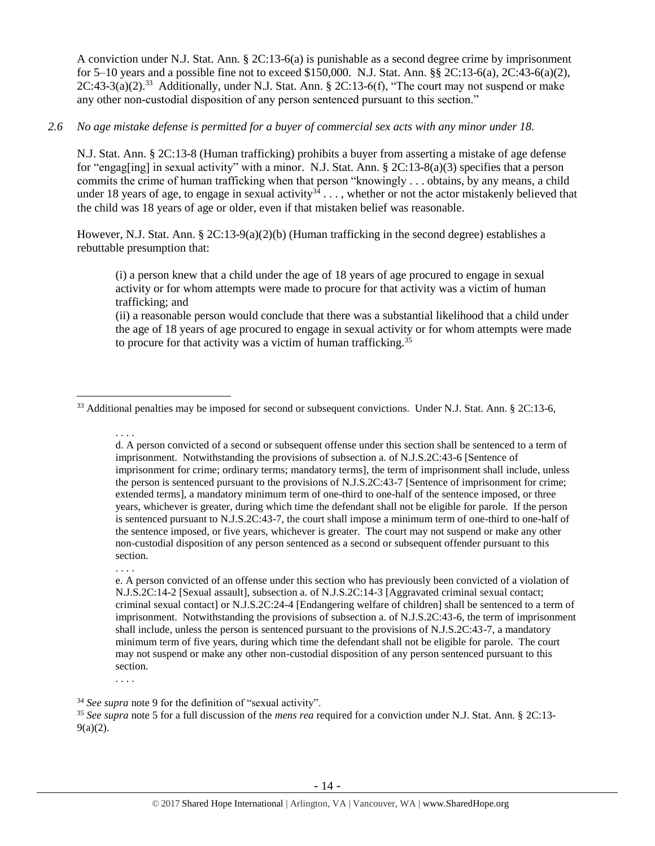<span id="page-13-0"></span>A conviction under N.J. Stat. Ann. § 2C:13-6(a) is punishable as a second degree crime by imprisonment for 5–10 years and a possible fine not to exceed \$150,000. N.J. Stat. Ann. §§ 2C:13-6(a), 2C:43-6(a)(2), 2C:43-3(a)(2).<sup>33</sup> Additionally, under N.J. Stat. Ann. § 2C:13-6(f), "The court may not suspend or make any other non-custodial disposition of any person sentenced pursuant to this section."

# *2.6 No age mistake defense is permitted for a buyer of commercial sex acts with any minor under 18.*

N.J. Stat. Ann. § 2C:13-8 (Human trafficking) prohibits a buyer from asserting a mistake of age defense for "engag[ing] in sexual activity" with a minor. N.J. Stat. Ann. § 2C:13-8(a)(3) specifies that a person commits the crime of human trafficking when that person "knowingly . . . obtains, by any means, a child under 18 years of age, to engage in sexual activity<sup>34</sup> ..., whether or not the actor mistakenly believed that the child was 18 years of age or older, even if that mistaken belief was reasonable.

However, N.J. Stat. Ann. § 2C:13-9(a)(2)(b) (Human trafficking in the second degree) establishes a rebuttable presumption that:

(i) a person knew that a child under the age of 18 years of age procured to engage in sexual activity or for whom attempts were made to procure for that activity was a victim of human trafficking; and

(ii) a reasonable person would conclude that there was a substantial likelihood that a child under the age of 18 years of age procured to engage in sexual activity or for whom attempts were made to procure for that activity was a victim of human trafficking.<sup>35</sup>

. . . . d. A person convicted of a second or subsequent offense under this section shall be sentenced to a term of imprisonment. Notwithstanding the provisions of subsection a. of N.J.S.2C:43-6 [Sentence of imprisonment for crime; ordinary terms; mandatory terms], the term of imprisonment shall include, unless the person is sentenced pursuant to the provisions of N.J.S.2C:43-7 [Sentence of imprisonment for crime; extended terms], a mandatory minimum term of one-third to one-half of the sentence imposed, or three years, whichever is greater, during which time the defendant shall not be eligible for parole. If the person is sentenced pursuant to N.J.S.2C:43-7, the court shall impose a minimum term of one-third to one-half of the sentence imposed, or five years, whichever is greater. The court may not suspend or make any other non-custodial disposition of any person sentenced as a second or subsequent offender pursuant to this section.

. . . .

e. A person convicted of an offense under this section who has previously been convicted of a violation of N.J.S.2C:14-2 [Sexual assault], subsection a. of N.J.S.2C:14-3 [Aggravated criminal sexual contact; criminal sexual contact] or N.J.S.2C:24-4 [Endangering welfare of children] shall be sentenced to a term of imprisonment. Notwithstanding the provisions of subsection a. of N.J.S.2C:43-6, the term of imprisonment shall include, unless the person is sentenced pursuant to the provisions of N.J.S.2C:43-7, a mandatory minimum term of five years, during which time the defendant shall not be eligible for parole. The court may not suspend or make any other non-custodial disposition of any person sentenced pursuant to this section.

. . . .

<sup>35</sup> *See supra* note [5](#page-2-0) for a full discussion of the *mens rea* required for a conviction under N.J. Stat. Ann. § 2C:13-  $9(a)(2)$ .

 $\overline{a}$ <sup>33</sup> Additional penalties may be imposed for second or subsequent convictions. Under N.J. Stat. Ann. § 2C:13-6,

<sup>34</sup> *See supra* note [9](#page-4-0) for the definition of "sexual activity".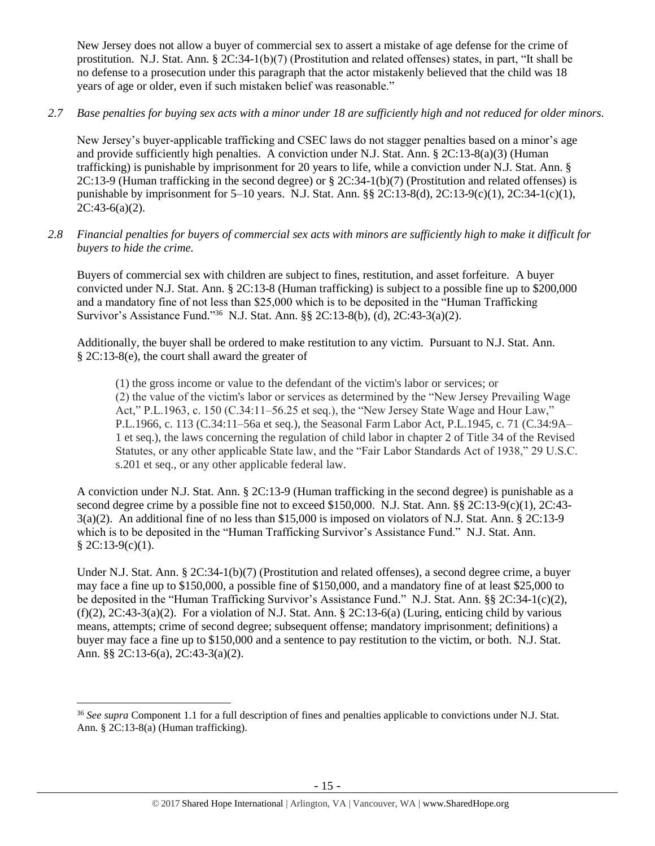New Jersey does not allow a buyer of commercial sex to assert a mistake of age defense for the crime of prostitution. N.J. Stat. Ann. § 2C:34-1(b)(7) (Prostitution and related offenses) states, in part, "It shall be no defense to a prosecution under this paragraph that the actor mistakenly believed that the child was 18 years of age or older, even if such mistaken belief was reasonable."

*2.7 Base penalties for buying sex acts with a minor under 18 are sufficiently high and not reduced for older minors.*

New Jersey's buyer-applicable trafficking and CSEC laws do not stagger penalties based on a minor's age and provide sufficiently high penalties. A conviction under N.J. Stat. Ann. § 2C:13-8(a)(3) (Human trafficking) is punishable by imprisonment for 20 years to life, while a conviction under N.J. Stat. Ann. § 2C:13-9 (Human trafficking in the second degree) or § 2C:34-1(b)(7) (Prostitution and related offenses) is punishable by imprisonment for 5–10 years. N.J. Stat. Ann. §§ 2C:13-8(d), 2C:13-9(c)(1), 2C:34-1(c)(1),  $2C:43-6(a)(2)$ .

*2.8 Financial penalties for buyers of commercial sex acts with minors are sufficiently high to make it difficult for buyers to hide the crime.* 

Buyers of commercial sex with children are subject to fines, restitution, and asset forfeiture. A buyer convicted under N.J. Stat. Ann. § 2C:13-8 (Human trafficking) is subject to a possible fine up to \$200,000 and a mandatory fine of not less than \$25,000 which is to be deposited in the "Human Trafficking Survivor's Assistance Fund."<sup>36</sup> N.J. Stat. Ann. §§ 2C:13-8(b), (d), 2C:43-3(a)(2).

Additionally, the buyer shall be ordered to make restitution to any victim. Pursuant to N.J. Stat. Ann. § 2C:13-8(e), the court shall award the greater of

(1) the gross income or value to the defendant of the victim's labor or services; or (2) the value of the victim's labor or services as determined by the "New Jersey Prevailing Wage Act," P.L.1963, c. 150 (C.34:11–56.25 et seq.), the "New Jersey State Wage and Hour Law," P.L.1966, c. 113 (C.34:11–56a et seq.), the Seasonal Farm Labor Act, P.L.1945, c. 71 (C.34:9A– 1 et seq.), the laws concerning the regulation of child labor in chapter 2 of Title 34 of the Revised Statutes, or any other applicable State law, and the "Fair Labor Standards Act of 1938," 29 U.S.C. s.201 et seq., or any other applicable federal law.

A conviction under N.J. Stat. Ann. § 2C:13-9 (Human trafficking in the second degree) is punishable as a second degree crime by a possible fine not to exceed \$150,000. N.J. Stat. Ann. §§ 2C:13-9(c)(1), 2C:43- 3(a)(2). An additional fine of no less than \$15,000 is imposed on violators of N.J. Stat. Ann. § 2C:13-9 which is to be deposited in the "Human Trafficking Survivor's Assistance Fund." N.J. Stat. Ann.  $$2C:13-9(c)(1).$ 

Under N.J. Stat. Ann. § 2C:34-1(b)(7) (Prostitution and related offenses), a second degree crime, a buyer may face a fine up to \$150,000, a possible fine of \$150,000, and a mandatory fine of at least \$25,000 to be deposited in the "Human Trafficking Survivor's Assistance Fund." N.J. Stat. Ann. §§ 2C:34-1(c)(2), (f)(2), 2C:43-3(a)(2). For a violation of N.J. Stat. Ann. § 2C:13-6(a) (Luring, enticing child by various means, attempts; crime of second degree; subsequent offense; mandatory imprisonment; definitions) a buyer may face a fine up to \$150,000 and a sentence to pay restitution to the victim, or both. N.J. Stat. Ann. §§ 2C:13-6(a), 2C:43-3(a)(2).

 $\overline{a}$ <sup>36</sup> *See supra* Component 1.1 for a full description of fines and penalties applicable to convictions under N.J. Stat. Ann. § 2C:13-8(a) (Human trafficking).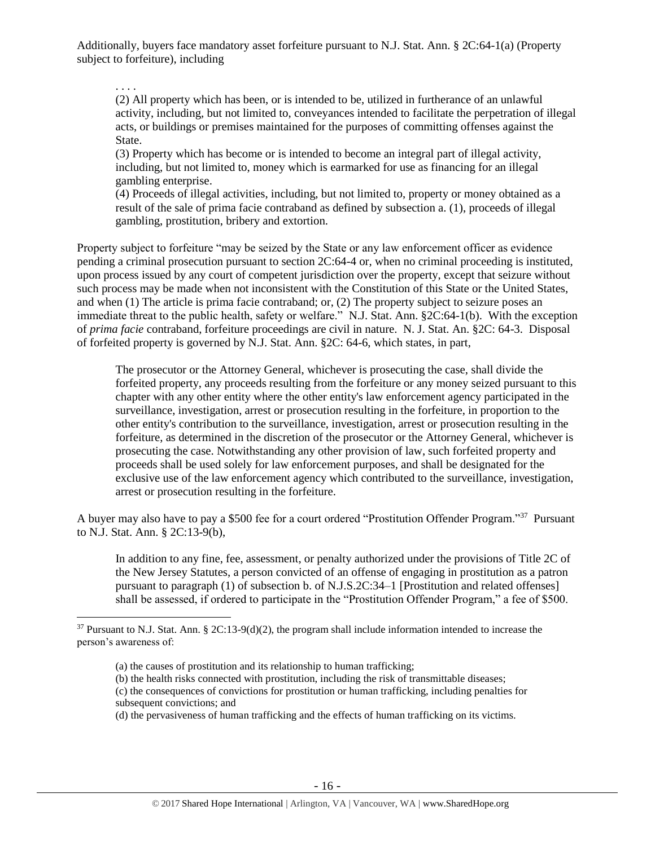Additionally, buyers face mandatory asset forfeiture pursuant to N.J. Stat. Ann. § 2C:64-1(a) (Property subject to forfeiture), including

. . . . (2) All property which has been, or is intended to be, utilized in furtherance of an unlawful activity, including, but not limited to, conveyances intended to facilitate the perpetration of illegal acts, or buildings or premises maintained for the purposes of committing offenses against the State.

(3) Property which has become or is intended to become an integral part of illegal activity, including, but not limited to, money which is earmarked for use as financing for an illegal gambling enterprise.

(4) Proceeds of illegal activities, including, but not limited to, property or money obtained as a result of the sale of prima facie contraband as defined by subsection a. (1), proceeds of illegal gambling, prostitution, bribery and extortion.

Property subject to forfeiture "may be seized by the State or any law enforcement officer as evidence pending a criminal prosecution pursuant to section 2C:64-4 or, when no criminal proceeding is instituted, upon process issued by any court of competent jurisdiction over the property, except that seizure without such process may be made when not inconsistent with the Constitution of this State or the United States, and when (1) The article is prima facie contraband; or, (2) The property subject to seizure poses an immediate threat to the public health, safety or welfare." N.J. Stat. Ann. §2C:64-1(b). With the exception of *prima facie* contraband, forfeiture proceedings are civil in nature. N. J. Stat. An. §2C: 64-3. Disposal of forfeited property is governed by N.J. Stat. Ann. §2C: 64-6, which states, in part,

The prosecutor or the Attorney General, whichever is prosecuting the case, shall divide the forfeited property, any proceeds resulting from the forfeiture or any money seized pursuant to this chapter with any other entity where the other entity's law enforcement agency participated in the surveillance, investigation, arrest or prosecution resulting in the forfeiture, in proportion to the other entity's contribution to the surveillance, investigation, arrest or prosecution resulting in the forfeiture, as determined in the discretion of the prosecutor or the Attorney General, whichever is prosecuting the case. Notwithstanding any other provision of law, such forfeited property and proceeds shall be used solely for law enforcement purposes, and shall be designated for the exclusive use of the law enforcement agency which contributed to the surveillance, investigation, arrest or prosecution resulting in the forfeiture.

A buyer may also have to pay a \$500 fee for a court ordered "Prostitution Offender Program."<sup>37</sup> Pursuant to N.J. Stat. Ann. § 2C:13-9(b),

In addition to any fine, fee, assessment, or penalty authorized under the provisions of Title 2C of the New Jersey Statutes, a person convicted of an offense of engaging in prostitution as a patron pursuant to paragraph (1) of subsection b. of N.J.S.2C:34–1 [Prostitution and related offenses] shall be assessed, if ordered to participate in the "Prostitution Offender Program," a fee of \$500.

<sup>37</sup> Pursuant to N.J. Stat. Ann. § 2C:13-9(d)(2), the program shall include information intended to increase the person's awareness of:

<sup>(</sup>a) the causes of prostitution and its relationship to human trafficking;

<sup>(</sup>b) the health risks connected with prostitution, including the risk of transmittable diseases;

<sup>(</sup>c) the consequences of convictions for prostitution or human trafficking, including penalties for subsequent convictions; and

<sup>(</sup>d) the pervasiveness of human trafficking and the effects of human trafficking on its victims.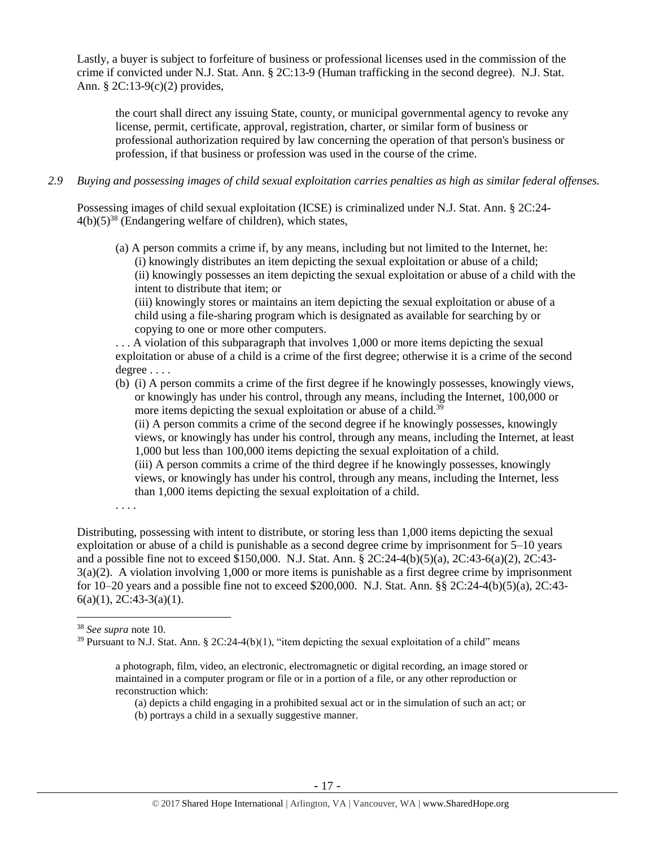Lastly, a buyer is subject to forfeiture of business or professional licenses used in the commission of the crime if convicted under N.J. Stat. Ann. § 2C:13-9 (Human trafficking in the second degree). N.J. Stat. Ann. § 2C:13-9(c)(2) provides,

the court shall direct any issuing State, county, or municipal governmental agency to revoke any license, permit, certificate, approval, registration, charter, or similar form of business or professional authorization required by law concerning the operation of that person's business or profession, if that business or profession was used in the course of the crime.

#### *2.9 Buying and possessing images of child sexual exploitation carries penalties as high as similar federal offenses.*

Possessing images of child sexual exploitation (ICSE) is criminalized under N.J. Stat. Ann. § 2C:24-  $4(b)(5)^{38}$  (Endangering welfare of children), which states,

(a) A person commits a crime if, by any means, including but not limited to the Internet, he: (i) knowingly distributes an item depicting the sexual exploitation or abuse of a child; (ii) knowingly possesses an item depicting the sexual exploitation or abuse of a child with the intent to distribute that item; or

(iii) knowingly stores or maintains an item depicting the sexual exploitation or abuse of a child using a file-sharing program which is designated as available for searching by or copying to one or more other computers.

. . . A violation of this subparagraph that involves 1,000 or more items depicting the sexual exploitation or abuse of a child is a crime of the first degree; otherwise it is a crime of the second degree . . . .

(b) (i) A person commits a crime of the first degree if he knowingly possesses, knowingly views, or knowingly has under his control, through any means, including the Internet, 100,000 or more items depicting the sexual exploitation or abuse of a child.<sup>39</sup>

(ii) A person commits a crime of the second degree if he knowingly possesses, knowingly views, or knowingly has under his control, through any means, including the Internet, at least 1,000 but less than 100,000 items depicting the sexual exploitation of a child.

(iii) A person commits a crime of the third degree if he knowingly possesses, knowingly views, or knowingly has under his control, through any means, including the Internet, less than 1,000 items depicting the sexual exploitation of a child.

. . . .

Distributing, possessing with intent to distribute, or storing less than 1,000 items depicting the sexual exploitation or abuse of a child is punishable as a second degree crime by imprisonment for 5–10 years and a possible fine not to exceed \$150,000. N.J. Stat. Ann. § 2C:24-4(b)(5)(a), 2C:43-6(a)(2), 2C:43- 3(a)(2). A violation involving 1,000 or more items is punishable as a first degree crime by imprisonment for 10–20 years and a possible fine not to exceed \$200,000. N.J. Stat. Ann. §§ 2C:24-4(b)(5)(a), 2C:43-  $6(a)(1), 2C:43-3(a)(1).$ 

<sup>38</sup> *See supra* note [10.](#page-4-1)

<sup>&</sup>lt;sup>39</sup> Pursuant to N.J. Stat. Ann. § 2C:24-4(b)(1), "item depicting the sexual exploitation of a child" means

a photograph, film, video, an electronic, electromagnetic or digital recording, an image stored or maintained in a computer program or file or in a portion of a file, or any other reproduction or reconstruction which:

<sup>(</sup>a) depicts a child engaging in a prohibited sexual act or in the simulation of such an act; or (b) portrays a child in a sexually suggestive manner.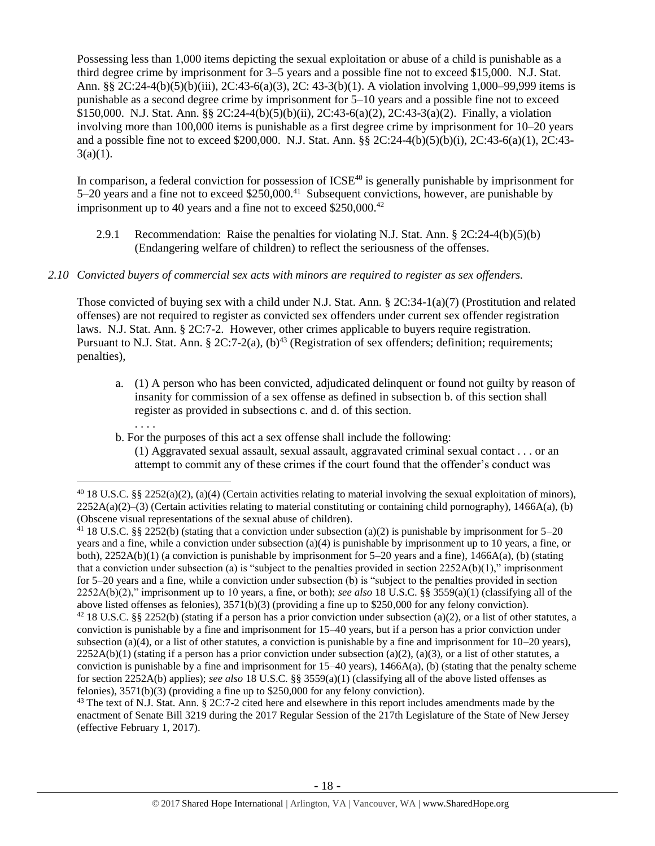Possessing less than 1,000 items depicting the sexual exploitation or abuse of a child is punishable as a third degree crime by imprisonment for 3–5 years and a possible fine not to exceed \$15,000. N.J. Stat. Ann. §§ 2C:24-4(b)(5)(b)(iii), 2C:43-6(a)(3), 2C: 43-3(b)(1). A violation involving 1,000–99,999 items is punishable as a second degree crime by imprisonment for 5–10 years and a possible fine not to exceed \$150,000. N.J. Stat. Ann. §§ 2C:24-4(b)(5)(b)(ii), 2C:43-6(a)(2), 2C:43-3(a)(2). Finally, a violation involving more than 100,000 items is punishable as a first degree crime by imprisonment for 10–20 years and a possible fine not to exceed \$200,000. N.J. Stat. Ann. §§ 2C:24-4(b)(5)(b)(i), 2C:43-6(a)(1), 2C:43-  $3(a)(1)$ .

In comparison, a federal conviction for possession of  $ICSE<sup>40</sup>$  is generally punishable by imprisonment for 5–20 years and a fine not to exceed \$250,000.<sup>41</sup> Subsequent convictions, however, are punishable by imprisonment up to 40 years and a fine not to exceed \$250,000.<sup>42</sup>

2.9.1 Recommendation: Raise the penalties for violating N.J. Stat. Ann. § 2C:24-4(b)(5)(b) (Endangering welfare of children) to reflect the seriousness of the offenses.

## *2.10 Convicted buyers of commercial sex acts with minors are required to register as sex offenders.*

Those convicted of buying sex with a child under N.J. Stat. Ann. § 2C:34-1(a)(7) (Prostitution and related offenses) are not required to register as convicted sex offenders under current sex offender registration laws. N.J. Stat. Ann. § 2C:7-2. However, other crimes applicable to buyers require registration. Pursuant to N.J. Stat. Ann. § 2C:7-2(a),  $(b)^{43}$  (Registration of sex offenders; definition; requirements; penalties),

- a. (1) A person who has been convicted, adjudicated delinquent or found not guilty by reason of insanity for commission of a sex offense as defined in subsection b. of this section shall register as provided in subsections c. and d. of this section.
- b. For the purposes of this act a sex offense shall include the following:

<span id="page-17-0"></span>. . . .

 $\overline{a}$ 

(1) Aggravated sexual assault, sexual assault, aggravated criminal sexual contact . . . or an attempt to commit any of these crimes if the court found that the offender's conduct was

<sup>41</sup> 18 U.S.C. §§ 2252(b) (stating that a conviction under subsection (a)(2) is punishable by imprisonment for 5–20 years and a fine, while a conviction under subsection (a)(4) is punishable by imprisonment up to 10 years, a fine, or both), 2252A(b)(1) (a conviction is punishable by imprisonment for 5–20 years and a fine), 1466A(a), (b) (stating that a conviction under subsection (a) is "subject to the penalties provided in section  $2252A(b)(1)$ ," imprisonment for 5–20 years and a fine, while a conviction under subsection (b) is "subject to the penalties provided in section 2252A(b)(2)," imprisonment up to 10 years, a fine, or both); *see also* 18 U.S.C. §§ 3559(a)(1) (classifying all of the above listed offenses as felonies), 3571(b)(3) (providing a fine up to \$250,000 for any felony conviction).

<sup>43</sup> The text of N.J. Stat. Ann. § 2C:7-2 cited here and elsewhere in this report includes amendments made by the enactment of Senate Bill 3219 during the 2017 Regular Session of the 217th Legislature of the State of New Jersey (effective February 1, 2017).

<sup>&</sup>lt;sup>40</sup> 18 U.S.C. §§ 2252(a)(2), (a)(4) (Certain activities relating to material involving the sexual exploitation of minors),  $2252A(a)(2)$ –(3) (Certain activities relating to material constituting or containing child pornography), 1466A(a), (b) (Obscene visual representations of the sexual abuse of children).

<sup>&</sup>lt;sup>42</sup> 18 U.S.C. §§ 2252(b) (stating if a person has a prior conviction under subsection (a)(2), or a list of other statutes, a conviction is punishable by a fine and imprisonment for 15–40 years, but if a person has a prior conviction under subsection (a)(4), or a list of other statutes, a conviction is punishable by a fine and imprisonment for  $10-20$  years),  $2252A(b)(1)$  (stating if a person has a prior conviction under subsection (a)(2), (a)(3), or a list of other statutes, a conviction is punishable by a fine and imprisonment for  $15-40$  years),  $1466A(a)$ , (b) (stating that the penalty scheme for section 2252A(b) applies); *see also* 18 U.S.C. §§ 3559(a)(1) (classifying all of the above listed offenses as felonies), 3571(b)(3) (providing a fine up to \$250,000 for any felony conviction).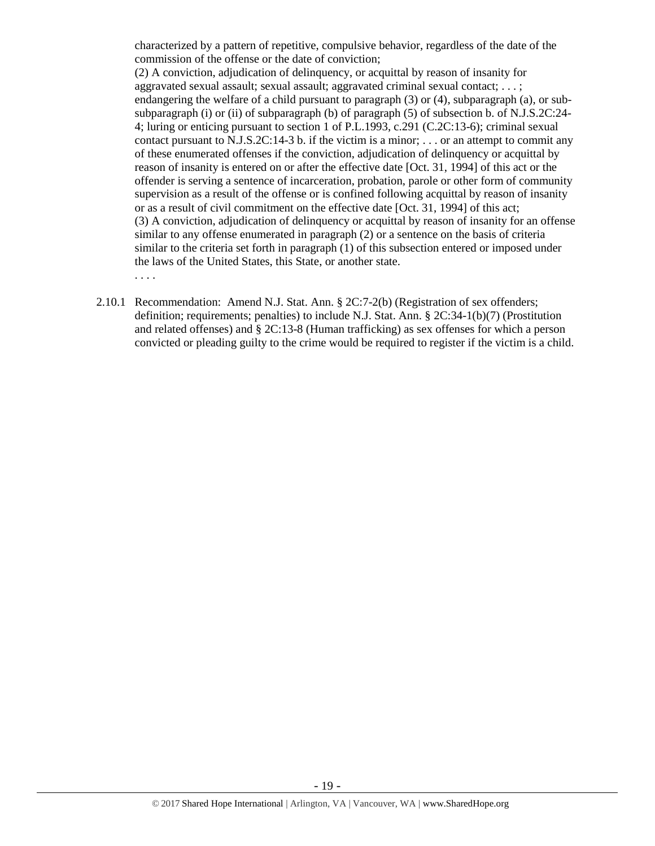characterized by a pattern of repetitive, compulsive behavior, regardless of the date of the commission of the offense or the date of conviction;

(2) A conviction, adjudication of delinquency, or acquittal by reason of insanity for aggravated sexual assault; sexual assault; aggravated criminal sexual contact; . . . ; endangering the welfare of a child pursuant to paragraph (3) or (4), subparagraph (a), or subsubparagraph (i) or (ii) of subparagraph (b) of paragraph (5) of subsection b. of N.J.S.2C:24-4; luring or enticing pursuant to section 1 of P.L.1993, c.291 (C.2C:13-6); criminal sexual contact pursuant to N.J.S.2C:14-3 b. if the victim is a minor; ... or an attempt to commit any of these enumerated offenses if the conviction, adjudication of delinquency or acquittal by reason of insanity is entered on or after the effective date [Oct. 31, 1994] of this act or the offender is serving a sentence of incarceration, probation, parole or other form of community supervision as a result of the offense or is confined following acquittal by reason of insanity or as a result of civil commitment on the effective date [Oct. 31, 1994] of this act; (3) A conviction, adjudication of delinquency or acquittal by reason of insanity for an offense similar to any offense enumerated in paragraph (2) or a sentence on the basis of criteria similar to the criteria set forth in paragraph (1) of this subsection entered or imposed under the laws of the United States, this State, or another state. . . . .

2.10.1 Recommendation: Amend N.J. Stat. Ann. § 2C:7-2(b) (Registration of sex offenders; definition; requirements; penalties) to include N.J. Stat. Ann. § 2C:34-1(b)(7) (Prostitution and related offenses) and § 2C:13-8 (Human trafficking) as sex offenses for which a person convicted or pleading guilty to the crime would be required to register if the victim is a child.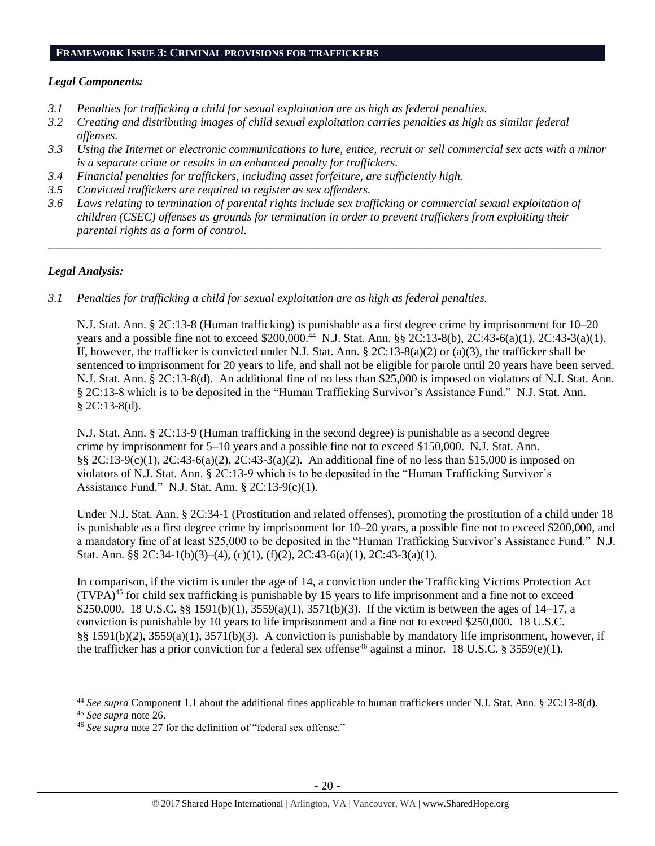## **FRAMEWORK ISSUE 3: CRIMINAL PROVISIONS FOR TRAFFICKERS**

## *Legal Components:*

- *3.1 Penalties for trafficking a child for sexual exploitation are as high as federal penalties.*
- *3.2 Creating and distributing images of child sexual exploitation carries penalties as high as similar federal offenses.*
- *3.3 Using the Internet or electronic communications to lure, entice, recruit or sell commercial sex acts with a minor is a separate crime or results in an enhanced penalty for traffickers.*
- *3.4 Financial penalties for traffickers, including asset forfeiture, are sufficiently high.*
- *3.5 Convicted traffickers are required to register as sex offenders.*
- *3.6 Laws relating to termination of parental rights include sex trafficking or commercial sexual exploitation of children (CSEC) offenses as grounds for termination in order to prevent traffickers from exploiting their parental rights as a form of control.*

*\_\_\_\_\_\_\_\_\_\_\_\_\_\_\_\_\_\_\_\_\_\_\_\_\_\_\_\_\_\_\_\_\_\_\_\_\_\_\_\_\_\_\_\_\_\_\_\_\_\_\_\_\_\_\_\_\_\_\_\_\_\_\_\_\_\_\_\_\_\_\_\_\_\_\_\_\_\_\_\_\_\_\_\_\_\_\_\_\_\_\_\_\_\_*

# *Legal Analysis:*

 $\overline{a}$ 

*3.1 Penalties for trafficking a child for sexual exploitation are as high as federal penalties.* 

N.J. Stat. Ann. § 2C:13-8 (Human trafficking) is punishable as a first degree crime by imprisonment for 10–20 years and a possible fine not to exceed \$200,000.<sup>44</sup> N.J. Stat. Ann. §§ 2C:13-8(b), 2C:43-6(a)(1), 2C:43-3(a)(1). If, however, the trafficker is convicted under N.J. Stat. Ann.  $\S 2C:13-8(a)(2)$  or (a)(3), the trafficker shall be sentenced to imprisonment for 20 years to life, and shall not be eligible for parole until 20 years have been served. N.J. Stat. Ann. § 2C:13-8(d). An additional fine of no less than \$25,000 is imposed on violators of N.J. Stat. Ann. § 2C:13-8 which is to be deposited in the "Human Trafficking Survivor's Assistance Fund." N.J. Stat. Ann.  $$2C:13-8(d).$ 

N.J. Stat. Ann. § 2C:13-9 (Human trafficking in the second degree) is punishable as a second degree crime by imprisonment for 5–10 years and a possible fine not to exceed \$150,000. N.J. Stat. Ann. §§ 2C:13-9(c)(1), 2C:43-6(a)(2), 2C:43-3(a)(2). An additional fine of no less than \$15,000 is imposed on violators of N.J. Stat. Ann. § 2C:13-9 which is to be deposited in the "Human Trafficking Survivor's Assistance Fund." N.J. Stat. Ann. § 2C:13-9(c)(1).

Under N.J. Stat. Ann. § 2C:34-1 (Prostitution and related offenses), promoting the prostitution of a child under 18 is punishable as a first degree crime by imprisonment for 10–20 years, a possible fine not to exceed \$200,000, and a mandatory fine of at least \$25,000 to be deposited in the "Human Trafficking Survivor's Assistance Fund." N.J. Stat. Ann. §§ 2C:34-1(b)(3)–(4), (c)(1), (f)(2), 2C:43-6(a)(1), 2C:43-3(a)(1).

In comparison, if the victim is under the age of 14, a conviction under the Trafficking Victims Protection Act  $(TVPA)<sup>45</sup>$  for child sex trafficking is punishable by 15 years to life imprisonment and a fine not to exceed \$250,000. 18 U.S.C. §§ 1591(b)(1), 3559(a)(1), 3571(b)(3). If the victim is between the ages of 14–17, a conviction is punishable by 10 years to life imprisonment and a fine not to exceed \$250,000. 18 U.S.C. §§ 1591(b)(2), 3559(a)(1), 3571(b)(3). A conviction is punishable by mandatory life imprisonment, however, if the trafficker has a prior conviction for a federal sex offense<sup>46</sup> against a minor. 18 U.S.C. § 3559(e)(1).

<sup>44</sup> *See supra* Component 1.1 about the additional fines applicable to human traffickers under N.J. Stat. Ann. § 2C:13-8(d). <sup>45</sup> *See supra* note [26.](#page-12-0)

<sup>46</sup> *See supra* note [27](#page-12-1) for the definition of "federal sex offense."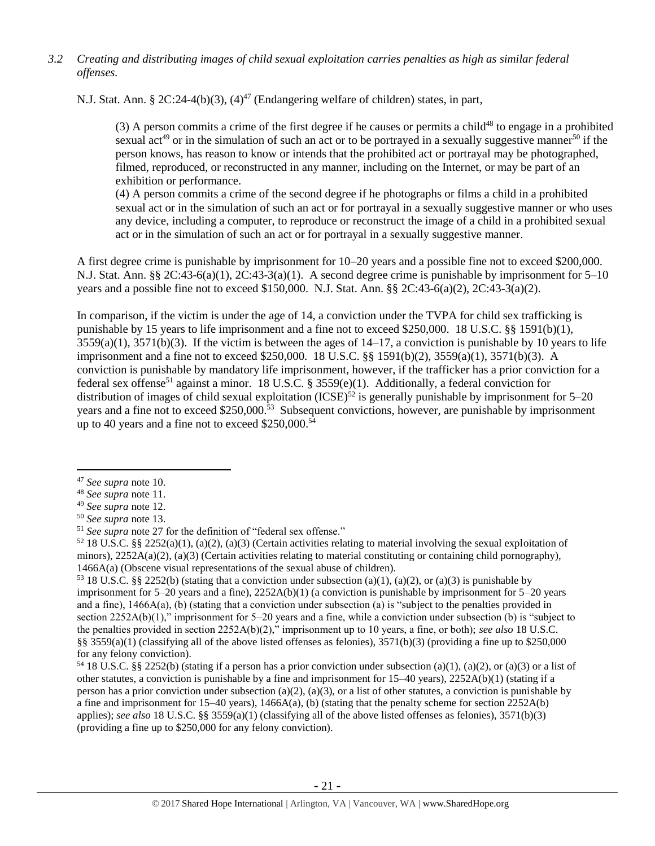# *3.2 Creating and distributing images of child sexual exploitation carries penalties as high as similar federal offenses.*

N.J. Stat. Ann. § 2C:24-4(b)(3),  $(4)^{47}$  (Endangering welfare of children) states, in part,

(3) A person commits a crime of the first degree if he causes or permits a child<sup>48</sup> to engage in a prohibited sexual act<sup>49</sup> or in the simulation of such an act or to be portrayed in a sexually suggestive manner<sup>50</sup> if the person knows, has reason to know or intends that the prohibited act or portrayal may be photographed, filmed, reproduced, or reconstructed in any manner, including on the Internet, or may be part of an exhibition or performance.

(4) A person commits a crime of the second degree if he photographs or films a child in a prohibited sexual act or in the simulation of such an act or for portrayal in a sexually suggestive manner or who uses any device, including a computer, to reproduce or reconstruct the image of a child in a prohibited sexual act or in the simulation of such an act or for portrayal in a sexually suggestive manner.

A first degree crime is punishable by imprisonment for 10–20 years and a possible fine not to exceed \$200,000. N.J. Stat. Ann. §§ 2C:43-6(a)(1), 2C:43-3(a)(1). A second degree crime is punishable by imprisonment for 5–10 years and a possible fine not to exceed \$150,000. N.J. Stat. Ann. §§ 2C:43-6(a)(2), 2C:43-3(a)(2).

In comparison, if the victim is under the age of 14, a conviction under the TVPA for child sex trafficking is punishable by 15 years to life imprisonment and a fine not to exceed \$250,000. 18 U.S.C. §§ 1591(b)(1),  $3559(a)(1)$ ,  $3571(b)(3)$ . If the victim is between the ages of  $14-17$ , a conviction is punishable by 10 years to life imprisonment and a fine not to exceed \$250,000. 18 U.S.C. §§ 1591(b)(2), 3559(a)(1), 3571(b)(3). A conviction is punishable by mandatory life imprisonment, however, if the trafficker has a prior conviction for a federal sex offense<sup>51</sup> against a minor. 18 U.S.C. § 3559(e)(1). Additionally, a federal conviction for distribution of images of child sexual exploitation  $(ICSE)^{52}$  is generally punishable by imprisonment for  $5-20$ years and a fine not to exceed \$250,000.<sup>53</sup> Subsequent convictions, however, are punishable by imprisonment up to 40 years and a fine not to exceed  $$250,000$ .<sup>54</sup>

 $\overline{a}$ 

 $52$  18 U.S.C. §§ 2252(a)(1), (a)(2), (a)(3) (Certain activities relating to material involving the sexual exploitation of minors),  $2252A(a)(2)$ , (a)(3) (Certain activities relating to material constituting or containing child pornography), 1466A(a) (Obscene visual representations of the sexual abuse of children).

<sup>53</sup> 18 U.S.C. §§ 2252(b) (stating that a conviction under subsection (a)(1), (a)(2), or (a)(3) is punishable by imprisonment for  $5-20$  years and a fine),  $2252A(b)(1)$  (a conviction is punishable by imprisonment for  $5-20$  years and a fine), 1466A(a), (b) (stating that a conviction under subsection (a) is "subject to the penalties provided in section 2252A(b)(1)," imprisonment for 5–20 years and a fine, while a conviction under subsection (b) is "subject to the penalties provided in section 2252A(b)(2)," imprisonment up to 10 years, a fine, or both); *see also* 18 U.S.C. §§ 3559(a)(1) (classifying all of the above listed offenses as felonies),  $3571(b)(3)$  (providing a fine up to \$250,000 for any felony conviction).

<sup>54</sup> 18 U.S.C. §§ 2252(b) (stating if a person has a prior conviction under subsection (a)(1), (a)(2), or (a)(3) or a list of other statutes, a conviction is punishable by a fine and imprisonment for  $15-40$  years),  $2252A(b)(1)$  (stating if a person has a prior conviction under subsection (a)(2), (a)(3), or a list of other statutes, a conviction is punishable by a fine and imprisonment for  $15-40$  years),  $1466A(a)$ , (b) (stating that the penalty scheme for section  $2252A(b)$ applies); *see also* 18 U.S.C. §§ 3559(a)(1) (classifying all of the above listed offenses as felonies), 3571(b)(3) (providing a fine up to \$250,000 for any felony conviction).

<sup>47</sup> *See supra* note [10.](#page-4-1)

<sup>48</sup> *See supra* note [11.](#page-4-2)

<sup>49</sup> *See supra* note [12.](#page-4-3)

<sup>50</sup> *See supra* note [13.](#page-5-0)

<sup>51</sup> *See supra* note [27](#page-12-1) for the definition of "federal sex offense."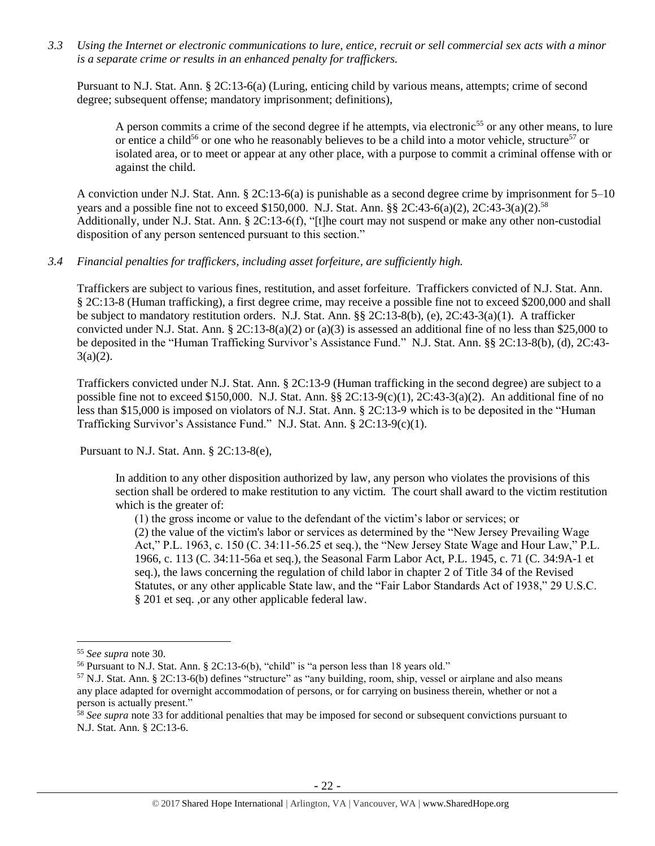*3.3 Using the Internet or electronic communications to lure, entice, recruit or sell commercial sex acts with a minor is a separate crime or results in an enhanced penalty for traffickers.*

Pursuant to N.J. Stat. Ann. § 2C:13-6(a) (Luring, enticing child by various means, attempts; crime of second degree; subsequent offense; mandatory imprisonment; definitions),

A person commits a crime of the second degree if he attempts, via electronic<sup>55</sup> or any other means, to lure or entice a child<sup>56</sup> or one who he reasonably believes to be a child into a motor vehicle, structure<sup>57</sup> or isolated area, or to meet or appear at any other place, with a purpose to commit a criminal offense with or against the child.

A conviction under N.J. Stat. Ann. § 2C:13-6(a) is punishable as a second degree crime by imprisonment for 5–10 years and a possible fine not to exceed \$150,000. N.J. Stat. Ann. §§ 2C:43-6(a)(2), 2C:43-3(a)(2).<sup>58</sup> Additionally, under N.J. Stat. Ann. § 2C:13-6(f), "[t]he court may not suspend or make any other non-custodial disposition of any person sentenced pursuant to this section."

#### *3.4 Financial penalties for traffickers, including asset forfeiture, are sufficiently high.*

Traffickers are subject to various fines, restitution, and asset forfeiture. Traffickers convicted of N.J. Stat. Ann. § 2C:13-8 (Human trafficking), a first degree crime, may receive a possible fine not to exceed \$200,000 and shall be subject to mandatory restitution orders. N.J. Stat. Ann. §§ 2C:13-8(b), (e), 2C:43-3(a)(1). A trafficker convicted under N.J. Stat. Ann. § 2C:13-8(a)(2) or (a)(3) is assessed an additional fine of no less than \$25,000 to be deposited in the "Human Trafficking Survivor's Assistance Fund." N.J. Stat. Ann. §§ 2C:13-8(b), (d), 2C:43-  $3(a)(2)$ .

Traffickers convicted under N.J. Stat. Ann. § 2C:13-9 (Human trafficking in the second degree) are subject to a possible fine not to exceed \$150,000. N.J. Stat. Ann. §§ 2C:13-9(c)(1), 2C:43-3(a)(2). An additional fine of no less than \$15,000 is imposed on violators of N.J. Stat. Ann. § 2C:13-9 which is to be deposited in the "Human Trafficking Survivor's Assistance Fund." N.J. Stat. Ann. § 2C:13-9(c)(1).

Pursuant to N.J. Stat. Ann. § 2C:13-8(e),

In addition to any other disposition authorized by law, any person who violates the provisions of this section shall be ordered to make restitution to any victim. The court shall award to the victim restitution which is the greater of:

(1) the gross income or value to the defendant of the victim's labor or services; or (2) the value of the victim's labor or services as determined by the "New Jersey Prevailing Wage Act," P.L. 1963, c. 150 (C. 34:11-56.25 et seq.), the "New Jersey State Wage and Hour Law," P.L. 1966, c. 113 (C. 34:11-56a et seq.), the Seasonal Farm Labor Act, P.L. 1945, c. 71 (C. 34:9A-1 et seq.), the laws concerning the regulation of child labor in chapter 2 of Title 34 of the Revised Statutes, or any other applicable State law, and the "Fair Labor Standards Act of 1938," 29 U.S.C. § 201 et seq. ,or any other applicable federal law.

<sup>55</sup> *See supra* note [30.](#page-12-2)

<sup>&</sup>lt;sup>56</sup> Pursuant to N.J. Stat. Ann. § 2C:13-6(b), "child" is "a person less than 18 years old."

<sup>57</sup> N.J. Stat. Ann. § 2C:13-6(b) defines "structure" as "any building, room, ship, vessel or airplane and also means any place adapted for overnight accommodation of persons, or for carrying on business therein, whether or not a person is actually present."

<sup>58</sup> *See supra* note [33](#page-13-0) for additional penalties that may be imposed for second or subsequent convictions pursuant to N.J. Stat. Ann. § 2C:13-6.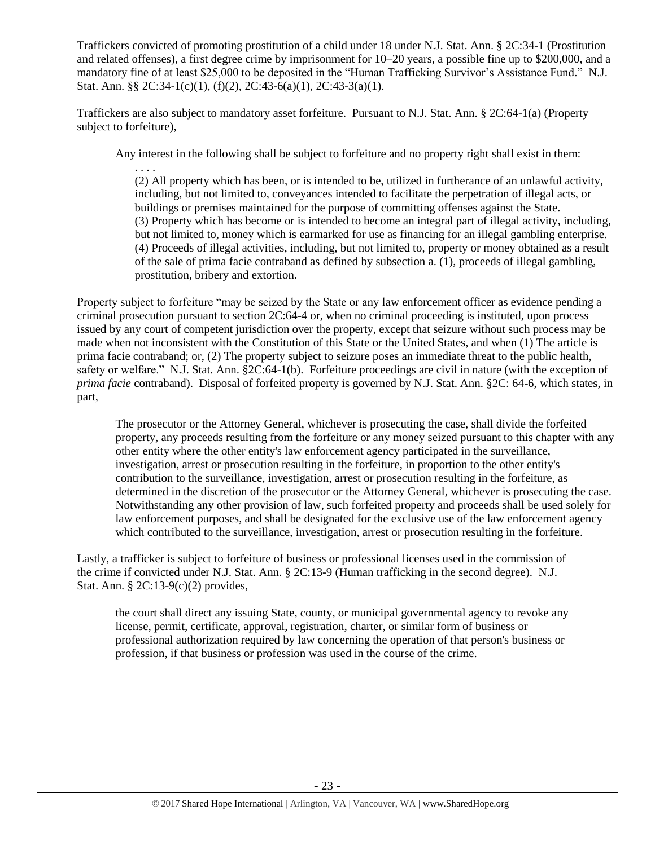Traffickers convicted of promoting prostitution of a child under 18 under N.J. Stat. Ann. § 2C:34-1 (Prostitution and related offenses), a first degree crime by imprisonment for 10–20 years, a possible fine up to \$200,000, and a mandatory fine of at least \$25,000 to be deposited in the "Human Trafficking Survivor's Assistance Fund." N.J. Stat. Ann. §§ 2C:34-1(c)(1), (f)(2), 2C:43-6(a)(1), 2C:43-3(a)(1).

Traffickers are also subject to mandatory asset forfeiture. Pursuant to N.J. Stat. Ann. § 2C:64-1(a) (Property subject to forfeiture),

Any interest in the following shall be subject to forfeiture and no property right shall exist in them:

. . . . (2) All property which has been, or is intended to be, utilized in furtherance of an unlawful activity, including, but not limited to, conveyances intended to facilitate the perpetration of illegal acts, or buildings or premises maintained for the purpose of committing offenses against the State. (3) Property which has become or is intended to become an integral part of illegal activity, including, but not limited to, money which is earmarked for use as financing for an illegal gambling enterprise. (4) Proceeds of illegal activities, including, but not limited to, property or money obtained as a result of the sale of prima facie contraband as defined by subsection a. (1), proceeds of illegal gambling, prostitution, bribery and extortion.

Property subject to forfeiture "may be seized by the State or any law enforcement officer as evidence pending a criminal prosecution pursuant to section 2C:64-4 or, when no criminal proceeding is instituted, upon process issued by any court of competent jurisdiction over the property, except that seizure without such process may be made when not inconsistent with the Constitution of this State or the United States, and when (1) The article is prima facie contraband; or, (2) The property subject to seizure poses an immediate threat to the public health, safety or welfare." N.J. Stat. Ann. §2C:64-1(b). Forfeiture proceedings are civil in nature (with the exception of *prima facie* contraband). Disposal of forfeited property is governed by N.J. Stat. Ann. §2C: 64-6, which states, in part,

The prosecutor or the Attorney General, whichever is prosecuting the case, shall divide the forfeited property, any proceeds resulting from the forfeiture or any money seized pursuant to this chapter with any other entity where the other entity's law enforcement agency participated in the surveillance, investigation, arrest or prosecution resulting in the forfeiture, in proportion to the other entity's contribution to the surveillance, investigation, arrest or prosecution resulting in the forfeiture, as determined in the discretion of the prosecutor or the Attorney General, whichever is prosecuting the case. Notwithstanding any other provision of law, such forfeited property and proceeds shall be used solely for law enforcement purposes, and shall be designated for the exclusive use of the law enforcement agency which contributed to the surveillance, investigation, arrest or prosecution resulting in the forfeiture.

Lastly, a trafficker is subject to forfeiture of business or professional licenses used in the commission of the crime if convicted under N.J. Stat. Ann. § 2C:13-9 (Human trafficking in the second degree). N.J. Stat. Ann. § 2C:13-9(c)(2) provides,

the court shall direct any issuing State, county, or municipal governmental agency to revoke any license, permit, certificate, approval, registration, charter, or similar form of business or professional authorization required by law concerning the operation of that person's business or profession, if that business or profession was used in the course of the crime.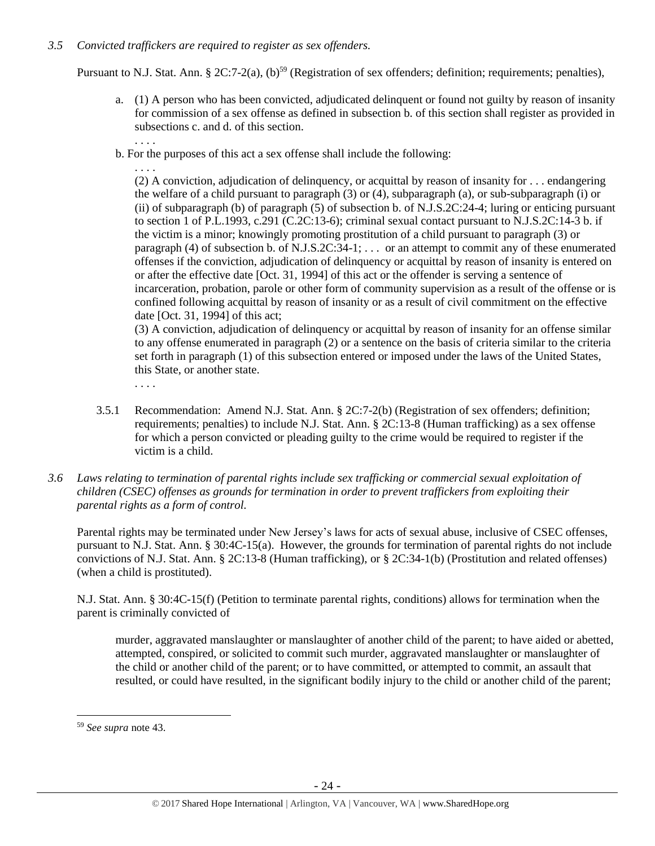# *3.5 Convicted traffickers are required to register as sex offenders.*

Pursuant to N.J. Stat. Ann. § 2C:7-2(a), (b)<sup>59</sup> (Registration of sex offenders; definition; requirements; penalties),

- a. (1) A person who has been convicted, adjudicated delinquent or found not guilty by reason of insanity for commission of a sex offense as defined in subsection b. of this section shall register as provided in subsections c. and d. of this section.
- . . . . b. For the purposes of this act a sex offense shall include the following:

. . . . (2) A conviction, adjudication of delinquency, or acquittal by reason of insanity for . . . endangering the welfare of a child pursuant to paragraph (3) or (4), subparagraph (a), or sub-subparagraph (i) or (ii) of subparagraph (b) of paragraph (5) of subsection b. of N.J.S.2C:24-4; luring or enticing pursuant to section 1 of P.L.1993, c.291 (C.2C:13-6); criminal sexual contact pursuant to N.J.S.2C:14-3 b. if the victim is a minor; knowingly promoting prostitution of a child pursuant to paragraph (3) or paragraph (4) of subsection b. of N.J.S.2C:34-1; ... or an attempt to commit any of these enumerated offenses if the conviction, adjudication of delinquency or acquittal by reason of insanity is entered on or after the effective date [Oct. 31, 1994] of this act or the offender is serving a sentence of incarceration, probation, parole or other form of community supervision as a result of the offense or is confined following acquittal by reason of insanity or as a result of civil commitment on the effective date [Oct. 31, 1994] of this act;

(3) A conviction, adjudication of delinquency or acquittal by reason of insanity for an offense similar to any offense enumerated in paragraph (2) or a sentence on the basis of criteria similar to the criteria set forth in paragraph (1) of this subsection entered or imposed under the laws of the United States, this State, or another state.

- 3.5.1 Recommendation: Amend N.J. Stat. Ann. § 2C:7-2(b) (Registration of sex offenders; definition; requirements; penalties) to include N.J. Stat. Ann. § 2C:13-8 (Human trafficking) as a sex offense for which a person convicted or pleading guilty to the crime would be required to register if the victim is a child.
- *3.6 Laws relating to termination of parental rights include sex trafficking or commercial sexual exploitation of children (CSEC) offenses as grounds for termination in order to prevent traffickers from exploiting their parental rights as a form of control.*

Parental rights may be terminated under New Jersey's laws for acts of sexual abuse, inclusive of CSEC offenses, pursuant to N.J. Stat. Ann. § 30:4C-15(a). However, the grounds for termination of parental rights do not include convictions of N.J. Stat. Ann. § 2C:13-8 (Human trafficking), or § 2C:34-1(b) (Prostitution and related offenses) (when a child is prostituted).

N.J. Stat. Ann. § 30:4C-15(f) (Petition to terminate parental rights, conditions) allows for termination when the parent is criminally convicted of

murder, aggravated manslaughter or manslaughter of another child of the parent; to have aided or abetted, attempted, conspired, or solicited to commit such murder, aggravated manslaughter or manslaughter of the child or another child of the parent; or to have committed, or attempted to commit, an assault that resulted, or could have resulted, in the significant bodily injury to the child or another child of the parent;

 $\overline{a}$ 

. . . .

<sup>59</sup> *See supra* note [43.](#page-17-0)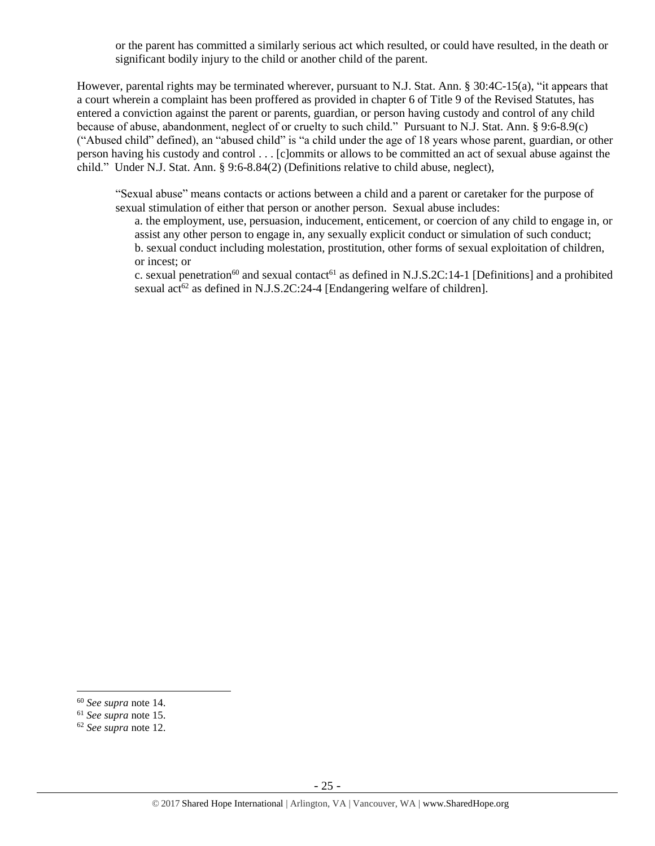or the parent has committed a similarly serious act which resulted, or could have resulted, in the death or significant bodily injury to the child or another child of the parent.

However, parental rights may be terminated wherever, pursuant to N.J. Stat. Ann. § 30:4C-15(a), "it appears that a court wherein a complaint has been proffered as provided in chapter 6 of Title 9 of the Revised Statutes, has entered a conviction against the parent or parents, guardian, or person having custody and control of any child because of abuse, abandonment, neglect of or cruelty to such child." Pursuant to N.J. Stat. Ann. § 9:6-8.9(c) ("Abused child" defined), an "abused child" is "a child under the age of 18 years whose parent, guardian, or other person having his custody and control . . . [c]ommits or allows to be committed an act of sexual abuse against the child." Under N.J. Stat. Ann. § 9:6-8.84(2) (Definitions relative to child abuse, neglect),

"Sexual abuse" means contacts or actions between a child and a parent or caretaker for the purpose of sexual stimulation of either that person or another person. Sexual abuse includes:

a. the employment, use, persuasion, inducement, enticement, or coercion of any child to engage in, or assist any other person to engage in, any sexually explicit conduct or simulation of such conduct; b. sexual conduct including molestation, prostitution, other forms of sexual exploitation of children, or incest; or

c. sexual penetration<sup>60</sup> and sexual contact<sup>61</sup> as defined in N.J.S.2C:14-1 [Definitions] and a prohibited sexual act<sup>62</sup> as defined in N.J.S.2C:24-4 [Endangering welfare of children].

<sup>60</sup> *See supra* note [14.](#page-5-1)

<sup>61</sup> *See supra* note [15.](#page-5-2)

<sup>62</sup> *See supra* note [12.](#page-4-3)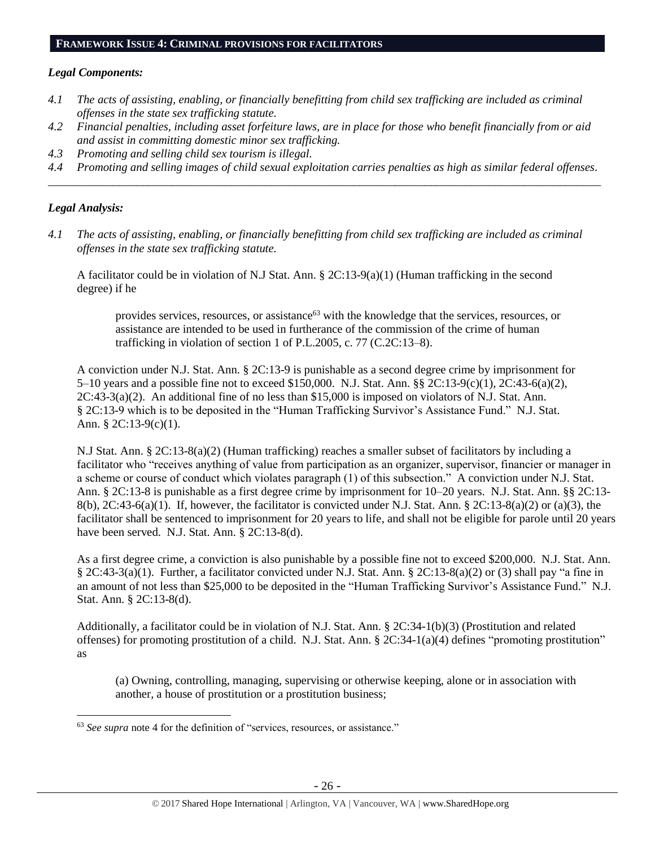# **FRAMEWORK ISSUE 4: CRIMINAL PROVISIONS FOR FACILITATORS**

# *Legal Components:*

- *4.1 The acts of assisting, enabling, or financially benefitting from child sex trafficking are included as criminal offenses in the state sex trafficking statute.*
- *4.2 Financial penalties, including asset forfeiture laws, are in place for those who benefit financially from or aid and assist in committing domestic minor sex trafficking.*
- *4.3 Promoting and selling child sex tourism is illegal.*
- *4.4 Promoting and selling images of child sexual exploitation carries penalties as high as similar federal offenses. \_\_\_\_\_\_\_\_\_\_\_\_\_\_\_\_\_\_\_\_\_\_\_\_\_\_\_\_\_\_\_\_\_\_\_\_\_\_\_\_\_\_\_\_\_\_\_\_\_\_\_\_\_\_\_\_\_\_\_\_\_\_\_\_\_\_\_\_\_\_\_\_\_\_\_\_\_\_\_\_\_\_\_\_\_\_\_\_\_\_\_\_\_\_*

# *Legal Analysis:*

 $\overline{a}$ 

*4.1 The acts of assisting, enabling, or financially benefitting from child sex trafficking are included as criminal offenses in the state sex trafficking statute.*

A facilitator could be in violation of N.J Stat. Ann. § 2C:13-9(a)(1) (Human trafficking in the second degree) if he

provides services, resources, or assistance<sup>63</sup> with the knowledge that the services, resources, or assistance are intended to be used in furtherance of the commission of the crime of human trafficking in violation of section 1 of P.L.2005, c. 77 (C.2C:13–8).

A conviction under N.J. Stat. Ann. § 2C:13-9 is punishable as a second degree crime by imprisonment for 5–10 years and a possible fine not to exceed \$150,000. N.J. Stat. Ann. §§ 2C:13-9(c)(1), 2C:43-6(a)(2), 2C:43-3(a)(2). An additional fine of no less than \$15,000 is imposed on violators of N.J. Stat. Ann. § 2C:13-9 which is to be deposited in the "Human Trafficking Survivor's Assistance Fund." N.J. Stat. Ann. § 2C:13-9(c)(1).

N.J Stat. Ann. § 2C:13-8(a)(2) (Human trafficking) reaches a smaller subset of facilitators by including a facilitator who "receives anything of value from participation as an organizer, supervisor, financier or manager in a scheme or course of conduct which violates paragraph (1) of this subsection." A conviction under N.J. Stat. Ann. § 2C:13-8 is punishable as a first degree crime by imprisonment for 10–20 years. N.J. Stat. Ann. §§ 2C:13- 8(b),  $2C:43-6(a)(1)$ . If, however, the facilitator is convicted under N.J. Stat. Ann. §  $2C:13-8(a)(2)$  or  $(a)(3)$ , the facilitator shall be sentenced to imprisonment for 20 years to life, and shall not be eligible for parole until 20 years have been served. N.J. Stat. Ann. § 2C:13-8(d).

As a first degree crime, a conviction is also punishable by a possible fine not to exceed \$200,000. N.J. Stat. Ann. § 2C:43-3(a)(1). Further, a facilitator convicted under N.J. Stat. Ann. § 2C:13-8(a)(2) or (3) shall pay "a fine in an amount of not less than \$25,000 to be deposited in the "Human Trafficking Survivor's Assistance Fund." N.J. Stat. Ann. § 2C:13-8(d).

Additionally, a facilitator could be in violation of N.J. Stat. Ann. § 2C:34-1(b)(3) (Prostitution and related offenses) for promoting prostitution of a child. N.J. Stat. Ann. § 2C:34-1(a)(4) defines "promoting prostitution" as

(a) Owning, controlling, managing, supervising or otherwise keeping, alone or in association with another, a house of prostitution or a prostitution business;

<sup>&</sup>lt;sup>63</sup> See supra note [4](#page-2-1) for the definition of "services, resources, or assistance."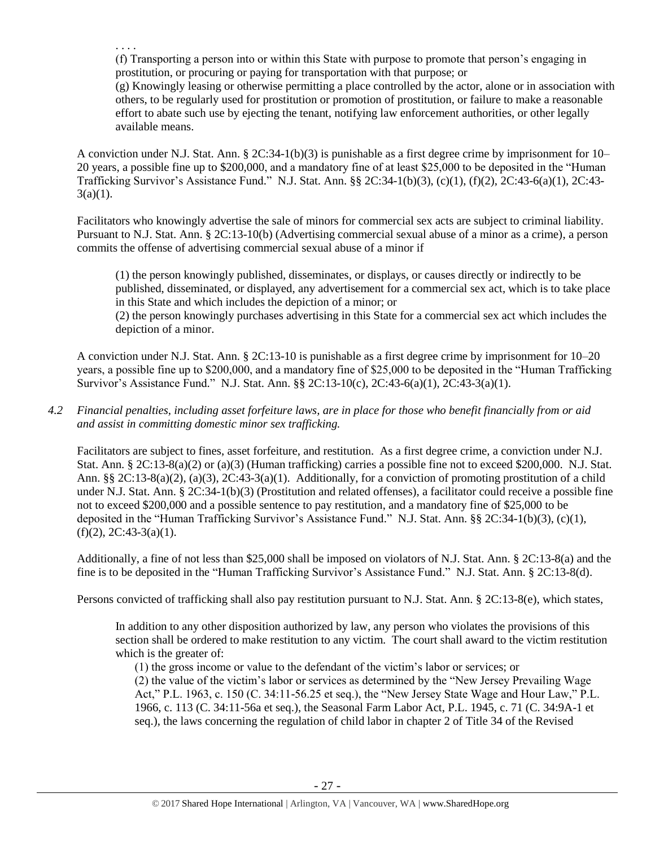. . . . (f) Transporting a person into or within this State with purpose to promote that person's engaging in prostitution, or procuring or paying for transportation with that purpose; or

(g) Knowingly leasing or otherwise permitting a place controlled by the actor, alone or in association with others, to be regularly used for prostitution or promotion of prostitution, or failure to make a reasonable effort to abate such use by ejecting the tenant, notifying law enforcement authorities, or other legally available means.

A conviction under N.J. Stat. Ann. § 2C:34-1(b)(3) is punishable as a first degree crime by imprisonment for 10– 20 years, a possible fine up to \$200,000, and a mandatory fine of at least \$25,000 to be deposited in the "Human Trafficking Survivor's Assistance Fund." N.J. Stat. Ann. §§ 2C:34-1(b)(3), (c)(1), (f)(2), 2C:43-6(a)(1), 2C:43-  $3(a)(1)$ .

Facilitators who knowingly advertise the sale of minors for commercial sex acts are subject to criminal liability. Pursuant to N.J. Stat. Ann. § 2C:13-10(b) (Advertising commercial sexual abuse of a minor as a crime), a person commits the offense of advertising commercial sexual abuse of a minor if

(1) the person knowingly published, disseminates, or displays, or causes directly or indirectly to be published, disseminated, or displayed, any advertisement for a commercial sex act, which is to take place in this State and which includes the depiction of a minor; or

(2) the person knowingly purchases advertising in this State for a commercial sex act which includes the depiction of a minor.

A conviction under N.J. Stat. Ann. § 2C:13-10 is punishable as a first degree crime by imprisonment for 10–20 years, a possible fine up to \$200,000, and a mandatory fine of \$25,000 to be deposited in the "Human Trafficking Survivor's Assistance Fund." N.J. Stat. Ann. §§ 2C:13-10(c), 2C:43-6(a)(1), 2C:43-3(a)(1).

# *4.2 Financial penalties, including asset forfeiture laws, are in place for those who benefit financially from or aid and assist in committing domestic minor sex trafficking.*

Facilitators are subject to fines, asset forfeiture, and restitution. As a first degree crime, a conviction under N.J. Stat. Ann. § 2C:13-8(a)(2) or (a)(3) (Human trafficking) carries a possible fine not to exceed \$200,000. N.J. Stat. Ann. §§ 2C:13-8(a)(2), (a)(3), 2C:43-3(a)(1). Additionally, for a conviction of promoting prostitution of a child under N.J. Stat. Ann. § 2C:34-1(b)(3) (Prostitution and related offenses), a facilitator could receive a possible fine not to exceed \$200,000 and a possible sentence to pay restitution, and a mandatory fine of \$25,000 to be deposited in the "Human Trafficking Survivor's Assistance Fund." N.J. Stat. Ann. §§ 2C:34-1(b)(3), (c)(1),  $(f)(2)$ , 2C:43-3(a)(1).

Additionally, a fine of not less than \$25,000 shall be imposed on violators of N.J. Stat. Ann. § 2C:13-8(a) and the fine is to be deposited in the "Human Trafficking Survivor's Assistance Fund." N.J. Stat. Ann. § 2C:13-8(d).

Persons convicted of trafficking shall also pay restitution pursuant to N.J. Stat. Ann. § 2C:13-8(e), which states,

In addition to any other disposition authorized by law, any person who violates the provisions of this section shall be ordered to make restitution to any victim. The court shall award to the victim restitution which is the greater of:

(1) the gross income or value to the defendant of the victim's labor or services; or (2) the value of the victim's labor or services as determined by the "New Jersey Prevailing Wage Act," P.L. 1963, c. 150 (C. 34:11-56.25 et seq.), the "New Jersey State Wage and Hour Law," P.L. 1966, c. 113 (C. 34:11-56a et seq.), the Seasonal Farm Labor Act, P.L. 1945, c. 71 (C. 34:9A-1 et seq.), the laws concerning the regulation of child labor in chapter 2 of Title 34 of the Revised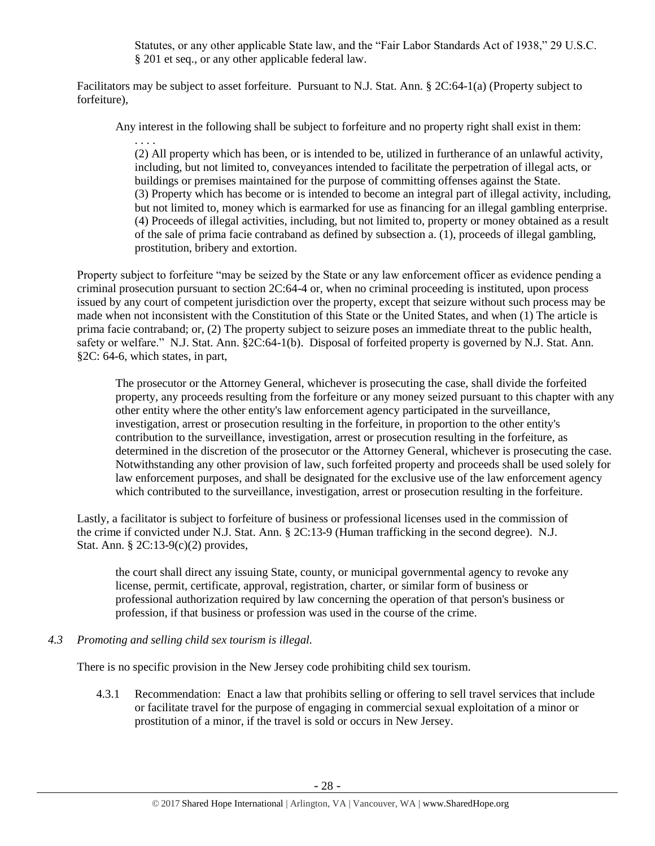Statutes, or any other applicable State law, and the "Fair Labor Standards Act of 1938," 29 U.S.C. § 201 et seq., or any other applicable federal law.

Facilitators may be subject to asset forfeiture. Pursuant to N.J. Stat. Ann. § 2C:64-1(a) (Property subject to forfeiture),

Any interest in the following shall be subject to forfeiture and no property right shall exist in them:

. . . .

(2) All property which has been, or is intended to be, utilized in furtherance of an unlawful activity, including, but not limited to, conveyances intended to facilitate the perpetration of illegal acts, or buildings or premises maintained for the purpose of committing offenses against the State. (3) Property which has become or is intended to become an integral part of illegal activity, including, but not limited to, money which is earmarked for use as financing for an illegal gambling enterprise. (4) Proceeds of illegal activities, including, but not limited to, property or money obtained as a result of the sale of prima facie contraband as defined by subsection a. (1), proceeds of illegal gambling, prostitution, bribery and extortion.

Property subject to forfeiture "may be seized by the State or any law enforcement officer as evidence pending a criminal prosecution pursuant to section 2C:64-4 or, when no criminal proceeding is instituted, upon process issued by any court of competent jurisdiction over the property, except that seizure without such process may be made when not inconsistent with the Constitution of this State or the United States, and when (1) The article is prima facie contraband; or, (2) The property subject to seizure poses an immediate threat to the public health, safety or welfare." N.J. Stat. Ann. §2C:64-1(b). Disposal of forfeited property is governed by N.J. Stat. Ann. §2C: 64-6, which states, in part,

The prosecutor or the Attorney General, whichever is prosecuting the case, shall divide the forfeited property, any proceeds resulting from the forfeiture or any money seized pursuant to this chapter with any other entity where the other entity's law enforcement agency participated in the surveillance, investigation, arrest or prosecution resulting in the forfeiture, in proportion to the other entity's contribution to the surveillance, investigation, arrest or prosecution resulting in the forfeiture, as determined in the discretion of the prosecutor or the Attorney General, whichever is prosecuting the case. Notwithstanding any other provision of law, such forfeited property and proceeds shall be used solely for law enforcement purposes, and shall be designated for the exclusive use of the law enforcement agency which contributed to the surveillance, investigation, arrest or prosecution resulting in the forfeiture.

Lastly, a facilitator is subject to forfeiture of business or professional licenses used in the commission of the crime if convicted under N.J. Stat. Ann. § 2C:13-9 (Human trafficking in the second degree). N.J. Stat. Ann. § 2C:13-9(c)(2) provides,

the court shall direct any issuing State, county, or municipal governmental agency to revoke any license, permit, certificate, approval, registration, charter, or similar form of business or professional authorization required by law concerning the operation of that person's business or profession, if that business or profession was used in the course of the crime.

# *4.3 Promoting and selling child sex tourism is illegal.*

There is no specific provision in the New Jersey code prohibiting child sex tourism.

4.3.1 Recommendation: Enact a law that prohibits selling or offering to sell travel services that include or facilitate travel for the purpose of engaging in commercial sexual exploitation of a minor or prostitution of a minor, if the travel is sold or occurs in New Jersey.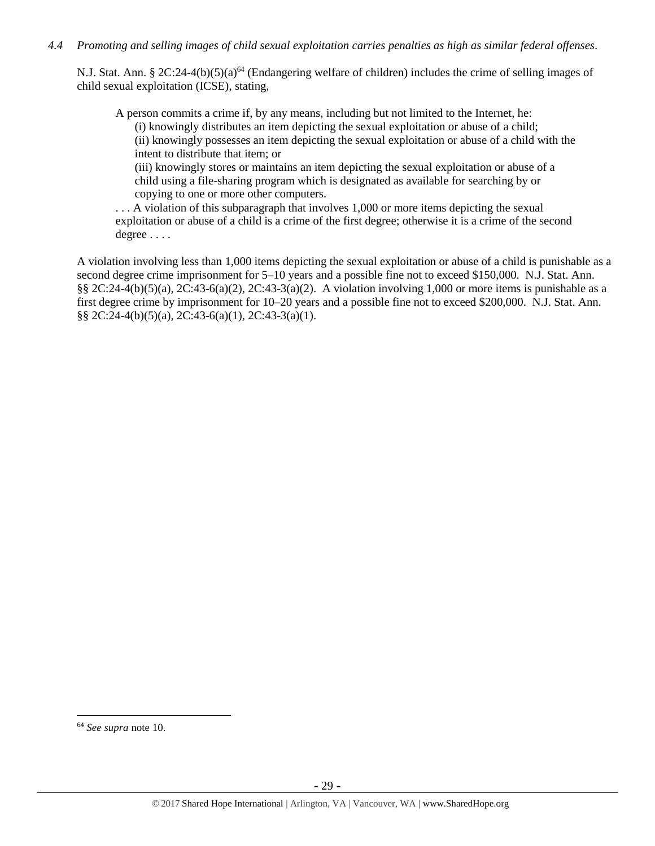# *4.4 Promoting and selling images of child sexual exploitation carries penalties as high as similar federal offenses.*

N.J. Stat. Ann. § 2C:24-4(b)(5)(a)<sup>64</sup> (Endangering welfare of children) includes the crime of selling images of child sexual exploitation (ICSE), stating,

A person commits a crime if, by any means, including but not limited to the Internet, he:

(i) knowingly distributes an item depicting the sexual exploitation or abuse of a child; (ii) knowingly possesses an item depicting the sexual exploitation or abuse of a child with the intent to distribute that item; or

(iii) knowingly stores or maintains an item depicting the sexual exploitation or abuse of a child using a file-sharing program which is designated as available for searching by or copying to one or more other computers.

. . . A violation of this subparagraph that involves 1,000 or more items depicting the sexual exploitation or abuse of a child is a crime of the first degree; otherwise it is a crime of the second degree . . . .

A violation involving less than 1,000 items depicting the sexual exploitation or abuse of a child is punishable as a second degree crime imprisonment for  $5-10$  years and a possible fine not to exceed \$150,000. N.J. Stat. Ann. §§ 2C:24-4(b)(5)(a), 2C:43-6(a)(2), 2C:43-3(a)(2). A violation involving 1,000 or more items is punishable as a first degree crime by imprisonment for 10–20 years and a possible fine not to exceed \$200,000. N.J. Stat. Ann. §§ 2C:24-4(b)(5)(a), 2C:43-6(a)(1), 2C:43-3(a)(1).

<sup>64</sup> *See supra* note [10.](#page-4-1)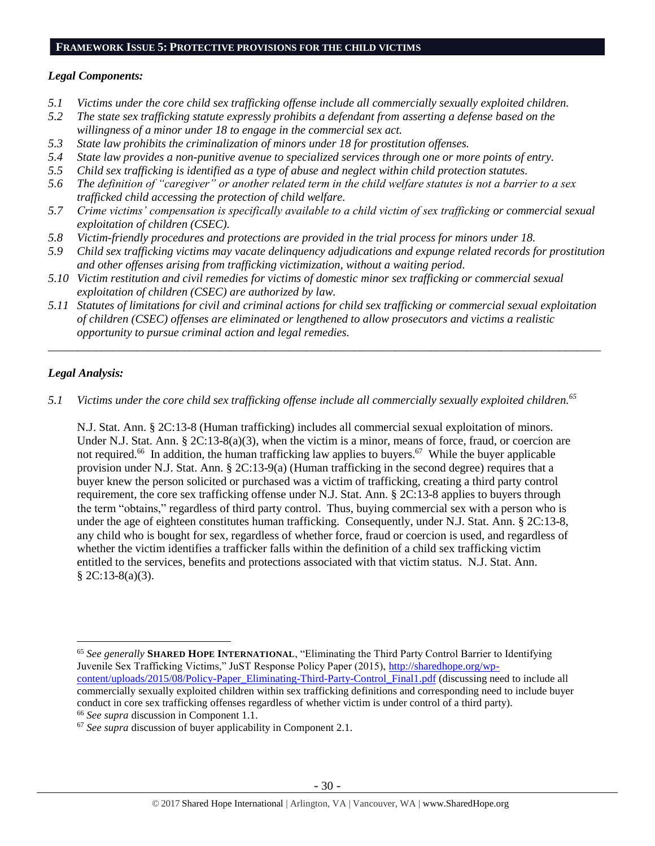## **FRAMEWORK ISSUE 5: PROTECTIVE PROVISIONS FOR THE CHILD VICTIMS**

# *Legal Components:*

- *5.1 Victims under the core child sex trafficking offense include all commercially sexually exploited children.*
- *5.2 The state sex trafficking statute expressly prohibits a defendant from asserting a defense based on the willingness of a minor under 18 to engage in the commercial sex act.*
- *5.3 State law prohibits the criminalization of minors under 18 for prostitution offenses.*
- *5.4 State law provides a non-punitive avenue to specialized services through one or more points of entry.*
- *5.5 Child sex trafficking is identified as a type of abuse and neglect within child protection statutes.*
- *5.6 The definition of "caregiver" or another related term in the child welfare statutes is not a barrier to a sex trafficked child accessing the protection of child welfare.*
- *5.7 Crime victims' compensation is specifically available to a child victim of sex trafficking or commercial sexual exploitation of children (CSEC).*
- *5.8 Victim-friendly procedures and protections are provided in the trial process for minors under 18.*
- *5.9 Child sex trafficking victims may vacate delinquency adjudications and expunge related records for prostitution and other offenses arising from trafficking victimization, without a waiting period.*
- *5.10 Victim restitution and civil remedies for victims of domestic minor sex trafficking or commercial sexual exploitation of children (CSEC) are authorized by law.*
- *5.11 Statutes of limitations for civil and criminal actions for child sex trafficking or commercial sexual exploitation of children (CSEC) offenses are eliminated or lengthened to allow prosecutors and victims a realistic opportunity to pursue criminal action and legal remedies.*

*\_\_\_\_\_\_\_\_\_\_\_\_\_\_\_\_\_\_\_\_\_\_\_\_\_\_\_\_\_\_\_\_\_\_\_\_\_\_\_\_\_\_\_\_\_\_\_\_\_\_\_\_\_\_\_\_\_\_\_\_\_\_\_\_\_\_\_\_\_\_\_\_\_\_\_\_\_\_\_\_\_\_\_\_\_\_\_\_\_\_\_\_\_\_*

# *Legal Analysis:*

*5.1 Victims under the core child sex trafficking offense include all commercially sexually exploited children.<sup>65</sup>*

N.J. Stat. Ann. § 2C:13-8 (Human trafficking) includes all commercial sexual exploitation of minors. Under N.J. Stat. Ann. § 2C:13-8(a)(3), when the victim is a minor, means of force, fraud, or coercion are not required.<sup>66</sup> In addition, the human trafficking law applies to buyers.<sup>67</sup> While the buyer applicable provision under N.J. Stat. Ann. § 2C:13-9(a) (Human trafficking in the second degree) requires that a buyer knew the person solicited or purchased was a victim of trafficking, creating a third party control requirement, the core sex trafficking offense under N.J. Stat. Ann. § 2C:13-8 applies to buyers through the term "obtains," regardless of third party control. Thus, buying commercial sex with a person who is under the age of eighteen constitutes human trafficking. Consequently, under N.J. Stat. Ann. § 2C:13-8, any child who is bought for sex, regardless of whether force, fraud or coercion is used, and regardless of whether the victim identifies a trafficker falls within the definition of a child sex trafficking victim entitled to the services, benefits and protections associated with that victim status. N.J. Stat. Ann. § 2C:13-8(a)(3).

 $\overline{a}$ <sup>65</sup> *See generally* **SHARED HOPE INTERNATIONAL**, "Eliminating the Third Party Control Barrier to Identifying Juvenile Sex Trafficking Victims," JuST Response Policy Paper (2015), [http://sharedhope.org/wp](http://sharedhope.org/wp-content/uploads/2015/08/Policy-Paper_Eliminating-Third-Party-Control_Final1.pdf)[content/uploads/2015/08/Policy-Paper\\_Eliminating-Third-Party-Control\\_Final1.pdf](http://sharedhope.org/wp-content/uploads/2015/08/Policy-Paper_Eliminating-Third-Party-Control_Final1.pdf) (discussing need to include all commercially sexually exploited children within sex trafficking definitions and corresponding need to include buyer conduct in core sex trafficking offenses regardless of whether victim is under control of a third party). <sup>66</sup> *See supra* discussion in Component 1.1.

<sup>67</sup> *See supra* discussion of buyer applicability in Component 2.1.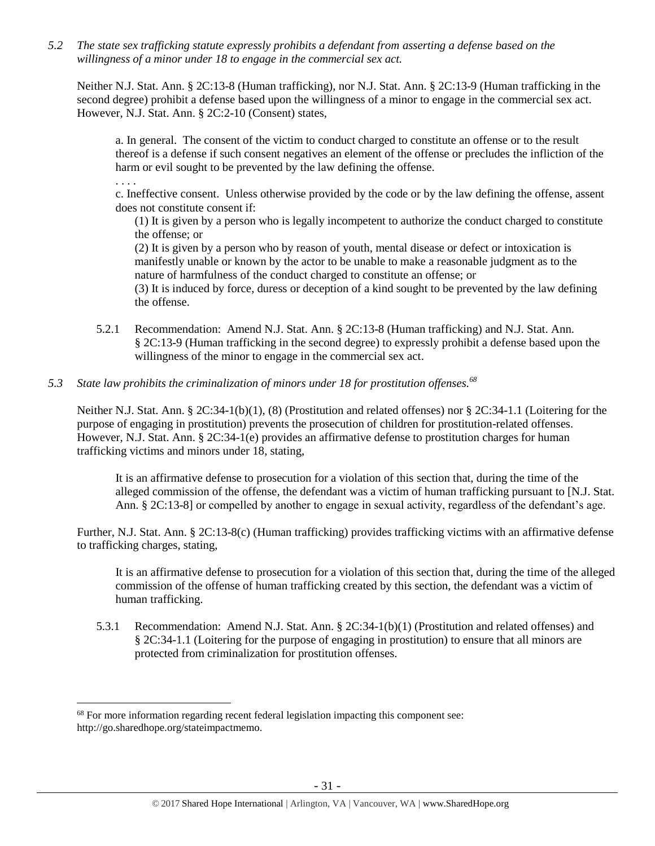*5.2 The state sex trafficking statute expressly prohibits a defendant from asserting a defense based on the willingness of a minor under 18 to engage in the commercial sex act.*

Neither N.J. Stat. Ann. § 2C:13-8 (Human trafficking), nor N.J. Stat. Ann. § 2C:13-9 (Human trafficking in the second degree) prohibit a defense based upon the willingness of a minor to engage in the commercial sex act. However, N.J. Stat. Ann. § 2C:2-10 (Consent) states,

a. In general. The consent of the victim to conduct charged to constitute an offense or to the result thereof is a defense if such consent negatives an element of the offense or precludes the infliction of the harm or evil sought to be prevented by the law defining the offense.

. . . .

 $\overline{a}$ 

c. Ineffective consent. Unless otherwise provided by the code or by the law defining the offense, assent does not constitute consent if:

(1) It is given by a person who is legally incompetent to authorize the conduct charged to constitute the offense; or

(2) It is given by a person who by reason of youth, mental disease or defect or intoxication is manifestly unable or known by the actor to be unable to make a reasonable judgment as to the nature of harmfulness of the conduct charged to constitute an offense; or

(3) It is induced by force, duress or deception of a kind sought to be prevented by the law defining the offense.

- 5.2.1 Recommendation: Amend N.J. Stat. Ann. § 2C:13-8 (Human trafficking) and N.J. Stat. Ann. § 2C:13-9 (Human trafficking in the second degree) to expressly prohibit a defense based upon the willingness of the minor to engage in the commercial sex act.
- *5.3 State law prohibits the criminalization of minors under 18 for prostitution offenses. 68*

Neither N.J. Stat. Ann. § 2C:34-1(b)(1), (8) (Prostitution and related offenses) nor § 2C:34-1.1 (Loitering for the purpose of engaging in prostitution) prevents the prosecution of children for prostitution-related offenses. However, N.J. Stat. Ann. § 2C:34-1(e) provides an affirmative defense to prostitution charges for human trafficking victims and minors under 18, stating,

It is an affirmative defense to prosecution for a violation of this section that, during the time of the alleged commission of the offense, the defendant was a victim of human trafficking pursuant to [N.J. Stat. Ann. § 2C:13-8] or compelled by another to engage in sexual activity, regardless of the defendant's age.

Further, N.J. Stat. Ann. § 2C:13-8(c) (Human trafficking) provides trafficking victims with an affirmative defense to trafficking charges, stating,

It is an affirmative defense to prosecution for a violation of this section that, during the time of the alleged commission of the offense of human trafficking created by this section, the defendant was a victim of human trafficking.

5.3.1 Recommendation: Amend N.J. Stat. Ann. § 2C:34-1(b)(1) (Prostitution and related offenses) and § 2C:34-1.1 (Loitering for the purpose of engaging in prostitution) to ensure that all minors are protected from criminalization for prostitution offenses.

<sup>68</sup> For more information regarding recent federal legislation impacting this component see: http://go.sharedhope.org/stateimpactmemo.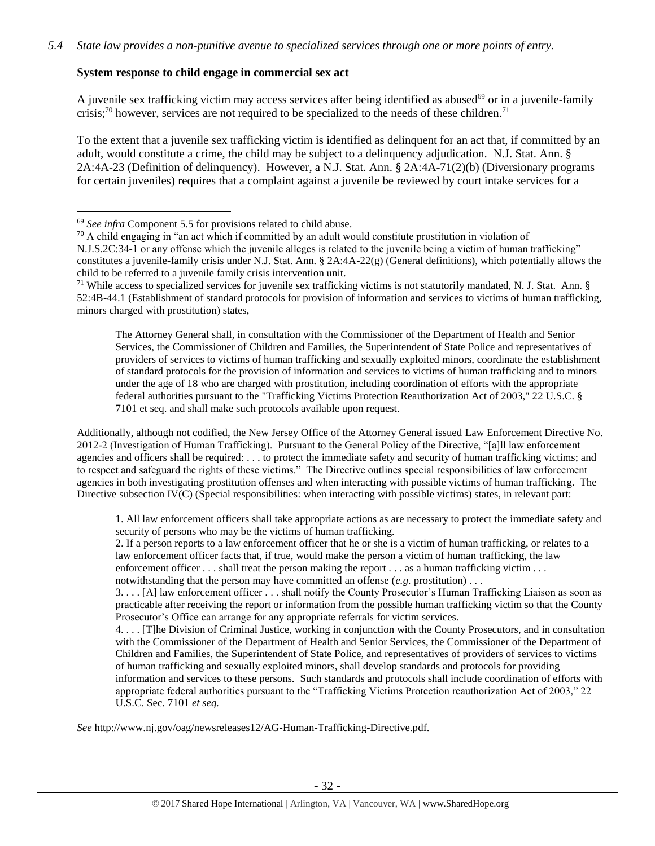## **System response to child engage in commercial sex act**

A juvenile sex trafficking victim may access services after being identified as abused<sup>69</sup> or in a juvenile-family crisis;<sup>70</sup> however, services are not required to be specialized to the needs of these children.<sup>71</sup>

To the extent that a juvenile sex trafficking victim is identified as delinquent for an act that, if committed by an adult, would constitute a crime, the child may be subject to a delinquency adjudication. N.J. Stat. Ann. § 2A:4A-23 (Definition of delinquency). However, a N.J. Stat. Ann. § 2A:4A-71(2)(b) (Diversionary programs for certain juveniles) requires that a complaint against a juvenile be reviewed by court intake services for a

The Attorney General shall, in consultation with the Commissioner of the Department of Health and Senior Services, the Commissioner of Children and Families, the Superintendent of State Police and representatives of providers of services to victims of human trafficking and sexually exploited minors, coordinate the establishment of standard protocols for the provision of information and services to victims of human trafficking and to minors under the age of 18 who are charged with prostitution, including coordination of efforts with the appropriate federal authorities pursuant to the "Trafficking Victims Protection Reauthorization Act of 2003," 22 U.S.C. § 7101 et seq. and shall make such protocols available upon request.

Additionally, although not codified, the New Jersey Office of the Attorney General issued Law Enforcement Directive No. 2012-2 (Investigation of Human Trafficking). Pursuant to the General Policy of the Directive, "[a]ll law enforcement agencies and officers shall be required: . . . to protect the immediate safety and security of human trafficking victims; and to respect and safeguard the rights of these victims." The Directive outlines special responsibilities of law enforcement agencies in both investigating prostitution offenses and when interacting with possible victims of human trafficking. The Directive subsection IV(C) (Special responsibilities: when interacting with possible victims) states, in relevant part:

1. All law enforcement officers shall take appropriate actions as are necessary to protect the immediate safety and security of persons who may be the victims of human trafficking.

2. If a person reports to a law enforcement officer that he or she is a victim of human trafficking, or relates to a law enforcement officer facts that, if true, would make the person a victim of human trafficking, the law enforcement officer . . . shall treat the person making the report . . . as a human trafficking victim . . .

notwithstanding that the person may have committed an offense (*e.g.* prostitution) . . .

3. . . . [A] law enforcement officer . . . shall notify the County Prosecutor's Human Trafficking Liaison as soon as practicable after receiving the report or information from the possible human trafficking victim so that the County Prosecutor's Office can arrange for any appropriate referrals for victim services.

4. . . . [T]he Division of Criminal Justice, working in conjunction with the County Prosecutors, and in consultation with the Commissioner of the Department of Health and Senior Services, the Commissioner of the Department of Children and Families, the Superintendent of State Police, and representatives of providers of services to victims of human trafficking and sexually exploited minors, shall develop standards and protocols for providing information and services to these persons. Such standards and protocols shall include coordination of efforts with appropriate federal authorities pursuant to the "Trafficking Victims Protection reauthorization Act of 2003," 22 U.S.C. Sec. 7101 *et seq.*

*See* http://www.nj.gov/oag/newsreleases12/AG-Human-Trafficking-Directive.pdf.

 $\overline{a}$ <sup>69</sup> *See infra* Component 5.5 for provisions related to child abuse.

 $70$  A child engaging in "an act which if committed by an adult would constitute prostitution in violation of N.J.S.2C:34-1 or any offense which the juvenile alleges is related to the juvenile being a victim of human trafficking" constitutes a juvenile-family crisis under N.J. Stat. Ann. § 2A:4A-22(g) (General definitions), which potentially allows the child to be referred to a juvenile family crisis intervention unit.

<sup>&</sup>lt;sup>71</sup> While access to specialized services for juvenile sex trafficking victims is not statutorily mandated, N. J. Stat. Ann. § 52:4B-44.1 (Establishment of standard protocols for provision of information and services to victims of human trafficking, minors charged with prostitution) states,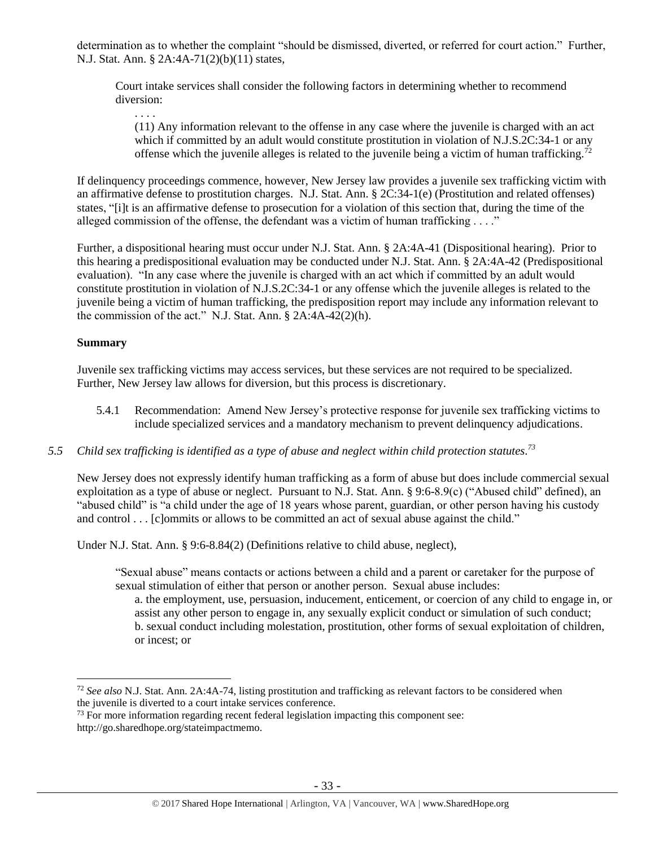determination as to whether the complaint "should be dismissed, diverted, or referred for court action." Further, N.J. Stat. Ann. § 2A:4A-71(2)(b)(11) states,

Court intake services shall consider the following factors in determining whether to recommend diversion:

. . . .

(11) Any information relevant to the offense in any case where the juvenile is charged with an act which if committed by an adult would constitute prostitution in violation of N.J.S.2C:34-1 or any offense which the juvenile alleges is related to the juvenile being a victim of human trafficking.<sup>72</sup>

If delinquency proceedings commence, however, New Jersey law provides a juvenile sex trafficking victim with an affirmative defense to prostitution charges. N.J. Stat. Ann. § 2C:34-1(e) (Prostitution and related offenses) states, "[i]t is an affirmative defense to prosecution for a violation of this section that, during the time of the alleged commission of the offense, the defendant was a victim of human trafficking  $\dots$ ."

Further, a dispositional hearing must occur under N.J. Stat. Ann. § 2A:4A-41 (Dispositional hearing). Prior to this hearing a predispositional evaluation may be conducted under N.J. Stat. Ann. § 2A:4A-42 (Predispositional evaluation). "In any case where the juvenile is charged with an act which if committed by an adult would constitute prostitution in violation of N.J.S.2C:34-1 or any offense which the juvenile alleges is related to the juvenile being a victim of human trafficking, the predisposition report may include any information relevant to the commission of the act." N.J. Stat. Ann. § 2A:4A-42(2)(h).

#### **Summary**

 $\overline{a}$ 

Juvenile sex trafficking victims may access services, but these services are not required to be specialized. Further, New Jersey law allows for diversion, but this process is discretionary.

- 5.4.1 Recommendation: Amend New Jersey's protective response for juvenile sex trafficking victims to include specialized services and a mandatory mechanism to prevent delinquency adjudications.
- *5.5 Child sex trafficking is identified as a type of abuse and neglect within child protection statutes. 73*

New Jersey does not expressly identify human trafficking as a form of abuse but does include commercial sexual exploitation as a type of abuse or neglect. Pursuant to N.J. Stat. Ann. § 9:6-8.9(c) ("Abused child" defined), an "abused child" is "a child under the age of 18 years whose parent, guardian, or other person having his custody and control . . . [c]ommits or allows to be committed an act of sexual abuse against the child."

Under N.J. Stat. Ann. § 9:6-8.84(2) (Definitions relative to child abuse, neglect),

"Sexual abuse" means contacts or actions between a child and a parent or caretaker for the purpose of sexual stimulation of either that person or another person. Sexual abuse includes:

a. the employment, use, persuasion, inducement, enticement, or coercion of any child to engage in, or assist any other person to engage in, any sexually explicit conduct or simulation of such conduct; b. sexual conduct including molestation, prostitution, other forms of sexual exploitation of children, or incest; or

<sup>72</sup> *See also* N.J. Stat. Ann. 2A:4A-74, listing prostitution and trafficking as relevant factors to be considered when the juvenile is diverted to a court intake services conference.

<sup>&</sup>lt;sup>73</sup> For more information regarding recent federal legislation impacting this component see:

http://go.sharedhope.org/stateimpactmemo.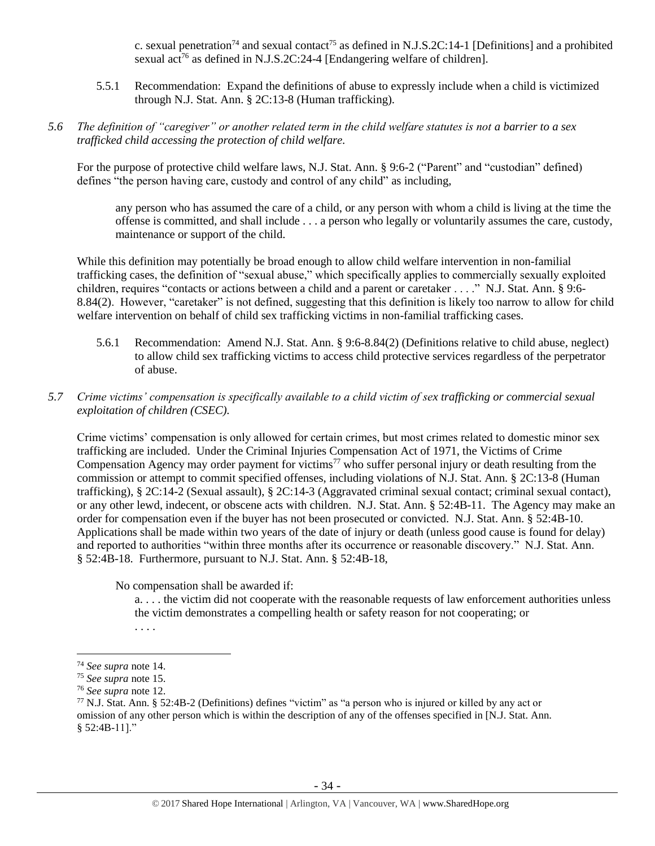c. sexual penetration<sup>74</sup> and sexual contact<sup>75</sup> as defined in N.J.S.2C:14-1 [Definitions] and a prohibited sexual act<sup>76</sup> as defined in N.J.S.2C:24-4 [Endangering welfare of children].

- 5.5.1 Recommendation: Expand the definitions of abuse to expressly include when a child is victimized through N.J. Stat. Ann. § 2C:13-8 (Human trafficking).
- *5.6 The definition of "caregiver" or another related term in the child welfare statutes is not a barrier to a sex trafficked child accessing the protection of child welfare.*

For the purpose of protective child welfare laws, N.J. Stat. Ann. § 9:6-2 ("Parent" and "custodian" defined) defines "the person having care, custody and control of any child" as including,

any person who has assumed the care of a child, or any person with whom a child is living at the time the offense is committed, and shall include . . . a person who legally or voluntarily assumes the care, custody, maintenance or support of the child.

While this definition may potentially be broad enough to allow child welfare intervention in non-familial trafficking cases, the definition of "sexual abuse," which specifically applies to commercially sexually exploited children, requires "contacts or actions between a child and a parent or caretaker . . . ." N.J. Stat. Ann. § 9:6- 8.84(2). However, "caretaker" is not defined, suggesting that this definition is likely too narrow to allow for child welfare intervention on behalf of child sex trafficking victims in non-familial trafficking cases.

- 5.6.1 Recommendation: Amend N.J. Stat. Ann. § 9:6-8.84(2) (Definitions relative to child abuse, neglect) to allow child sex trafficking victims to access child protective services regardless of the perpetrator of abuse.
- *5.7 Crime victims' compensation is specifically available to a child victim of sex trafficking or commercial sexual exploitation of children (CSEC).*

Crime victims' compensation is only allowed for certain crimes, but most crimes related to domestic minor sex trafficking are included. Under the Criminal Injuries Compensation Act of 1971, the Victims of Crime Compensation Agency may order payment for victims<sup>77</sup> who suffer personal injury or death resulting from the commission or attempt to commit specified offenses, including violations of N.J. Stat. Ann. § 2C:13-8 (Human trafficking), § 2C:14-2 (Sexual assault), § 2C:14-3 (Aggravated criminal sexual contact; criminal sexual contact), or any other lewd, indecent, or obscene acts with children. N.J. Stat. Ann. § 52:4B-11. The Agency may make an order for compensation even if the buyer has not been prosecuted or convicted. N.J. Stat. Ann. § 52:4B-10. Applications shall be made within two years of the date of injury or death (unless good cause is found for delay) and reported to authorities "within three months after its occurrence or reasonable discovery." N.J. Stat. Ann. § 52:4B-18. Furthermore, pursuant to N.J. Stat. Ann. § 52:4B-18,

No compensation shall be awarded if:

a. . . . the victim did not cooperate with the reasonable requests of law enforcement authorities unless the victim demonstrates a compelling health or safety reason for not cooperating; or . . . .

<sup>74</sup> *See supra* note [14.](#page-5-1)

<sup>75</sup> *See supra* note [15.](#page-5-2)

<sup>76</sup> *See supra* note [12.](#page-4-3)

<sup>77</sup> N.J. Stat. Ann. § 52:4B-2 (Definitions) defines "victim" as "a person who is injured or killed by any act or omission of any other person which is within the description of any of the offenses specified in [N.J. Stat. Ann. § 52:4B-11]."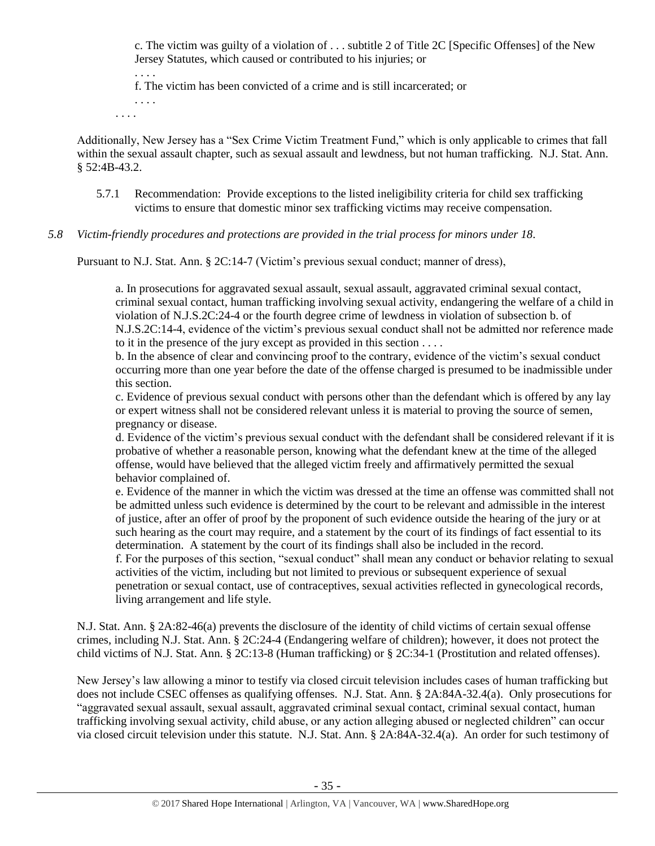c. The victim was guilty of a violation of . . . subtitle 2 of Title 2C [Specific Offenses] of the New Jersey Statutes, which caused or contributed to his injuries; or

f. The victim has been convicted of a crime and is still incarcerated; or

. . . . . . . .

. . . .

Additionally, New Jersey has a "Sex Crime Victim Treatment Fund," which is only applicable to crimes that fall within the sexual assault chapter, such as sexual assault and lewdness, but not human trafficking. N.J. Stat. Ann. § 52:4B-43.2.

- 5.7.1 Recommendation: Provide exceptions to the listed ineligibility criteria for child sex trafficking victims to ensure that domestic minor sex trafficking victims may receive compensation.
- *5.8 Victim-friendly procedures and protections are provided in the trial process for minors under 18.*

Pursuant to N.J. Stat. Ann. § 2C:14-7 (Victim's previous sexual conduct; manner of dress),

a. In prosecutions for aggravated sexual assault, sexual assault, aggravated criminal sexual contact, criminal sexual contact, human trafficking involving sexual activity, endangering the welfare of a child in violation of N.J.S.2C:24-4 or the fourth degree crime of lewdness in violation of subsection b. of N.J.S.2C:14-4, evidence of the victim's previous sexual conduct shall not be admitted nor reference made to it in the presence of the jury except as provided in this section . . . .

b. In the absence of clear and convincing proof to the contrary, evidence of the victim's sexual conduct occurring more than one year before the date of the offense charged is presumed to be inadmissible under this section.

c. Evidence of previous sexual conduct with persons other than the defendant which is offered by any lay or expert witness shall not be considered relevant unless it is material to proving the source of semen, pregnancy or disease.

d. Evidence of the victim's previous sexual conduct with the defendant shall be considered relevant if it is probative of whether a reasonable person, knowing what the defendant knew at the time of the alleged offense, would have believed that the alleged victim freely and affirmatively permitted the sexual behavior complained of.

e. Evidence of the manner in which the victim was dressed at the time an offense was committed shall not be admitted unless such evidence is determined by the court to be relevant and admissible in the interest of justice, after an offer of proof by the proponent of such evidence outside the hearing of the jury or at such hearing as the court may require, and a statement by the court of its findings of fact essential to its determination. A statement by the court of its findings shall also be included in the record. f. For the purposes of this section, "sexual conduct" shall mean any conduct or behavior relating to sexual activities of the victim, including but not limited to previous or subsequent experience of sexual penetration or sexual contact, use of contraceptives, sexual activities reflected in gynecological records,

living arrangement and life style.

N.J. Stat. Ann. § 2A:82-46(a) prevents the disclosure of the identity of child victims of certain sexual offense crimes, including N.J. Stat. Ann. § 2C:24-4 (Endangering welfare of children); however, it does not protect the child victims of N.J. Stat. Ann. § 2C:13-8 (Human trafficking) or § 2C:34-1 (Prostitution and related offenses).

New Jersey's law allowing a minor to testify via closed circuit television includes cases of human trafficking but does not include CSEC offenses as qualifying offenses. N.J. Stat. Ann. § 2A:84A-32.4(a). Only prosecutions for "aggravated sexual assault, sexual assault, aggravated criminal sexual contact, criminal sexual contact, human trafficking involving sexual activity, child abuse, or any action alleging abused or neglected children" can occur via closed circuit television under this statute. N.J. Stat. Ann. § 2A:84A-32.4(a). An order for such testimony of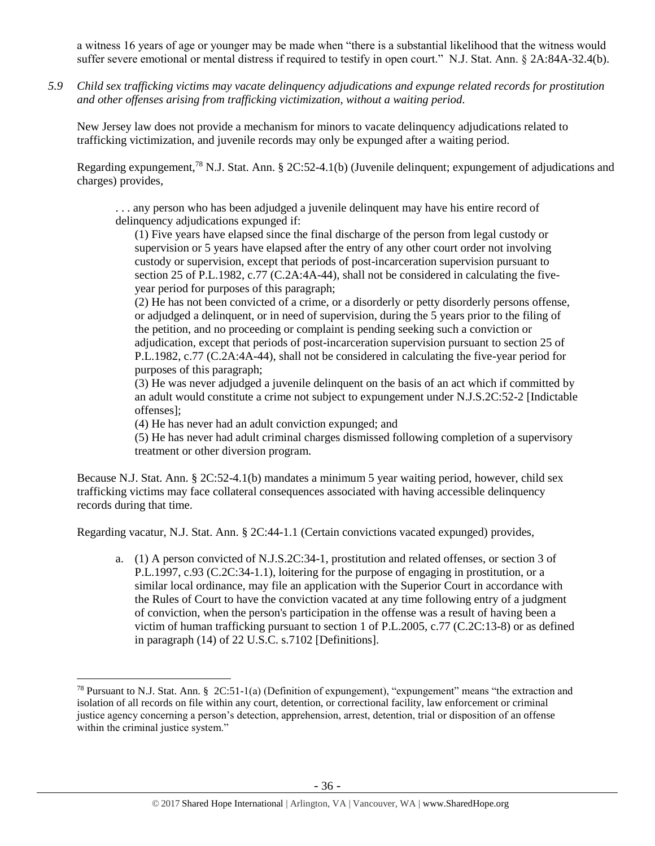a witness 16 years of age or younger may be made when "there is a substantial likelihood that the witness would suffer severe emotional or mental distress if required to testify in open court." N.J. Stat. Ann. § 2A:84A-32.4(b).

*5.9 Child sex trafficking victims may vacate delinquency adjudications and expunge related records for prostitution and other offenses arising from trafficking victimization, without a waiting period.*

New Jersey law does not provide a mechanism for minors to vacate delinquency adjudications related to trafficking victimization, and juvenile records may only be expunged after a waiting period.

Regarding expungement,<sup>78</sup> N.J. Stat. Ann. § 2C:52-4.1(b) (Juvenile delinquent; expungement of adjudications and charges) provides,

. . . any person who has been adjudged a juvenile delinquent may have his entire record of delinquency adjudications expunged if:

(1) Five years have elapsed since the final discharge of the person from legal custody or supervision or 5 years have elapsed after the entry of any other court order not involving custody or supervision, except that periods of post-incarceration supervision pursuant to section 25 of P.L.1982, c.77 (C.2A:4A-44), shall not be considered in calculating the fiveyear period for purposes of this paragraph;

(2) He has not been convicted of a crime, or a disorderly or petty disorderly persons offense, or adjudged a delinquent, or in need of supervision, during the 5 years prior to the filing of the petition, and no proceeding or complaint is pending seeking such a conviction or adjudication, except that periods of post-incarceration supervision pursuant to section 25 of P.L.1982, c.77 (C.2A:4A-44), shall not be considered in calculating the five-year period for purposes of this paragraph;

(3) He was never adjudged a juvenile delinquent on the basis of an act which if committed by an adult would constitute a crime not subject to expungement under N.J.S.2C:52-2 [Indictable offenses];

(4) He has never had an adult conviction expunged; and

 $\overline{a}$ 

(5) He has never had adult criminal charges dismissed following completion of a supervisory treatment or other diversion program.

Because N.J. Stat. Ann. § 2C:52-4.1(b) mandates a minimum 5 year waiting period, however, child sex trafficking victims may face collateral consequences associated with having accessible delinquency records during that time.

Regarding vacatur, N.J. Stat. Ann. § 2C:44-1.1 (Certain convictions vacated expunged) provides,

a. (1) A person convicted of N.J.S.2C:34-1, prostitution and related offenses, or section 3 of P.L.1997, c.93 (C.2C:34-1.1), loitering for the purpose of engaging in prostitution, or a similar local ordinance, may file an application with the Superior Court in accordance with the Rules of Court to have the conviction vacated at any time following entry of a judgment of conviction, when the person's participation in the offense was a result of having been a victim of human trafficking pursuant to section 1 of P.L.2005, c.77 (C.2C:13-8) or as defined in paragraph (14) of 22 U.S.C. s.7102 [Definitions].

<sup>78</sup> Pursuant to N.J. Stat. Ann. § 2C:51-1(a) (Definition of expungement), "expungement" means "the extraction and isolation of all records on file within any court, detention, or correctional facility, law enforcement or criminal justice agency concerning a person's detection, apprehension, arrest, detention, trial or disposition of an offense within the criminal justice system."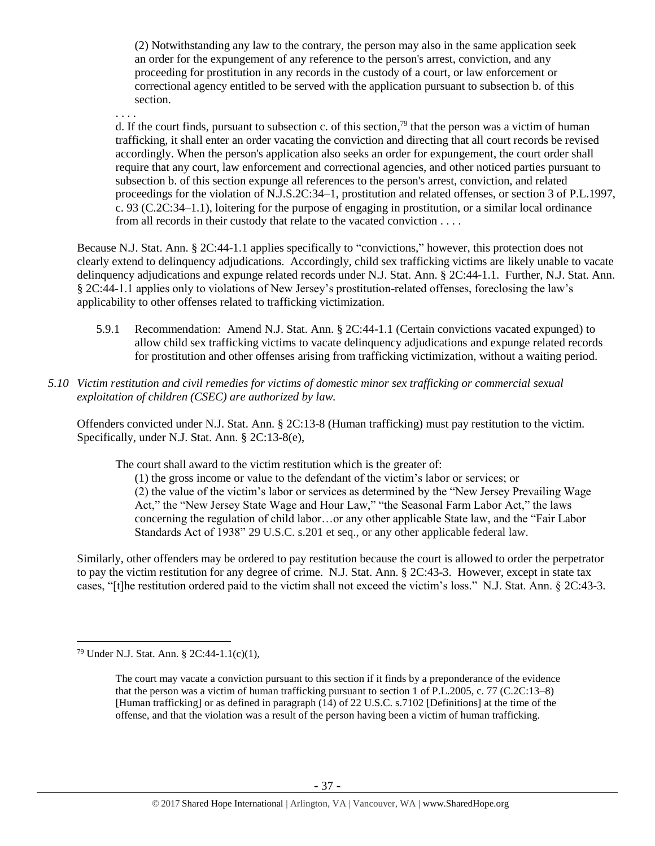(2) Notwithstanding any law to the contrary, the person may also in the same application seek an order for the expungement of any reference to the person's arrest, conviction, and any proceeding for prostitution in any records in the custody of a court, or law enforcement or correctional agency entitled to be served with the application pursuant to subsection b. of this section.

. . . .

d. If the court finds, pursuant to subsection c. of this section, <sup>79</sup> that the person was a victim of human trafficking, it shall enter an order vacating the conviction and directing that all court records be revised accordingly. When the person's application also seeks an order for expungement, the court order shall require that any court, law enforcement and correctional agencies, and other noticed parties pursuant to subsection b. of this section expunge all references to the person's arrest, conviction, and related proceedings for the violation of N.J.S.2C:34–1, prostitution and related offenses, or section 3 of P.L.1997, c. 93 (C.2C:34–1.1), loitering for the purpose of engaging in prostitution, or a similar local ordinance from all records in their custody that relate to the vacated conviction . . . .

Because N.J. Stat. Ann. § 2C:44-1.1 applies specifically to "convictions," however, this protection does not clearly extend to delinquency adjudications. Accordingly, child sex trafficking victims are likely unable to vacate delinquency adjudications and expunge related records under N.J. Stat. Ann. § 2C:44-1.1. Further, N.J. Stat. Ann. § 2C:44-1.1 applies only to violations of New Jersey's prostitution-related offenses, foreclosing the law's applicability to other offenses related to trafficking victimization.

- 5.9.1 Recommendation: Amend N.J. Stat. Ann. § 2C:44-1.1 (Certain convictions vacated expunged) to allow child sex trafficking victims to vacate delinquency adjudications and expunge related records for prostitution and other offenses arising from trafficking victimization, without a waiting period.
- *5.10 Victim restitution and civil remedies for victims of domestic minor sex trafficking or commercial sexual exploitation of children (CSEC) are authorized by law.*

Offenders convicted under N.J. Stat. Ann. § 2C:13-8 (Human trafficking) must pay restitution to the victim. Specifically, under N.J. Stat. Ann. § 2C:13-8(e),

The court shall award to the victim restitution which is the greater of:

(1) the gross income or value to the defendant of the victim's labor or services; or (2) the value of the victim's labor or services as determined by the "New Jersey Prevailing Wage Act," the "New Jersey State Wage and Hour Law," "the Seasonal Farm Labor Act," the laws concerning the regulation of child labor…or any other applicable State law, and the "Fair Labor Standards Act of 1938" 29 U.S.C. s.201 et seq., or any other applicable federal law.

Similarly, other offenders may be ordered to pay restitution because the court is allowed to order the perpetrator to pay the victim restitution for any degree of crime. N.J. Stat. Ann. § 2C:43-3. However, except in state tax cases, "[t]he restitution ordered paid to the victim shall not exceed the victim's loss." N.J. Stat. Ann. § 2C:43-3.

<sup>79</sup> Under N.J. Stat. Ann. § 2C:44-1.1(c)(1),

The court may vacate a conviction pursuant to this section if it finds by a preponderance of the evidence that the person was a victim of human trafficking pursuant to section 1 of P.L.2005, c. 77 (C.2C:13–8) [Human trafficking] or as defined in paragraph (14) of 22 U.S.C. s.7102 [Definitions] at the time of the offense, and that the violation was a result of the person having been a victim of human trafficking.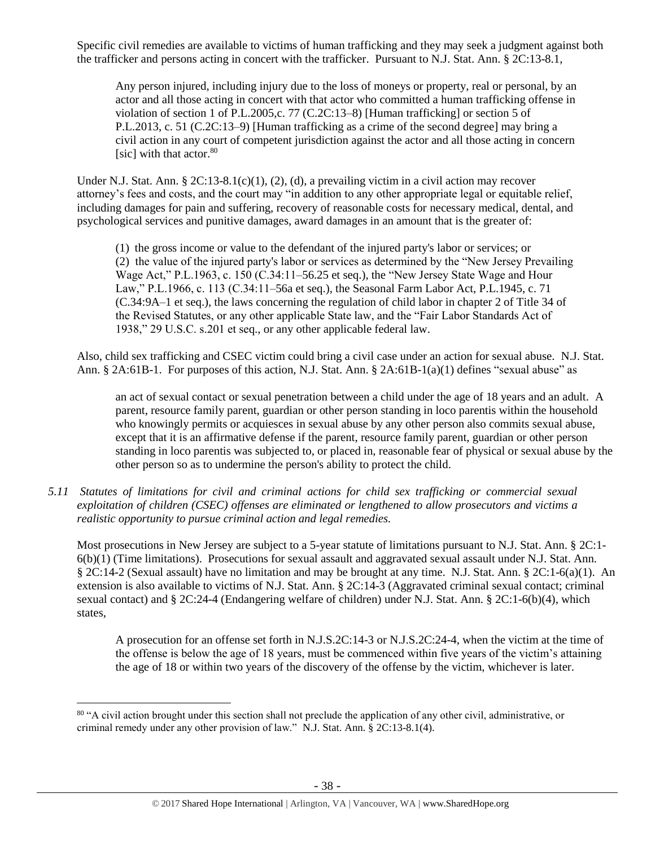Specific civil remedies are available to victims of human trafficking and they may seek a judgment against both the trafficker and persons acting in concert with the trafficker. Pursuant to N.J. Stat. Ann. § 2C:13-8.1,

Any person injured, including injury due to the loss of moneys or property, real or personal, by an actor and all those acting in concert with that actor who committed a human trafficking offense in violation of section 1 of P.L.2005,c. 77 (C.2C:13–8) [Human trafficking] or section 5 of P.L.2013, c. 51 (C.2C:13–9) [Human trafficking as a crime of the second degree] may bring a civil action in any court of competent jurisdiction against the actor and all those acting in concern [sic] with that actor. $80$ 

Under N.J. Stat. Ann. § 2C:13-8.1(c)(1), (2), (d), a prevailing victim in a civil action may recover attorney's fees and costs, and the court may "in addition to any other appropriate legal or equitable relief, including damages for pain and suffering, recovery of reasonable costs for necessary medical, dental, and psychological services and punitive damages, award damages in an amount that is the greater of:

(1) the gross income or value to the defendant of the injured party's labor or services; or (2) the value of the injured party's labor or services as determined by the "New Jersey Prevailing Wage Act," P.L.1963, c. 150 (C.34:11–56.25 et seq.), the "New Jersey State Wage and Hour Law," P.L.1966, c. 113 (C.34:11–56a et seq.), the Seasonal Farm Labor Act, P.L.1945, c. 71 (C.34:9A–1 et seq.), the laws concerning the regulation of child labor in chapter 2 of Title 34 of the Revised Statutes, or any other applicable State law, and the "Fair Labor Standards Act of 1938," 29 U.S.C. s.201 et seq., or any other applicable federal law.

Also, child sex trafficking and CSEC victim could bring a civil case under an action for sexual abuse. N.J. Stat. Ann. § 2A:61B-1. For purposes of this action, N.J. Stat. Ann. § 2A:61B-1(a)(1) defines "sexual abuse" as

an act of sexual contact or sexual penetration between a child under the age of 18 years and an adult. A parent, resource family parent, guardian or other person standing in loco parentis within the household who knowingly permits or acquiesces in sexual abuse by any other person also commits sexual abuse, except that it is an affirmative defense if the parent, resource family parent, guardian or other person standing in loco parentis was subjected to, or placed in, reasonable fear of physical or sexual abuse by the other person so as to undermine the person's ability to protect the child.

*5.11 Statutes of limitations for civil and criminal actions for child sex trafficking or commercial sexual exploitation of children (CSEC) offenses are eliminated or lengthened to allow prosecutors and victims a realistic opportunity to pursue criminal action and legal remedies.*

Most prosecutions in New Jersey are subject to a 5-year statute of limitations pursuant to N.J. Stat. Ann. § 2C:1- 6(b)(1) (Time limitations). Prosecutions for sexual assault and aggravated sexual assault under N.J. Stat. Ann. § 2C:14-2 (Sexual assault) have no limitation and may be brought at any time. N.J. Stat. Ann. § 2C:1-6(a)(1). An extension is also available to victims of N.J. Stat. Ann. § 2C:14-3 (Aggravated criminal sexual contact; criminal sexual contact) and § 2C:24-4 (Endangering welfare of children) under N.J. Stat. Ann. § 2C:1-6(b)(4), which states,

A prosecution for an offense set forth in N.J.S.2C:14-3 or N.J.S.2C:24-4, when the victim at the time of the offense is below the age of 18 years, must be commenced within five years of the victim's attaining the age of 18 or within two years of the discovery of the offense by the victim, whichever is later.

<sup>&</sup>lt;sup>80</sup> "A civil action brought under this section shall not preclude the application of any other civil, administrative, or criminal remedy under any other provision of law." N.J. Stat. Ann. § 2C:13-8.1(4).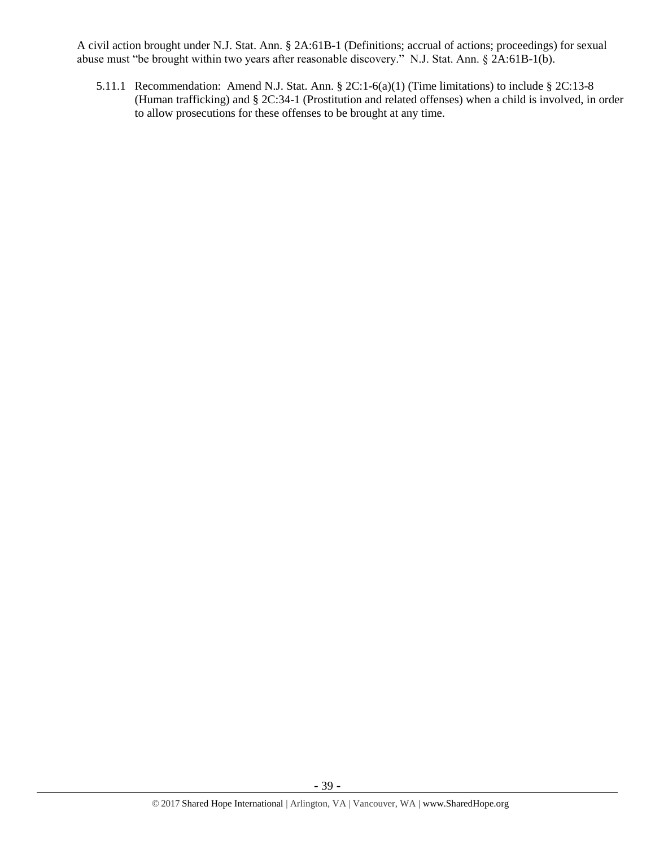A civil action brought under N.J. Stat. Ann. § 2A:61B-1 (Definitions; accrual of actions; proceedings) for sexual abuse must "be brought within two years after reasonable discovery." N.J. Stat. Ann. § 2A:61B-1(b).

5.11.1 Recommendation: Amend N.J. Stat. Ann. § 2C:1-6(a)(1) (Time limitations) to include § 2C:13-8 (Human trafficking) and § 2C:34-1 (Prostitution and related offenses) when a child is involved, in order to allow prosecutions for these offenses to be brought at any time.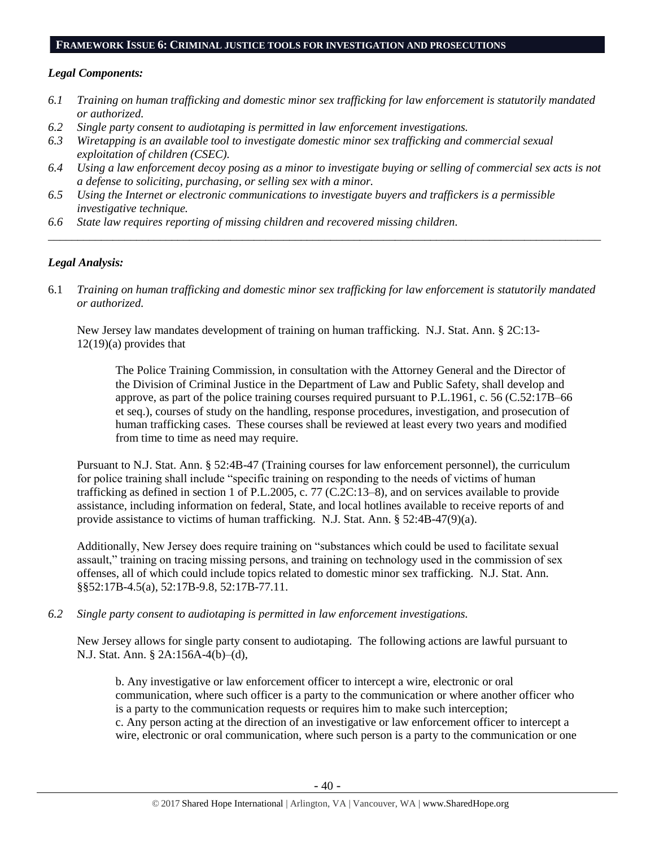#### **FRAMEWORK ISSUE 6: CRIMINAL JUSTICE TOOLS FOR INVESTIGATION AND PROSECUTIONS**

## *Legal Components:*

- *6.1 Training on human trafficking and domestic minor sex trafficking for law enforcement is statutorily mandated or authorized.*
- *6.2 Single party consent to audiotaping is permitted in law enforcement investigations.*
- *6.3 Wiretapping is an available tool to investigate domestic minor sex trafficking and commercial sexual exploitation of children (CSEC).*
- *6.4 Using a law enforcement decoy posing as a minor to investigate buying or selling of commercial sex acts is not a defense to soliciting, purchasing, or selling sex with a minor.*

*\_\_\_\_\_\_\_\_\_\_\_\_\_\_\_\_\_\_\_\_\_\_\_\_\_\_\_\_\_\_\_\_\_\_\_\_\_\_\_\_\_\_\_\_\_\_\_\_\_\_\_\_\_\_\_\_\_\_\_\_\_\_\_\_\_\_\_\_\_\_\_\_\_\_\_\_\_\_\_\_\_\_\_\_\_\_\_\_\_\_\_\_\_\_*

- *6.5 Using the Internet or electronic communications to investigate buyers and traffickers is a permissible investigative technique.*
- *6.6 State law requires reporting of missing children and recovered missing children.*

## *Legal Analysis:*

6.1 *Training on human trafficking and domestic minor sex trafficking for law enforcement is statutorily mandated or authorized.*

New Jersey law mandates development of training on human trafficking. N.J. Stat. Ann. § 2C:13-  $12(19)(a)$  provides that

The Police Training Commission, in consultation with the Attorney General and the Director of the Division of Criminal Justice in the Department of Law and Public Safety, shall develop and approve, as part of the police training courses required pursuant to P.L.1961, c. 56 (C.52:17B–66 et seq.), courses of study on the handling, response procedures, investigation, and prosecution of human trafficking cases. These courses shall be reviewed at least every two years and modified from time to time as need may require.

Pursuant to N.J. Stat. Ann. § 52:4B-47 (Training courses for law enforcement personnel), the curriculum for police training shall include "specific training on responding to the needs of victims of human trafficking as defined in section 1 of P.L.2005, c. 77 (C.2C:13–8), and on services available to provide assistance, including information on federal, State, and local hotlines available to receive reports of and provide assistance to victims of human trafficking. N.J. Stat. Ann. § 52:4B-47(9)(a).

Additionally, New Jersey does require training on "substances which could be used to facilitate sexual assault," training on tracing missing persons, and training on technology used in the commission of sex offenses, all of which could include topics related to domestic minor sex trafficking. N.J. Stat. Ann. §§52:17B-4.5(a), 52:17B-9.8, 52:17B-77.11.

*6.2 Single party consent to audiotaping is permitted in law enforcement investigations.*

New Jersey allows for single party consent to audiotaping. The following actions are lawful pursuant to N.J. Stat. Ann. § 2A:156A-4(b)–(d),

b. Any investigative or law enforcement officer to intercept a wire, electronic or oral communication, where such officer is a party to the communication or where another officer who is a party to the communication requests or requires him to make such interception; c. Any person acting at the direction of an investigative or law enforcement officer to intercept a wire, electronic or oral communication, where such person is a party to the communication or one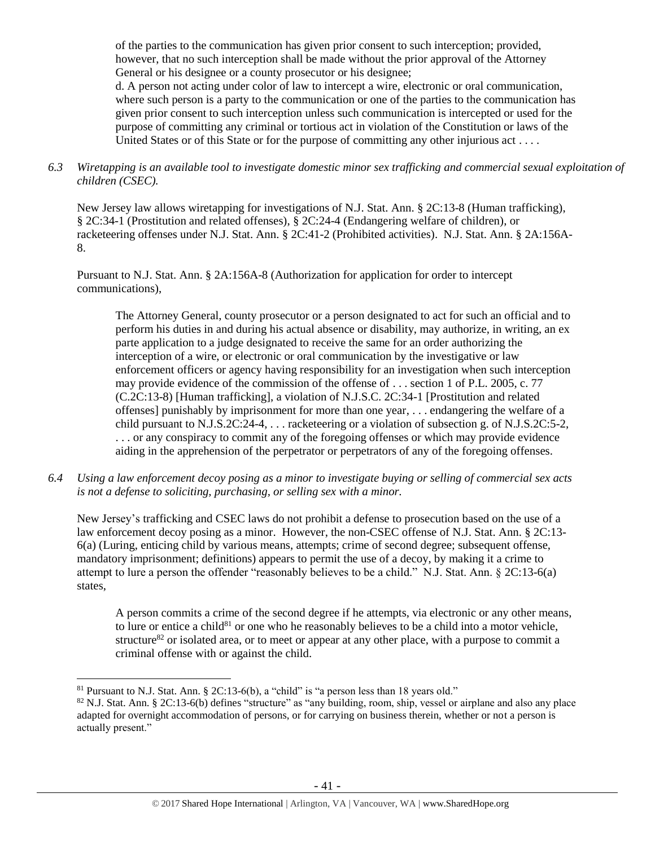of the parties to the communication has given prior consent to such interception; provided, however, that no such interception shall be made without the prior approval of the Attorney General or his designee or a county prosecutor or his designee;

d. A person not acting under color of law to intercept a wire, electronic or oral communication, where such person is a party to the communication or one of the parties to the communication has given prior consent to such interception unless such communication is intercepted or used for the purpose of committing any criminal or tortious act in violation of the Constitution or laws of the United States or of this State or for the purpose of committing any other injurious act . . . .

*6.3 Wiretapping is an available tool to investigate domestic minor sex trafficking and commercial sexual exploitation of children (CSEC).* 

New Jersey law allows wiretapping for investigations of N.J. Stat. Ann. § 2C:13-8 (Human trafficking), § 2C:34-1 (Prostitution and related offenses), § 2C:24-4 (Endangering welfare of children), or racketeering offenses under N.J. Stat. Ann. § 2C:41-2 (Prohibited activities). N.J. Stat. Ann. § 2A:156A-8.

Pursuant to N.J. Stat. Ann. § 2A:156A-8 (Authorization for application for order to intercept communications),

The Attorney General, county prosecutor or a person designated to act for such an official and to perform his duties in and during his actual absence or disability, may authorize, in writing, an ex parte application to a judge designated to receive the same for an order authorizing the interception of a wire, or electronic or oral communication by the investigative or law enforcement officers or agency having responsibility for an investigation when such interception may provide evidence of the commission of the offense of . . . section 1 of P.L. 2005, c. 77 (C.2C:13-8) [Human trafficking], a violation of N.J.S.C. 2C:34-1 [Prostitution and related offenses] punishably by imprisonment for more than one year, . . . endangering the welfare of a child pursuant to N.J.S.2C:24-4, . . . racketeering or a violation of subsection g. of N.J.S.2C:5-2, . . . or any conspiracy to commit any of the foregoing offenses or which may provide evidence aiding in the apprehension of the perpetrator or perpetrators of any of the foregoing offenses.

*6.4 Using a law enforcement decoy posing as a minor to investigate buying or selling of commercial sex acts is not a defense to soliciting, purchasing, or selling sex with a minor.*

New Jersey's trafficking and CSEC laws do not prohibit a defense to prosecution based on the use of a law enforcement decoy posing as a minor. However, the non-CSEC offense of N.J. Stat. Ann. § 2C:13- 6(a) (Luring, enticing child by various means, attempts; crime of second degree; subsequent offense, mandatory imprisonment; definitions) appears to permit the use of a decoy, by making it a crime to attempt to lure a person the offender "reasonably believes to be a child." N.J. Stat. Ann. § 2C:13-6(a) states,

A person commits a crime of the second degree if he attempts, via electronic or any other means, to lure or entice a child $81$  or one who he reasonably believes to be a child into a motor vehicle, structure<sup>82</sup> or isolated area, or to meet or appear at any other place, with a purpose to commit a criminal offense with or against the child.

 $81$  Pursuant to N.J. Stat. Ann. § 2C:13-6(b), a "child" is "a person less than 18 years old."

<sup>82</sup> N.J. Stat. Ann. § 2C:13-6(b) defines "structure" as "any building, room, ship, vessel or airplane and also any place adapted for overnight accommodation of persons, or for carrying on business therein, whether or not a person is actually present."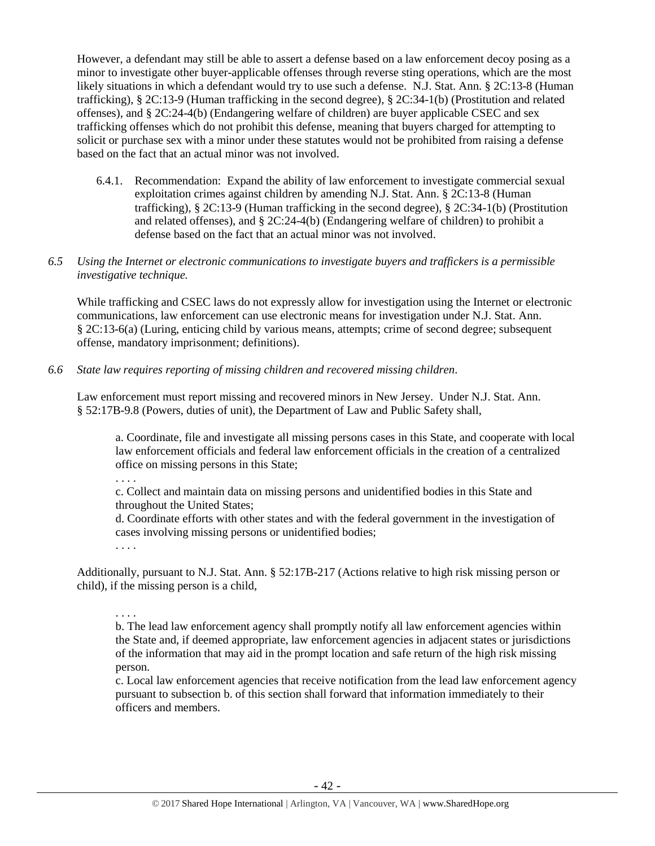However, a defendant may still be able to assert a defense based on a law enforcement decoy posing as a minor to investigate other buyer-applicable offenses through reverse sting operations, which are the most likely situations in which a defendant would try to use such a defense. N.J. Stat. Ann. § 2C:13-8 (Human trafficking), § 2C:13-9 (Human trafficking in the second degree), § 2C:34-1(b) (Prostitution and related offenses), and § 2C:24-4(b) (Endangering welfare of children) are buyer applicable CSEC and sex trafficking offenses which do not prohibit this defense, meaning that buyers charged for attempting to solicit or purchase sex with a minor under these statutes would not be prohibited from raising a defense based on the fact that an actual minor was not involved.

6.4.1. Recommendation: Expand the ability of law enforcement to investigate commercial sexual exploitation crimes against children by amending N.J. Stat. Ann. § 2C:13-8 (Human trafficking),  $\S 2C:13-9$  (Human trafficking in the second degree),  $\S 2C:34-1(b)$  (Prostitution and related offenses), and  $\S 2C:24-4(b)$  (Endangering welfare of children) to prohibit a defense based on the fact that an actual minor was not involved.

## *6.5 Using the Internet or electronic communications to investigate buyers and traffickers is a permissible investigative technique.*

While trafficking and CSEC laws do not expressly allow for investigation using the Internet or electronic communications, law enforcement can use electronic means for investigation under N.J. Stat. Ann. § 2C:13-6(a) (Luring, enticing child by various means, attempts; crime of second degree; subsequent offense, mandatory imprisonment; definitions).

## *6.6 State law requires reporting of missing children and recovered missing children.*

Law enforcement must report missing and recovered minors in New Jersey. Under N.J. Stat. Ann. § 52:17B-9.8 (Powers, duties of unit), the Department of Law and Public Safety shall,

a. Coordinate, file and investigate all missing persons cases in this State, and cooperate with local law enforcement officials and federal law enforcement officials in the creation of a centralized office on missing persons in this State;

. . . .

c. Collect and maintain data on missing persons and unidentified bodies in this State and throughout the United States;

d. Coordinate efforts with other states and with the federal government in the investigation of cases involving missing persons or unidentified bodies;

. . . .

Additionally, pursuant to N.J. Stat. Ann. § 52:17B-217 (Actions relative to high risk missing person or child), if the missing person is a child,

. . . .

b. The lead law enforcement agency shall promptly notify all law enforcement agencies within the State and, if deemed appropriate, law enforcement agencies in adjacent states or jurisdictions of the information that may aid in the prompt location and safe return of the high risk missing person.

c. Local law enforcement agencies that receive notification from the lead law enforcement agency pursuant to subsection b. of this section shall forward that information immediately to their officers and members.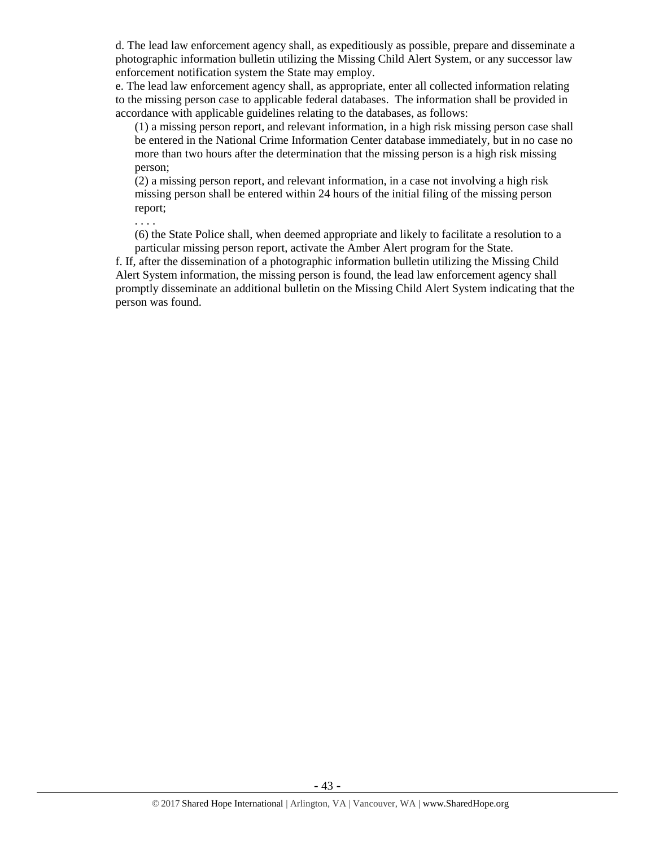d. The lead law enforcement agency shall, as expeditiously as possible, prepare and disseminate a photographic information bulletin utilizing the Missing Child Alert System, or any successor law enforcement notification system the State may employ.

e. The lead law enforcement agency shall, as appropriate, enter all collected information relating to the missing person case to applicable federal databases. The information shall be provided in accordance with applicable guidelines relating to the databases, as follows:

(1) a missing person report, and relevant information, in a high risk missing person case shall be entered in the National Crime Information Center database immediately, but in no case no more than two hours after the determination that the missing person is a high risk missing person;

(2) a missing person report, and relevant information, in a case not involving a high risk missing person shall be entered within 24 hours of the initial filing of the missing person report;

. . . .

(6) the State Police shall, when deemed appropriate and likely to facilitate a resolution to a particular missing person report, activate the Amber Alert program for the State.

f. If, after the dissemination of a photographic information bulletin utilizing the Missing Child Alert System information, the missing person is found, the lead law enforcement agency shall promptly disseminate an additional bulletin on the Missing Child Alert System indicating that the person was found.